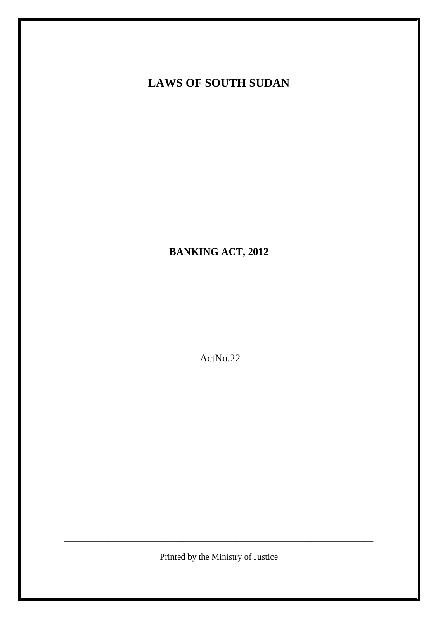# **LAWS OF SOUTH SUDAN**

**BANKING ACT, 2012**

ActNo.22

Printed by the Ministry of Justice

\_\_\_\_\_\_\_\_\_\_\_\_\_\_\_\_\_\_\_\_\_\_\_\_\_\_\_\_\_\_\_\_\_\_\_\_\_\_\_\_\_\_\_\_\_\_\_\_\_\_\_\_\_\_\_\_\_\_\_\_\_\_\_\_\_\_\_\_\_\_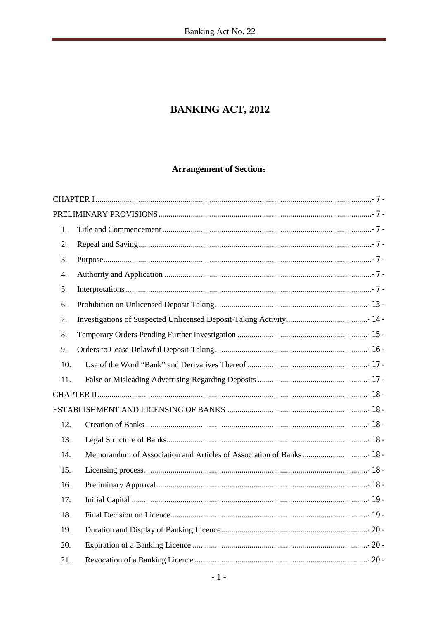# **BANKING ACT, 2012**

# **Arrangement of Sections**

| 1.  |  |
|-----|--|
| 2.  |  |
| 3.  |  |
| 4.  |  |
| 5.  |  |
| 6.  |  |
| 7.  |  |
| 8.  |  |
| 9.  |  |
| 10. |  |
| 11. |  |
|     |  |
|     |  |
| 12. |  |
| 13. |  |
| 14. |  |
| 15. |  |
| 16. |  |
| 17. |  |
| 18. |  |
| 19. |  |
| 20. |  |
| 21. |  |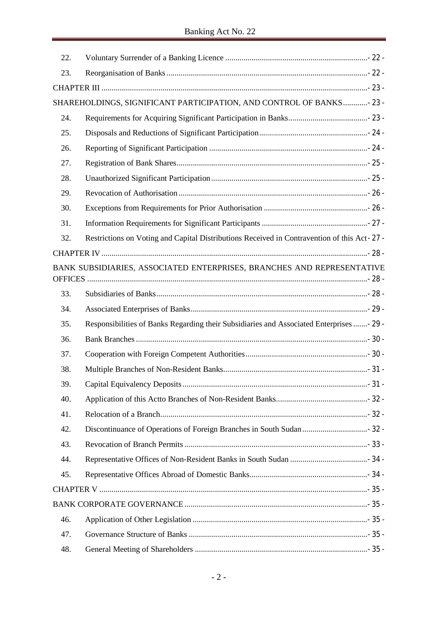| 22. |                                                                                             |  |
|-----|---------------------------------------------------------------------------------------------|--|
| 23. |                                                                                             |  |
|     |                                                                                             |  |
|     | SHAREHOLDINGS, SIGNIFICANT PARTICIPATION, AND CONTROL OF BANKS- 23 -                        |  |
| 24. |                                                                                             |  |
| 25. |                                                                                             |  |
| 26. |                                                                                             |  |
| 27. |                                                                                             |  |
| 28. |                                                                                             |  |
| 29. |                                                                                             |  |
| 30. |                                                                                             |  |
| 31. |                                                                                             |  |
| 32. | Restrictions on Voting and Capital Distributions Received in Contravention of this Act-27 - |  |
|     |                                                                                             |  |
|     | BANK SUBSIDIARIES, ASSOCIATED ENTERPRISES, BRANCHES AND REPRESENTATIVE                      |  |
| 33. |                                                                                             |  |
| 34. |                                                                                             |  |
| 35. | Responsibilities of Banks Regarding their Subsidiaries and Associated Enterprises  - 29 -   |  |
| 36. |                                                                                             |  |
| 37. |                                                                                             |  |
| 38. |                                                                                             |  |
| 39. |                                                                                             |  |
| 40. |                                                                                             |  |
| 41. |                                                                                             |  |
| 42. |                                                                                             |  |
| 43. |                                                                                             |  |
| 44. |                                                                                             |  |
| 45. |                                                                                             |  |
|     |                                                                                             |  |
|     |                                                                                             |  |
| 46. |                                                                                             |  |
| 47. |                                                                                             |  |
| 48. |                                                                                             |  |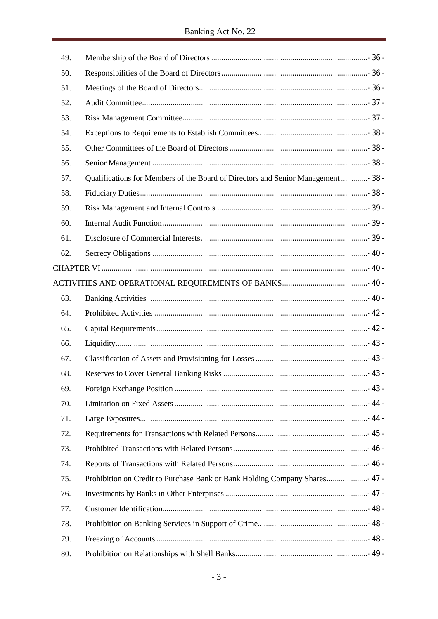| 49. |                                                                                  |  |
|-----|----------------------------------------------------------------------------------|--|
| 50. |                                                                                  |  |
| 51. |                                                                                  |  |
| 52. |                                                                                  |  |
| 53. |                                                                                  |  |
| 54. |                                                                                  |  |
| 55. |                                                                                  |  |
| 56. |                                                                                  |  |
| 57. | Qualifications for Members of the Board of Directors and Senior Management  38 - |  |
| 58. |                                                                                  |  |
| 59. |                                                                                  |  |
| 60. |                                                                                  |  |
| 61. |                                                                                  |  |
| 62. |                                                                                  |  |
|     |                                                                                  |  |
|     |                                                                                  |  |
| 63. |                                                                                  |  |
| 64. |                                                                                  |  |
| 65. |                                                                                  |  |
| 66. |                                                                                  |  |
| 67. |                                                                                  |  |
| 68. |                                                                                  |  |
| 69. |                                                                                  |  |
| 70. |                                                                                  |  |
| 71. |                                                                                  |  |
| 72. |                                                                                  |  |
| 73. |                                                                                  |  |
| 74. |                                                                                  |  |
| 75. | Prohibition on Credit to Purchase Bank or Bank Holding Company Shares 47 -       |  |
| 76. |                                                                                  |  |
| 77. |                                                                                  |  |
| 78. |                                                                                  |  |
| 79. |                                                                                  |  |
| 80. |                                                                                  |  |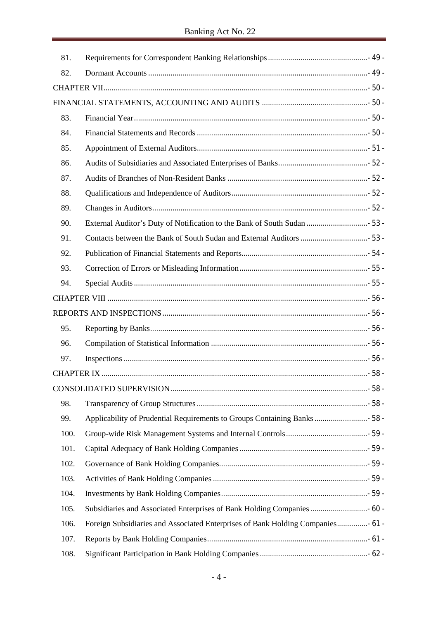| 81.  |                                                                                |  |
|------|--------------------------------------------------------------------------------|--|
| 82.  |                                                                                |  |
|      |                                                                                |  |
|      |                                                                                |  |
| 83.  |                                                                                |  |
| 84.  |                                                                                |  |
| 85.  |                                                                                |  |
| 86.  |                                                                                |  |
| 87.  |                                                                                |  |
| 88.  |                                                                                |  |
| 89.  |                                                                                |  |
| 90.  |                                                                                |  |
| 91.  |                                                                                |  |
| 92.  |                                                                                |  |
| 93.  |                                                                                |  |
| 94.  |                                                                                |  |
|      |                                                                                |  |
|      |                                                                                |  |
| 95.  |                                                                                |  |
| 96.  |                                                                                |  |
| 97.  |                                                                                |  |
|      |                                                                                |  |
|      |                                                                                |  |
| 98.  |                                                                                |  |
| 99.  | Applicability of Prudential Requirements to Groups Containing Banks  58 -      |  |
| 100. |                                                                                |  |
| 101. |                                                                                |  |
| 102. |                                                                                |  |
| 103. |                                                                                |  |
| 104. |                                                                                |  |
| 105. | Subsidiaries and Associated Enterprises of Bank Holding Companies  60 -        |  |
| 106. | Foreign Subsidiaries and Associated Enterprises of Bank Holding Companies 61 - |  |
| 107. |                                                                                |  |
| 108. |                                                                                |  |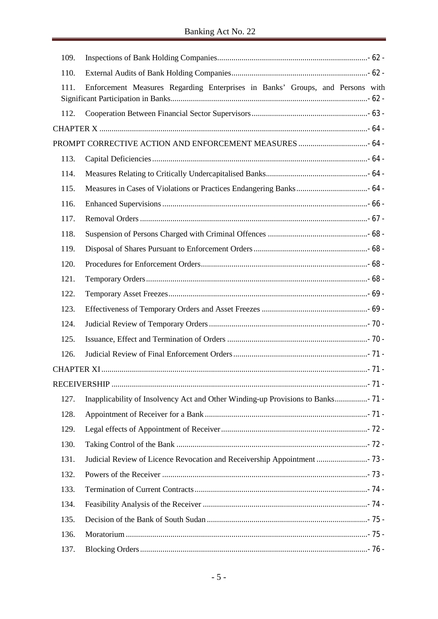| 109. |                                                                                 |  |
|------|---------------------------------------------------------------------------------|--|
| 110. |                                                                                 |  |
| 111. | Enforcement Measures Regarding Enterprises in Banks' Groups, and Persons with   |  |
| 112. |                                                                                 |  |
|      |                                                                                 |  |
|      |                                                                                 |  |
| 113. |                                                                                 |  |
| 114. |                                                                                 |  |
| 115. |                                                                                 |  |
| 116. |                                                                                 |  |
| 117. |                                                                                 |  |
| 118. |                                                                                 |  |
| 119. |                                                                                 |  |
| 120. |                                                                                 |  |
| 121. |                                                                                 |  |
| 122. |                                                                                 |  |
| 123. |                                                                                 |  |
| 124. |                                                                                 |  |
| 125. |                                                                                 |  |
| 126. |                                                                                 |  |
|      |                                                                                 |  |
|      |                                                                                 |  |
| 127. | Inapplicability of Insolvency Act and Other Winding-up Provisions to Banks 71 - |  |
| 128. |                                                                                 |  |
| 129. |                                                                                 |  |
| 130. |                                                                                 |  |
| 131. | Judicial Review of Licence Revocation and Receivership Appointment  73 -        |  |
| 132. |                                                                                 |  |
| 133. |                                                                                 |  |
| 134. |                                                                                 |  |
| 135. |                                                                                 |  |
| 136. |                                                                                 |  |
| 137. |                                                                                 |  |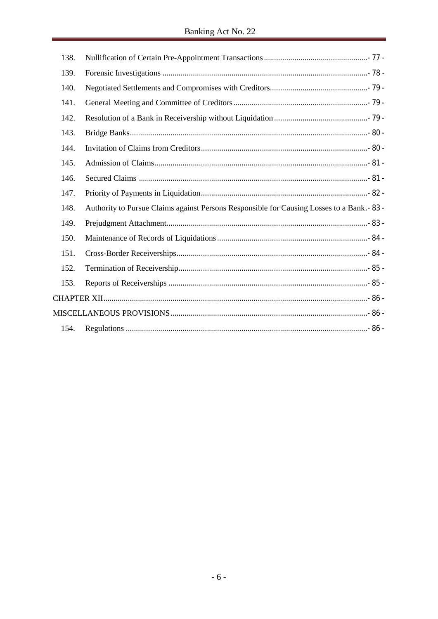| 138. |                                                                                             |  |
|------|---------------------------------------------------------------------------------------------|--|
| 139. |                                                                                             |  |
| 140. |                                                                                             |  |
| 141. |                                                                                             |  |
| 142. |                                                                                             |  |
| 143. |                                                                                             |  |
| 144. |                                                                                             |  |
| 145. |                                                                                             |  |
| 146. |                                                                                             |  |
| 147. |                                                                                             |  |
| 148. | Authority to Pursue Claims against Persons Responsible for Causing Losses to a Bank. - 83 - |  |
| 149. |                                                                                             |  |
| 150. |                                                                                             |  |
| 151. |                                                                                             |  |
| 152. |                                                                                             |  |
| 153. |                                                                                             |  |
|      |                                                                                             |  |
|      |                                                                                             |  |
| 154. |                                                                                             |  |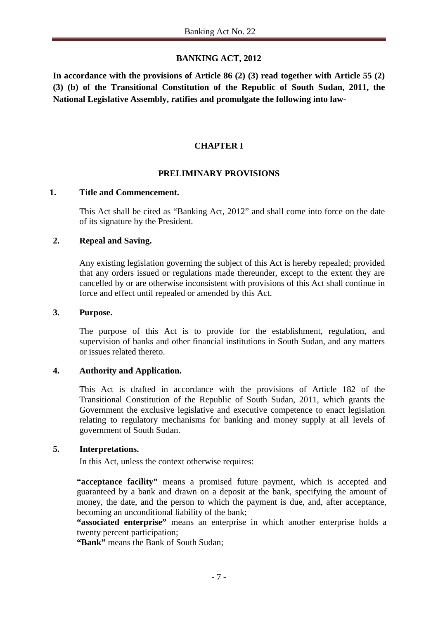# **BANKING ACT, 2012**

**In accordance with the provisions of Article 86 (2) (3) read together with Article 55 (2) (3) (b) of the Transitional Constitution of the Republic of South Sudan, 2011, the National Legislative Assembly, ratifies and promulgate the following into law-**

# **CHAPTER I**

#### **PRELIMINARY PROVISIONS**

#### **1. Title and Commencement.**

This Act shall be cited as "Banking Act, 2012" and shall come into force on the date of its signature by the President.

#### **2. Repeal and Saving.**

Any existing legislation governing the subject of this Act is hereby repealed; provided that any orders issued or regulations made thereunder, except to the extent they are cancelled by or are otherwise inconsistent with provisions of this Act shall continue in force and effect until repealed or amended by this Act.

#### **3. Purpose.**

The purpose of this Act is to provide for the establishment, regulation, and supervision of banks and other financial institutions in South Sudan, and any matters or issues related thereto.

#### **4. Authority and Application.**

This Act is drafted in accordance with the provisions of Article 182 of the Transitional Constitution of the Republic of South Sudan, 2011, which grants the Government the exclusive legislative and executive competence to enact legislation relating to regulatory mechanisms for banking and money supply at all levels of government of South Sudan.

#### **5. Interpretations.**

In this Act, unless the context otherwise requires:

**"acceptance facility"** means a promised future payment, which is accepted and guaranteed by a bank and drawn on a deposit at the bank, specifying the amount of money, the date, and the person to which the payment is due, and, after acceptance, becoming an unconditional liability of the bank;

**"associated enterprise"** means an enterprise in which another enterprise holds a twenty percent participation;

**"Bank"** means the Bank of South Sudan;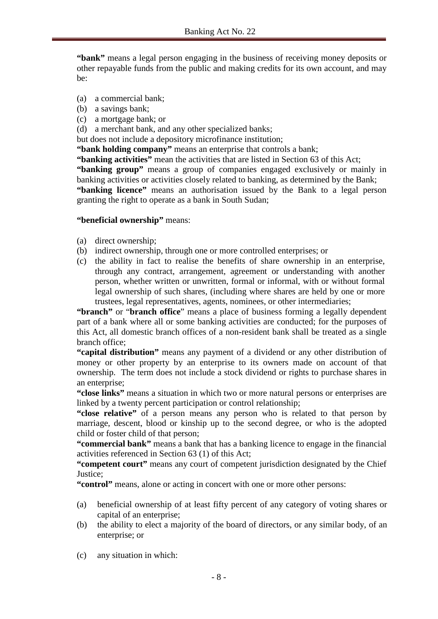**"bank"** means a legal person engaging in the business of receiving money deposits or other repayable funds from the public and making credits for its own account, and may be:

- (a) a commercial bank;
- (b) a savings bank;
- (c) a mortgage bank; or
- (d) a merchant bank, and any other specialized banks;
- but does not include a depository microfinance institution;

**"bank holding company"** means an enterprise that controls a bank;

**"banking activities"** mean the activities that are listed in Section 63 of this Act;

**"banking group"** means a group of companies engaged exclusively or mainly in banking activities or activities closely related to banking, as determined by the Bank; **"banking licence"** means an authorisation issued by the Bank to a legal person granting the right to operate as a bank in South Sudan;

#### **"beneficial ownership"** means:

- (a) direct ownership;
- (b) indirect ownership, through one or more controlled enterprises; or
- (c) the ability in fact to realise the benefits of share ownership in an enterprise, through any contract, arrangement, agreement or understanding with another person, whether written or unwritten, formal or informal, with or without formal legal ownership of such shares, (including where shares are held by one or more trustees, legal representatives, agents, nominees, or other intermediaries;

**"branch"** or "**branch office**" means a place of business forming a legally dependent part of a bank where all or some banking activities are conducted; for the purposes of this Act, all domestic branch offices of a non-resident bank shall be treated as a single branch office;

**"capital distribution"** means any payment of a dividend or any other distribution of money or other property by an enterprise to its owners made on account of that ownership. The term does not include a stock dividend or rights to purchase shares in an enterprise;

**"close links"** means a situation in which two or more natural persons or enterprises are linked by a twenty percent participation or control relationship;

**"close relative"** of a person means any person who is related to that person by marriage, descent, blood or kinship up to the second degree, or who is the adopted child or foster child of that person;

**"commercial bank"** means a bank that has a banking licence to engage in the financial activities referenced in Section 63 (1) of this Act;

**"competent court"** means any court of competent jurisdiction designated by the Chief Justice;

**"control"** means, alone or acting in concert with one or more other persons:

- (a) beneficial ownership of at least fifty percent of any category of voting shares or capital of an enterprise;
- (b) the ability to elect a majority of the board of directors, or any similar body, of an enterprise; or
- (c) any situation in which: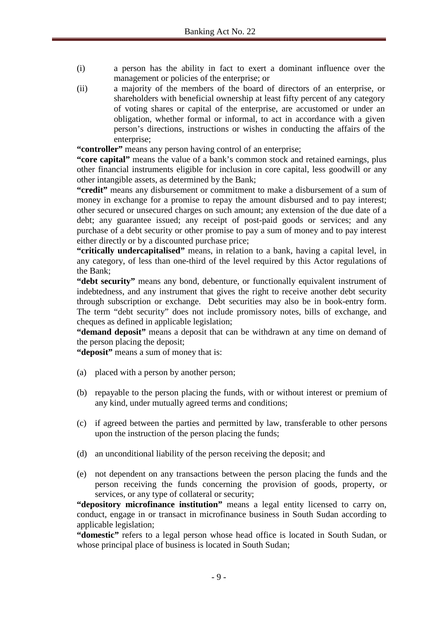- (i) a person has the ability in fact to exert a dominant influence over the management or policies of the enterprise; or
- (ii) a majority of the members of the board of directors of an enterprise, or shareholders with beneficial ownership at least fifty percent of any category of voting shares or capital of the enterprise, are accustomed or under an obligation, whether formal or informal, to act in accordance with a given person's directions, instructions or wishes in conducting the affairs of the enterprise;

**"controller"** means any person having control of an enterprise;

**"core capital"** means the value of a bank's common stock and retained earnings, plus other financial instruments eligible for inclusion in core capital, less goodwill or any other intangible assets, as determined by the Bank;

**"credit"** means any disbursement or commitment to make a disbursement of a sum of money in exchange for a promise to repay the amount disbursed and to pay interest; other secured or unsecured charges on such amount; any extension of the due date of a debt; any guarantee issued; any receipt of post-paid goods or services; and any purchase of a debt security or other promise to pay a sum of money and to pay interest either directly or by a discounted purchase price;

**"critically undercapitalised"** means, in relation to a bank, having a capital level, in any category, of less than one-third of the level required by this Actor regulations of the Bank;

**"debt security"** means any bond, debenture, or functionally equivalent instrument of indebtedness, and any instrument that gives the right to receive another debt security through subscription or exchange. Debt securities may also be in book-entry form. The term "debt security" does not include promissory notes, bills of exchange, and cheques as defined in applicable legislation;

**"demand deposit"** means a deposit that can be withdrawn at any time on demand of the person placing the deposit;

**"deposit"** means a sum of money that is:

- (a) placed with a person by another person;
- (b) repayable to the person placing the funds, with or without interest or premium of any kind, under mutually agreed terms and conditions;
- (c) if agreed between the parties and permitted by law, transferable to other persons upon the instruction of the person placing the funds;
- (d) an unconditional liability of the person receiving the deposit; and
- (e) not dependent on any transactions between the person placing the funds and the person receiving the funds concerning the provision of goods, property, or services, or any type of collateral or security;

**"depository microfinance institution"** means a legal entity licensed to carry on, conduct, engage in or transact in microfinance business in South Sudan according to applicable legislation;

**"domestic"** refers to a legal person whose head office is located in South Sudan, or whose principal place of business is located in South Sudan;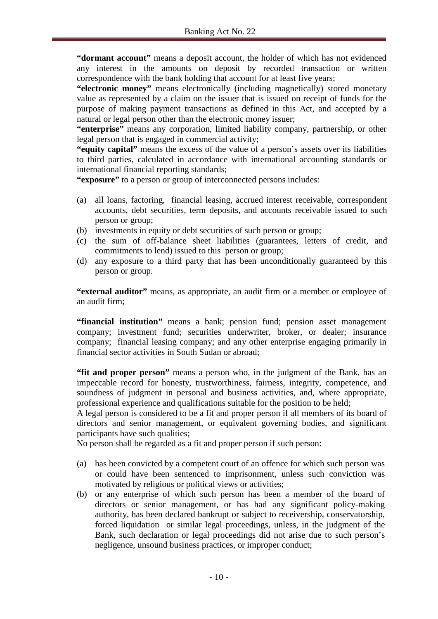**"dormant account"** means a deposit account, the holder of which has not evidenced any interest in the amounts on deposit by recorded transaction or written correspondence with the bank holding that account for at least five years;

**"electronic money"** means electronically (including magnetically) stored monetary value as represented by a claim on the issuer that is issued on receipt of funds for the purpose of making payment transactions as defined in this Act, and accepted by a natural or legal person other than the electronic money issuer;

**"enterprise"** means any corporation, limited liability company, partnership, or other legal person that is engaged in commercial activity;

**"equity capital"** means the excess of the value of a person's assets over its liabilities to third parties, calculated in accordance with international accounting standards or international financial reporting standards;

**"exposure"** to a person or group of interconnected persons includes:

- (a) all loans, factoring, financial leasing, accrued interest receivable, correspondent accounts, debt securities, term deposits, and accounts receivable issued to such person or group;
- (b) investments in equity or debt securities of such person or group;
- (c) the sum of off-balance sheet liabilities (guarantees, letters of credit, and commitments to lend) issued to this person or group;
- (d) any exposure to a third party that has been unconditionally guaranteed by this person or group.

**"external auditor"** means, as appropriate, an audit firm or a member or employee of an audit firm;

**"financial institution"** means a bank; pension fund; pension asset management company; investment fund; securities underwriter, broker, or dealer; insurance company; financial leasing company; and any other enterprise engaging primarily in financial sector activities in South Sudan or abroad;

**"fit and proper person"** means a person who, in the judgment of the Bank, has an impeccable record for honesty, trustworthiness, fairness, integrity, competence, and soundness of judgment in personal and business activities, and, where appropriate, professional experience and qualifications suitable for the position to be held;

A legal person is considered to be a fit and proper person if all members of its board of directors and senior management, or equivalent governing bodies, and significant participants have such qualities;

No person shall be regarded as a fit and proper person if such person:

- (a) has been convicted by a competent court of an offence for which such person was or could have been sentenced to imprisonment, unless such conviction was motivated by religious or political views or activities;
- (b) or any enterprise of which such person has been a member of the board of directors or senior management, or has had any significant policy-making authority, has been declared bankrupt or subject to receivership, conservatorship, forced liquidation or similar legal proceedings, unless, in the judgment of the Bank, such declaration or legal proceedings did not arise due to such person's negligence, unsound business practices, or improper conduct;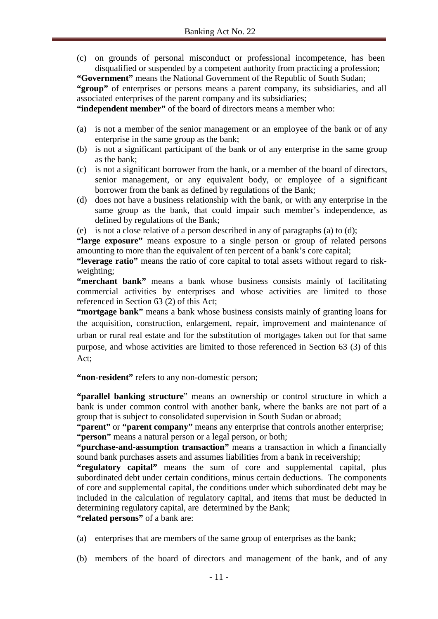(c) on grounds of personal misconduct or professional incompetence, has been disqualified or suspended by a competent authority from practicing a profession;

**"Government"** means the National Government of the Republic of South Sudan;

**"group"** of enterprises or persons means a parent company, its subsidiaries, and all associated enterprises of the parent company and its subsidiaries;

**"independent member"** of the board of directors means a member who:

- (a) is not a member of the senior management or an employee of the bank or of any enterprise in the same group as the bank;
- (b) is not a significant participant of the bank or of any enterprise in the same group as the bank;
- (c) is not a significant borrower from the bank, or a member of the board of directors, senior management, or any equivalent body, or employee of a significant borrower from the bank as defined by regulations of the Bank;
- (d) does not have a business relationship with the bank, or with any enterprise in the same group as the bank, that could impair such member's independence, as defined by regulations of the Bank;

(e) is not a close relative of a person described in any of paragraphs (a) to (d);

**"large exposure"** means exposure to a single person or group of related persons amounting to more than the equivalent of ten percent of a bank's core capital;

**"leverage ratio"** means the ratio of core capital to total assets without regard to riskweighting;

**"merchant bank"** means a bank whose business consists mainly of facilitating commercial activities by enterprises and whose activities are limited to those referenced in Section 63 (2) of this Act;

**"mortgage bank"** means a bank whose business consists mainly of granting loans for the acquisition, construction, enlargement, repair, improvement and maintenance of urban or rural real estate and for the substitution of mortgages taken out for that same purpose, and whose activities are limited to those referenced in Section 63 (3) of this Act;

**"non-resident"** refers to any non-domestic person;

**"parallel banking structure**" means an ownership or control structure in which a bank is under common control with another bank, where the banks are not part of a group that is subject to consolidated supervision in South Sudan or abroad;

**"parent"** or **"parent company"** means any enterprise that controls another enterprise; **"person"** means a natural person or a legal person, or both;

**"purchase-and-assumption transaction"** means a transaction in which a financially sound bank purchases assets and assumes liabilities from a bank in receivership;

**"regulatory capital"** means the sum of core and supplemental capital, plus subordinated debt under certain conditions, minus certain deductions. The components of core and supplemental capital, the conditions under which subordinated debt may be included in the calculation of regulatory capital, and items that must be deducted in determining regulatory capital, are determined by the Bank;

"related persons" of a bank are:

- (a) enterprises that are members of the same group of enterprises as the bank;
- (b) members of the board of directors and management of the bank, and of any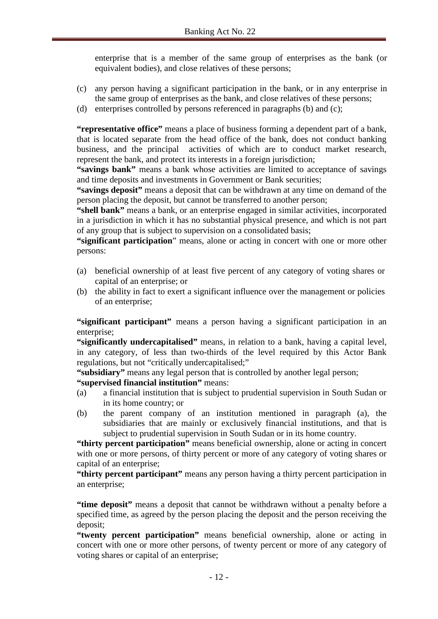enterprise that is a member of the same group of enterprises as the bank (or equivalent bodies), and close relatives of these persons;

- (c) any person having a significant participation in the bank, or in any enterprise in the same group of enterprises as the bank, and close relatives of these persons;
- (d) enterprises controlled by persons referenced in paragraphs (b) and (c);

**"representative office"** means a place of business forming a dependent part of a bank, that is located separate from the head office of the bank, does not conduct banking business, and the principal activities of which are to conduct market research, represent the bank, and protect its interests in a foreign jurisdiction;

**"savings bank"** means a bank whose activities are limited to acceptance of savings and time deposits and investments in Government or Bank securities;

**"savings deposit"** means a deposit that can be withdrawn at any time on demand of the person placing the deposit, but cannot be transferred to another person;

**"shell bank"** means a bank, or an enterprise engaged in similar activities, incorporated in a jurisdiction in which it has no substantial physical presence, and which is not part of any group that is subject to supervision on a consolidated basis;

**"significant participation**" means, alone or acting in concert with one or more other persons:

- (a) beneficial ownership of at least five percent of any category of voting shares or capital of an enterprise; or
- (b) the ability in fact to exert a significant influence over the management or policies of an enterprise;

**"significant participant"** means a person having a significant participation in an enterprise:

**"significantly undercapitalised"** means, in relation to a bank, having a capital level, in any category, of less than two-thirds of the level required by this Actor Bank regulations, but not "critically undercapitalised;"

**"subsidiary"** means any legal person that is controlled by another legal person;

**"supervised financial institution"** means:

- (a) a financial institution that is subject to prudential supervision in South Sudan or in its home country; or
- (b) the parent company of an institution mentioned in paragraph (a), the subsidiaries that are mainly or exclusively financial institutions, and that is subject to prudential supervision in South Sudan or in its home country.

**"thirty percent participation"** means beneficial ownership, alone or acting in concert with one or more persons, of thirty percent or more of any category of voting shares or capital of an enterprise;

**"thirty percent participant"** means any person having a thirty percent participation in an enterprise;

**"time deposit"** means a deposit that cannot be withdrawn without a penalty before a specified time, as agreed by the person placing the deposit and the person receiving the deposit;

**"twenty percent participation"** means beneficial ownership, alone or acting in concert with one or more other persons, of twenty percent or more of any category of voting shares or capital of an enterprise;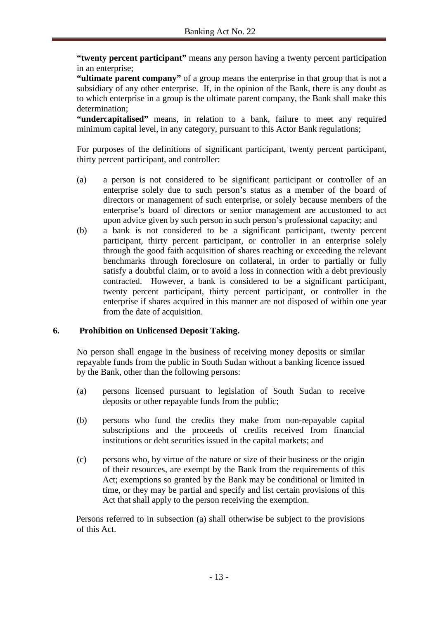**"twenty percent participant"** means any person having a twenty percent participation in an enterprise;

**"ultimate parent company"** of a group means the enterprise in that group that is not a subsidiary of any other enterprise. If, in the opinion of the Bank, there is any doubt as to which enterprise in a group is the ultimate parent company, the Bank shall make this determination;

**"undercapitalised"** means, in relation to a bank, failure to meet any required minimum capital level, in any category, pursuant to this Actor Bank regulations;

For purposes of the definitions of significant participant, twenty percent participant, thirty percent participant, and controller:

- (a) a person is not considered to be significant participant or controller of an enterprise solely due to such person's status as a member of the board of directors or management of such enterprise, or solely because members of the enterprise's board of directors or senior management are accustomed to act upon advice given by such person in such person's professional capacity; and
- (b) a bank is not considered to be a significant participant, twenty percent participant, thirty percent participant, or controller in an enterprise solely through the good faith acquisition of shares reaching or exceeding the relevant benchmarks through foreclosure on collateral, in order to partially or fully satisfy a doubtful claim, or to avoid a loss in connection with a debt previously contracted. However, a bank is considered to be a significant participant, twenty percent participant, thirty percent participant, or controller in the enterprise if shares acquired in this manner are not disposed of within one year from the date of acquisition.

## **6. Prohibition on Unlicensed Deposit Taking.**

No person shall engage in the business of receiving money deposits or similar repayable funds from the public in South Sudan without a banking licence issued by the Bank, other than the following persons:

- (a) persons licensed pursuant to legislation of South Sudan to receive deposits or other repayable funds from the public;
- (b) persons who fund the credits they make from non-repayable capital subscriptions and the proceeds of credits received from financial institutions or debt securities issued in the capital markets; and
- (c) persons who, by virtue of the nature or size of their business or the origin of their resources, are exempt by the Bank from the requirements of this Act; exemptions so granted by the Bank may be conditional or limited in time, or they may be partial and specify and list certain provisions of this Act that shall apply to the person receiving the exemption.

Persons referred to in subsection (a) shall otherwise be subject to the provisions of this Act.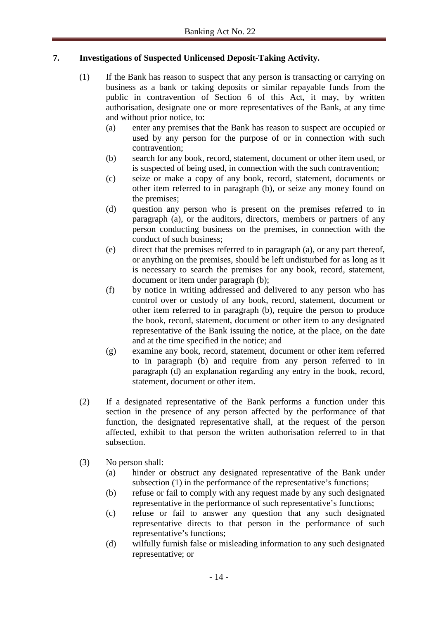# **7. Investigations of Suspected Unlicensed Deposit-Taking Activity.**

- (1) If the Bank has reason to suspect that any person is transacting or carrying on business as a bank or taking deposits or similar repayable funds from the public in contravention of Section 6 of this Act, it may, by written authorisation, designate one or more representatives of the Bank, at any time and without prior notice, to:
	- (a) enter any premises that the Bank has reason to suspect are occupied or used by any person for the purpose of or in connection with such contravention;
	- (b) search for any book, record, statement, document or other item used, or is suspected of being used, in connection with the such contravention;
	- (c) seize or make a copy of any book, record, statement, documents or other item referred to in paragraph (b), or seize any money found on the premises;
	- (d) question any person who is present on the premises referred to in paragraph (a), or the auditors, directors, members or partners of any person conducting business on the premises, in connection with the conduct of such business;
	- (e) direct that the premises referred to in paragraph (a), or any part thereof, or anything on the premises, should be left undisturbed for as long as it is necessary to search the premises for any book, record, statement, document or item under paragraph (b);
	- (f) by notice in writing addressed and delivered to any person who has control over or custody of any book, record, statement, document or other item referred to in paragraph (b), require the person to produce the book, record, statement, document or other item to any designated representative of the Bank issuing the notice, at the place, on the date and at the time specified in the notice; and
	- (g) examine any book, record, statement, document or other item referred to in paragraph (b) and require from any person referred to in paragraph (d) an explanation regarding any entry in the book, record, statement, document or other item.
- (2) If a designated representative of the Bank performs a function under this section in the presence of any person affected by the performance of that function, the designated representative shall, at the request of the person affected, exhibit to that person the written authorisation referred to in that subsection.
- (3) No person shall:
	- (a) hinder or obstruct any designated representative of the Bank under subsection (1) in the performance of the representative's functions;
	- (b) refuse or fail to comply with any request made by any such designated representative in the performance of such representative's functions;
	- (c) refuse or fail to answer any question that any such designated representative directs to that person in the performance of such representative's functions;
	- (d) wilfully furnish false or misleading information to any such designated representative; or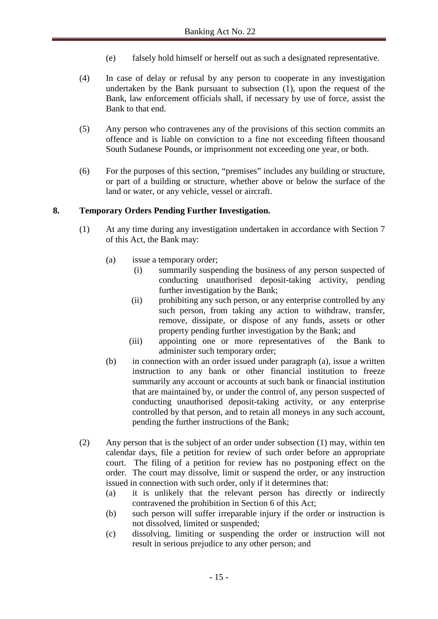- (e) falsely hold himself or herself out as such a designated representative.
- (4) In case of delay or refusal by any person to cooperate in any investigation undertaken by the Bank pursuant to subsection (1), upon the request of the Bank, law enforcement officials shall, if necessary by use of force, assist the Bank to that end.
- (5) Any person who contravenes any of the provisions of this section commits an offence and is liable on conviction to a fine not exceeding fifteen thousand South Sudanese Pounds, or imprisonment not exceeding one year, or both.
- (6) For the purposes of this section, "premises" includes any building or structure, or part of a building or structure, whether above or below the surface of the land or water, or any vehicle, vessel or aircraft.

## **8. Temporary Orders Pending Further Investigation.**

- (1) At any time during any investigation undertaken in accordance with Section 7 of this Act, the Bank may:
	- (a) issue a temporary order;
		- (i) summarily suspending the business of any person suspected of conducting unauthorised deposit-taking activity, pending further investigation by the Bank;
		- (ii) prohibiting any such person, or any enterprise controlled by any such person, from taking any action to withdraw, transfer, remove, dissipate, or dispose of any funds, assets or other property pending further investigation by the Bank; and
		- (iii) appointing one or more representatives of the Bank to administer such temporary order;
	- (b) in connection with an order issued under paragraph (a), issue a written instruction to any bank or other financial institution to freeze summarily any account or accounts at such bank or financial institution that are maintained by, or under the control of, any person suspected of conducting unauthorised deposit-taking activity, or any enterprise controlled by that person, and to retain all moneys in any such account, pending the further instructions of the Bank;
- (2) Any person that is the subject of an order under subsection (1) may, within ten calendar days, file a petition for review of such order before an appropriate court. The filing of a petition for review has no postponing effect on the order. The court may dissolve, limit or suspend the order, or any instruction issued in connection with such order, only if it determines that:
	- (a) it is unlikely that the relevant person has directly or indirectly contravened the prohibition in Section 6 of this Act;
	- (b) such person will suffer irreparable injury if the order or instruction is not dissolved, limited or suspended;
	- (c) dissolving, limiting or suspending the order or instruction will not result in serious prejudice to any other person; and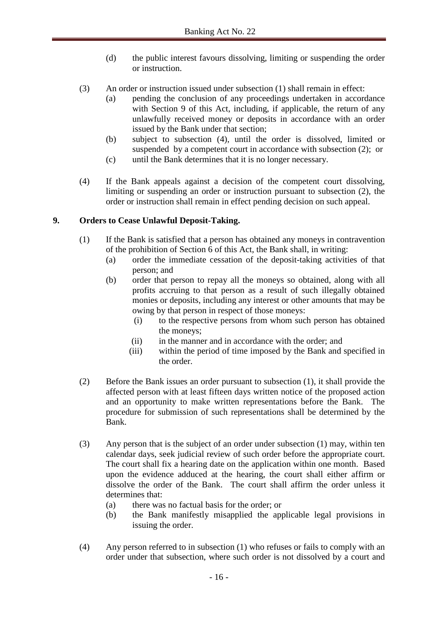- (d) the public interest favours dissolving, limiting or suspending the order or instruction.
- (3) An order or instruction issued under subsection (1) shall remain in effect:
	- (a) pending the conclusion of any proceedings undertaken in accordance with Section 9 of this Act, including, if applicable, the return of any unlawfully received money or deposits in accordance with an order issued by the Bank under that section;
	- (b) subject to subsection (4), until the order is dissolved, limited or suspended by a competent court in accordance with subsection (2); or
	- (c) until the Bank determines that it is no longer necessary.
- (4) If the Bank appeals against a decision of the competent court dissolving, limiting or suspending an order or instruction pursuant to subsection (2), the order or instruction shall remain in effect pending decision on such appeal.

# **9. Orders to Cease Unlawful Deposit-Taking.**

- (1) If the Bank is satisfied that a person has obtained any moneys in contravention of the prohibition of Section 6 of this Act, the Bank shall, in writing:
	- (a) order the immediate cessation of the deposit-taking activities of that person; and
	- (b) order that person to repay all the moneys so obtained, along with all profits accruing to that person as a result of such illegally obtained monies or deposits, including any interest or other amounts that may be owing by that person in respect of those moneys:
		- (i) to the respective persons from whom such person has obtained the moneys;
		- (ii) in the manner and in accordance with the order; and
		- (iii) within the period of time imposed by the Bank and specified in the order.
- (2) Before the Bank issues an order pursuant to subsection (1), it shall provide the affected person with at least fifteen days written notice of the proposed action and an opportunity to make written representations before the Bank. The procedure for submission of such representations shall be determined by the Bank.
- (3) Any person that is the subject of an order under subsection (1) may, within ten calendar days, seek judicial review of such order before the appropriate court. The court shall fix a hearing date on the application within one month. Based upon the evidence adduced at the hearing, the court shall either affirm or dissolve the order of the Bank. The court shall affirm the order unless it determines that:
	- (a) there was no factual basis for the order; or
	- (b) the Bank manifestly misapplied the applicable legal provisions in issuing the order.
- (4) Any person referred to in subsection (1) who refuses or fails to comply with an order under that subsection, where such order is not dissolved by a court and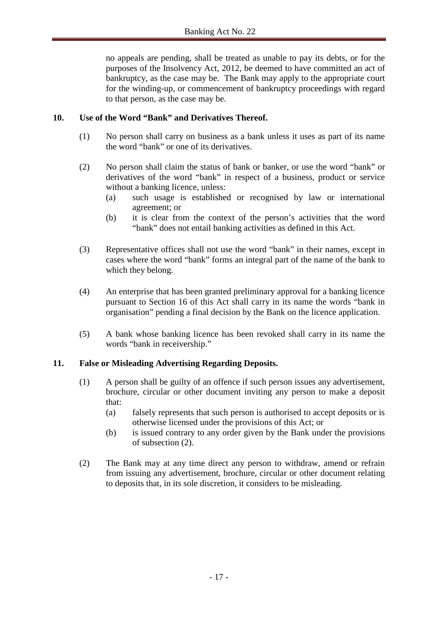no appeals are pending, shall be treated as unable to pay its debts, or for the purposes of the Insolvency Act, 2012, be deemed to have committed an act of bankruptcy, as the case may be. The Bank may apply to the appropriate court for the winding-up, or commencement of bankruptcy proceedings with regard to that person, as the case may be.

## **10. Use of the Word "Bank" and Derivatives Thereof.**

- (1) No person shall carry on business as a bank unless it uses as part of its name the word "bank" or one of its derivatives.
- (2) No person shall claim the status of bank or banker, or use the word "bank" or derivatives of the word "bank" in respect of a business, product or service without a banking licence, unless:
	- (a) such usage is established or recognised by law or international agreement; or
	- (b) it is clear from the context of the person's activities that the word "bank" does not entail banking activities as defined in this Act.
- (3) Representative offices shall not use the word "bank" in their names, except in cases where the word "bank" forms an integral part of the name of the bank to which they belong.
- (4) An enterprise that has been granted preliminary approval for a banking licence pursuant to Section 16 of this Act shall carry in its name the words "bank in organisation" pending a final decision by the Bank on the licence application.
- (5) A bank whose banking licence has been revoked shall carry in its name the words "bank in receivership."

#### **11. False or Misleading Advertising Regarding Deposits.**

- (1) A person shall be guilty of an offence if such person issues any advertisement, brochure, circular or other document inviting any person to make a deposit that:
	- (a) falsely represents that such person is authorised to accept deposits or is otherwise licensed under the provisions of this Act; or
	- (b) is issued contrary to any order given by the Bank under the provisions of subsection (2).
- (2) The Bank may at any time direct any person to withdraw, amend or refrain from issuing any advertisement, brochure, circular or other document relating to deposits that, in its sole discretion, it considers to be misleading.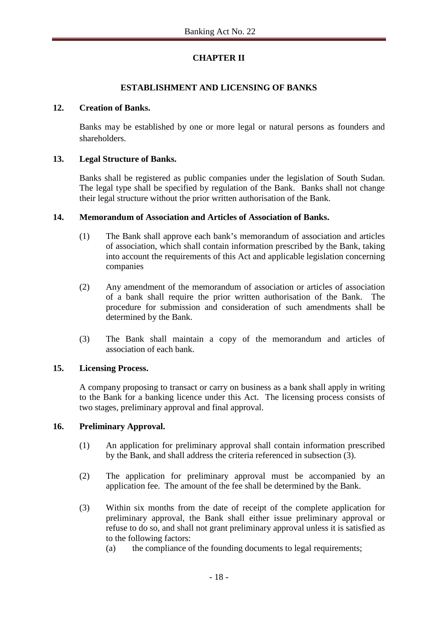# **CHAPTER II**

## **ESTABLISHMENT AND LICENSING OF BANKS**

## **12. Creation of Banks.**

Banks may be established by one or more legal or natural persons as founders and shareholders.

## **13. Legal Structure of Banks.**

Banks shall be registered as public companies under the legislation of South Sudan. The legal type shall be specified by regulation of the Bank. Banks shall not change their legal structure without the prior written authorisation of the Bank.

#### **14. Memorandum of Association and Articles of Association of Banks.**

- (1) The Bank shall approve each bank's memorandum of association and articles of association, which shall contain information prescribed by the Bank, taking into account the requirements of this Act and applicable legislation concerning companies
- (2) Any amendment of the memorandum of association or articles of association of a bank shall require the prior written authorisation of the Bank. The procedure for submission and consideration of such amendments shall be determined by the Bank.
- (3) The Bank shall maintain a copy of the memorandum and articles of association of each bank.

## **15. Licensing Process.**

A company proposing to transact or carry on business as a bank shall apply in writing to the Bank for a banking licence under this Act. The licensing process consists of two stages, preliminary approval and final approval.

## **16. Preliminary Approval.**

- (1) An application for preliminary approval shall contain information prescribed by the Bank, and shall address the criteria referenced in subsection (3).
- (2) The application for preliminary approval must be accompanied by an application fee. The amount of the fee shall be determined by the Bank.
- (3) Within six months from the date of receipt of the complete application for preliminary approval, the Bank shall either issue preliminary approval or refuse to do so, and shall not grant preliminary approval unless it is satisfied as to the following factors:
	- (a) the compliance of the founding documents to legal requirements;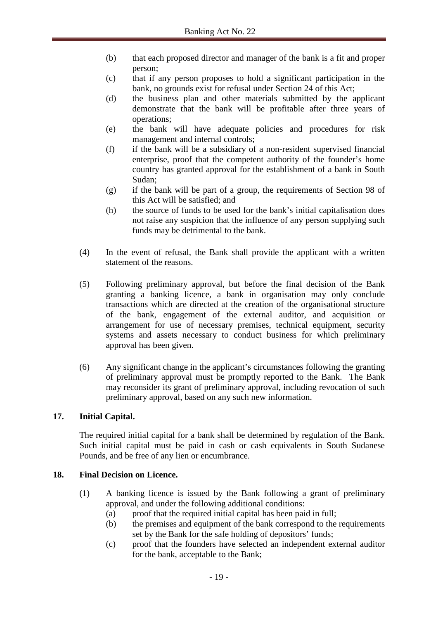- (b) that each proposed director and manager of the bank is a fit and proper person;
- (c) that if any person proposes to hold a significant participation in the bank, no grounds exist for refusal under Section 24 of this Act;
- (d) the business plan and other materials submitted by the applicant demonstrate that the bank will be profitable after three years of operations;
- (e) the bank will have adequate policies and procedures for risk management and internal controls;
- (f) if the bank will be a subsidiary of a non-resident supervised financial enterprise, proof that the competent authority of the founder's home country has granted approval for the establishment of a bank in South Sudan;
- (g) if the bank will be part of a group, the requirements of Section 98 of this Act will be satisfied; and
- (h) the source of funds to be used for the bank's initial capitalisation does not raise any suspicion that the influence of any person supplying such funds may be detrimental to the bank.
- (4) In the event of refusal, the Bank shall provide the applicant with a written statement of the reasons.
- (5) Following preliminary approval, but before the final decision of the Bank granting a banking licence, a bank in organisation may only conclude transactions which are directed at the creation of the organisational structure of the bank, engagement of the external auditor, and acquisition or arrangement for use of necessary premises, technical equipment, security systems and assets necessary to conduct business for which preliminary approval has been given.
- (6) Any significant change in the applicant's circumstances following the granting of preliminary approval must be promptly reported to the Bank. The Bank may reconsider its grant of preliminary approval, including revocation of such preliminary approval, based on any such new information.

## **17. Initial Capital.**

The required initial capital for a bank shall be determined by regulation of the Bank. Such initial capital must be paid in cash or cash equivalents in South Sudanese Pounds, and be free of any lien or encumbrance.

## **18. Final Decision on Licence.**

- (1) A banking licence is issued by the Bank following a grant of preliminary approval, and under the following additional conditions:
	- (a) proof that the required initial capital has been paid in full;
	- (b) the premises and equipment of the bank correspond to the requirements set by the Bank for the safe holding of depositors' funds;
	- (c) proof that the founders have selected an independent external auditor for the bank, acceptable to the Bank;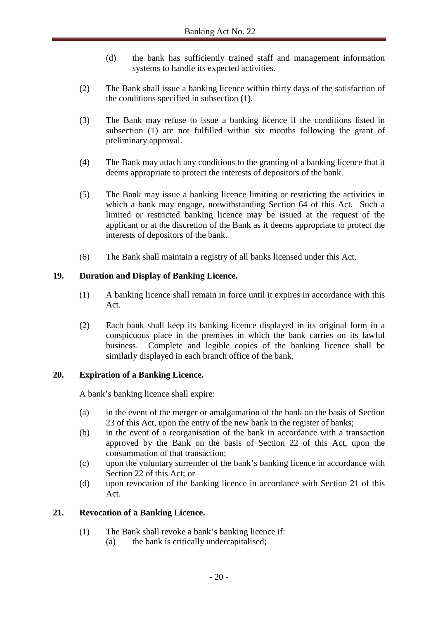- (d) the bank has sufficiently trained staff and management information systems to handle its expected activities.
- (2) The Bank shall issue a banking licence within thirty days of the satisfaction of the conditions specified in subsection (1).
- (3) The Bank may refuse to issue a banking licence if the conditions listed in subsection (1) are not fulfilled within six months following the grant of preliminary approval.
- (4) The Bank may attach any conditions to the granting of a banking licence that it deems appropriate to protect the interests of depositors of the bank.
- (5) The Bank may issue a banking licence limiting or restricting the activities in which a bank may engage, notwithstanding Section 64 of this Act. Such a limited or restricted banking licence may be issued at the request of the applicant or at the discretion of the Bank as it deems appropriate to protect the interests of depositors of the bank.
- (6) The Bank shall maintain a registry of all banks licensed under this Act.

## **19. Duration and Display of Banking Licence.**

- (1) A banking licence shall remain in force until it expires in accordance with this Act.
- (2) Each bank shall keep its banking licence displayed in its original form in a conspicuous place in the premises in which the bank carries on its lawful business. Complete and legible copies of the banking licence shall be similarly displayed in each branch office of the bank.

#### **20. Expiration of a Banking Licence.**

A bank's banking licence shall expire:

- (a) in the event of the merger or amalgamation of the bank on the basis of Section 23 of this Act, upon the entry of the new bank in the register of banks;
- (b) in the event of a reorganisation of the bank in accordance with a transaction approved by the Bank on the basis of Section 22 of this Act, upon the consummation of that transaction;
- (c) upon the voluntary surrender of the bank's banking licence in accordance with Section 22 of this Act; or
- (d) upon revocation of the banking licence in accordance with Section 21 of this Act.

#### **21. Revocation of a Banking Licence.**

- (1) The Bank shall revoke a bank's banking licence if:
	- (a) the bank is critically undercapitalised;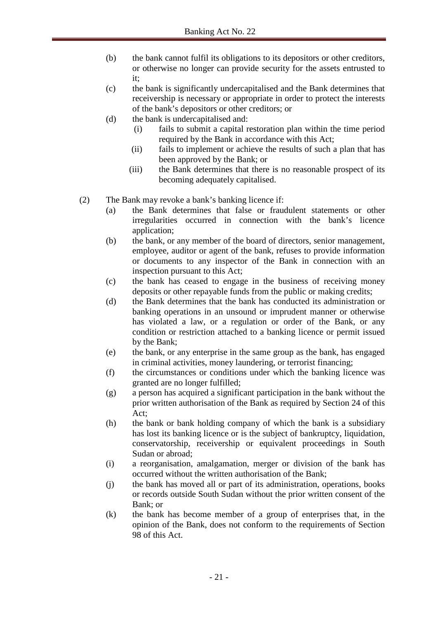- (b) the bank cannot fulfil its obligations to its depositors or other creditors, or otherwise no longer can provide security for the assets entrusted to it;
- (c) the bank is significantly undercapitalised and the Bank determines that receivership is necessary or appropriate in order to protect the interests of the bank's depositors or other creditors; or
- (d) the bank is undercapitalised and:
	- (i) fails to submit a capital restoration plan within the time period required by the Bank in accordance with this Act;
	- (ii) fails to implement or achieve the results of such a plan that has been approved by the Bank; or
	- (iii) the Bank determines that there is no reasonable prospect of its becoming adequately capitalised.
- (2) The Bank may revoke a bank's banking licence if:
	- (a) the Bank determines that false or fraudulent statements or other irregularities occurred in connection with the bank's licence application;
	- (b) the bank, or any member of the board of directors, senior management, employee, auditor or agent of the bank, refuses to provide information or documents to any inspector of the Bank in connection with an inspection pursuant to this Act;
	- (c) the bank has ceased to engage in the business of receiving money deposits or other repayable funds from the public or making credits;
	- (d) the Bank determines that the bank has conducted its administration or banking operations in an unsound or imprudent manner or otherwise has violated a law, or a regulation or order of the Bank, or any condition or restriction attached to a banking licence or permit issued by the Bank;
	- (e) the bank, or any enterprise in the same group as the bank, has engaged in criminal activities, money laundering, or terrorist financing;
	- (f) the circumstances or conditions under which the banking licence was granted are no longer fulfilled;
	- (g) a person has acquired a significant participation in the bank without the prior written authorisation of the Bank as required by Section 24 of this Act;
	- (h) the bank or bank holding company of which the bank is a subsidiary has lost its banking licence or is the subject of bankruptcy, liquidation, conservatorship, receivership or equivalent proceedings in South Sudan or abroad;
	- (i) a reorganisation, amalgamation, merger or division of the bank has occurred without the written authorisation of the Bank;
	- (j) the bank has moved all or part of its administration, operations, books or records outside South Sudan without the prior written consent of the Bank; or
	- (k) the bank has become member of a group of enterprises that, in the opinion of the Bank, does not conform to the requirements of Section 98 of this Act.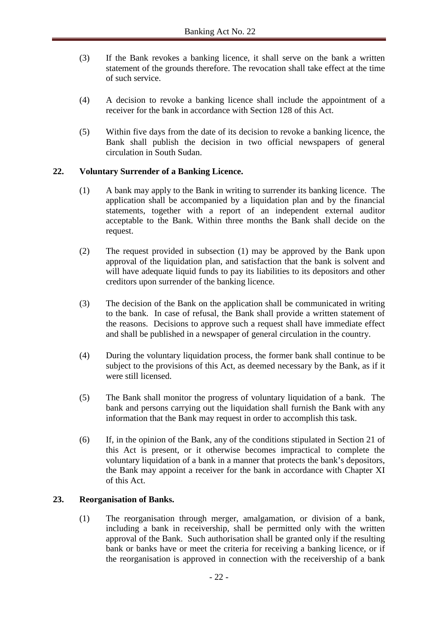- (3) If the Bank revokes a banking licence, it shall serve on the bank a written statement of the grounds therefore. The revocation shall take effect at the time of such service.
- (4) A decision to revoke a banking licence shall include the appointment of a receiver for the bank in accordance with Section 128 of this Act.
- (5) Within five days from the date of its decision to revoke a banking licence, the Bank shall publish the decision in two official newspapers of general circulation in South Sudan.

#### **22. Voluntary Surrender of a Banking Licence.**

- (1) A bank may apply to the Bank in writing to surrender its banking licence. The application shall be accompanied by a liquidation plan and by the financial statements, together with a report of an independent external auditor acceptable to the Bank. Within three months the Bank shall decide on the request.
- (2) The request provided in subsection (1) may be approved by the Bank upon approval of the liquidation plan, and satisfaction that the bank is solvent and will have adequate liquid funds to pay its liabilities to its depositors and other creditors upon surrender of the banking licence.
- (3) The decision of the Bank on the application shall be communicated in writing to the bank. In case of refusal, the Bank shall provide a written statement of the reasons. Decisions to approve such a request shall have immediate effect and shall be published in a newspaper of general circulation in the country.
- (4) During the voluntary liquidation process, the former bank shall continue to be subject to the provisions of this Act, as deemed necessary by the Bank, as if it were still licensed.
- (5) The Bank shall monitor the progress of voluntary liquidation of a bank. The bank and persons carrying out the liquidation shall furnish the Bank with any information that the Bank may request in order to accomplish this task.
- (6) If, in the opinion of the Bank, any of the conditions stipulated in Section 21 of this Act is present, or it otherwise becomes impractical to complete the voluntary liquidation of a bank in a manner that protects the bank's depositors, the Bank may appoint a receiver for the bank in accordance with Chapter XI of this Act.

#### **23. Reorganisation of Banks.**

(1) The reorganisation through merger, amalgamation, or division of a bank, including a bank in receivership, shall be permitted only with the written approval of the Bank. Such authorisation shall be granted only if the resulting bank or banks have or meet the criteria for receiving a banking licence, or if the reorganisation is approved in connection with the receivership of a bank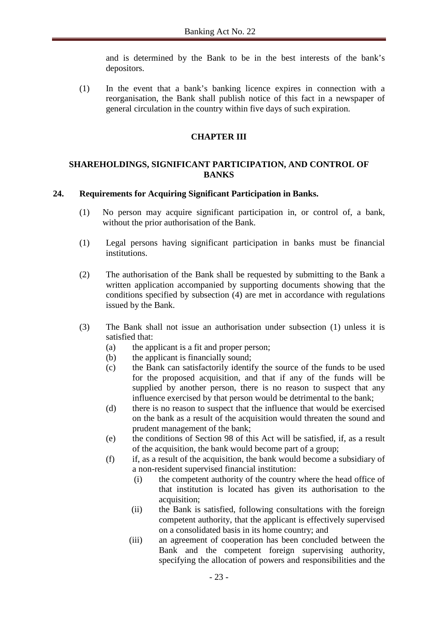and is determined by the Bank to be in the best interests of the bank's depositors.

(1) In the event that a bank's banking licence expires in connection with a reorganisation, the Bank shall publish notice of this fact in a newspaper of general circulation in the country within five days of such expiration.

#### **CHAPTER III**

#### **SHAREHOLDINGS, SIGNIFICANT PARTICIPATION, AND CONTROL OF BANKS**

#### **24. Requirements for Acquiring Significant Participation in Banks.**

- (1) No person may acquire significant participation in, or control of, a bank, without the prior authorisation of the Bank.
- (1) Legal persons having significant participation in banks must be financial institutions.
- (2) The authorisation of the Bank shall be requested by submitting to the Bank a written application accompanied by supporting documents showing that the conditions specified by subsection (4) are met in accordance with regulations issued by the Bank.
- (3) The Bank shall not issue an authorisation under subsection (1) unless it is satisfied that:
	- (a) the applicant is a fit and proper person;
	- (b) the applicant is financially sound;
	- (c) the Bank can satisfactorily identify the source of the funds to be used for the proposed acquisition, and that if any of the funds will be supplied by another person, there is no reason to suspect that any influence exercised by that person would be detrimental to the bank;
	- (d) there is no reason to suspect that the influence that would be exercised on the bank as a result of the acquisition would threaten the sound and prudent management of the bank;
	- (e) the conditions of Section 98 of this Act will be satisfied, if, as a result of the acquisition, the bank would become part of a group;
	- (f) if, as a result of the acquisition, the bank would become a subsidiary of a non-resident supervised financial institution:
		- (i) the competent authority of the country where the head office of that institution is located has given its authorisation to the acquisition:
		- (ii) the Bank is satisfied, following consultations with the foreign competent authority, that the applicant is effectively supervised on a consolidated basis in its home country; and
		- (iii) an agreement of cooperation has been concluded between the Bank and the competent foreign supervising authority, specifying the allocation of powers and responsibilities and the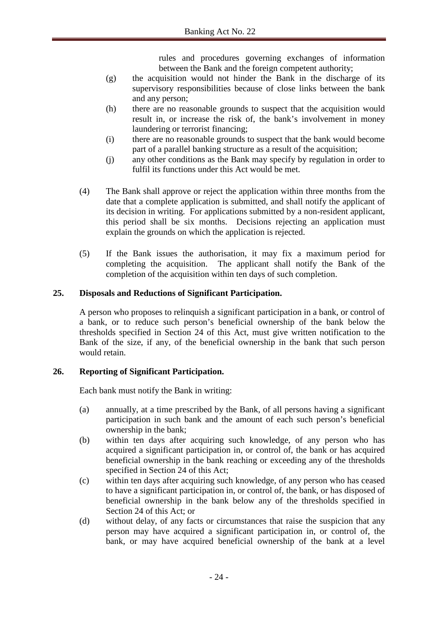rules and procedures governing exchanges of information between the Bank and the foreign competent authority;

- (g) the acquisition would not hinder the Bank in the discharge of its supervisory responsibilities because of close links between the bank and any person;
- (h) there are no reasonable grounds to suspect that the acquisition would result in, or increase the risk of, the bank's involvement in money laundering or terrorist financing;
- (i) there are no reasonable grounds to suspect that the bank would become part of a parallel banking structure as a result of the acquisition;
- (j) any other conditions as the Bank may specify by regulation in order to fulfil its functions under this Act would be met.
- (4) The Bank shall approve or reject the application within three months from the date that a complete application is submitted, and shall notify the applicant of its decision in writing. For applications submitted by a non-resident applicant, this period shall be six months. Decisions rejecting an application must explain the grounds on which the application is rejected.
- (5) If the Bank issues the authorisation, it may fix a maximum period for completing the acquisition. The applicant shall notify the Bank of the completion of the acquisition within ten days of such completion.

# **25. Disposals and Reductions of Significant Participation.**

A person who proposes to relinquish a significant participation in a bank, or control of a bank, or to reduce such person's beneficial ownership of the bank below the thresholds specified in Section 24 of this Act, must give written notification to the Bank of the size, if any, of the beneficial ownership in the bank that such person would retain.

## **26. Reporting of Significant Participation.**

Each bank must notify the Bank in writing:

- (a) annually, at a time prescribed by the Bank, of all persons having a significant participation in such bank and the amount of each such person's beneficial ownership in the bank;
- (b) within ten days after acquiring such knowledge, of any person who has acquired a significant participation in, or control of, the bank or has acquired beneficial ownership in the bank reaching or exceeding any of the thresholds specified in Section 24 of this Act;
- (c) within ten days after acquiring such knowledge, of any person who has ceased to have a significant participation in, or control of, the bank, or has disposed of beneficial ownership in the bank below any of the thresholds specified in Section 24 of this Act; or
- (d) without delay, of any facts or circumstances that raise the suspicion that any person may have acquired a significant participation in, or control of, the bank, or may have acquired beneficial ownership of the bank at a level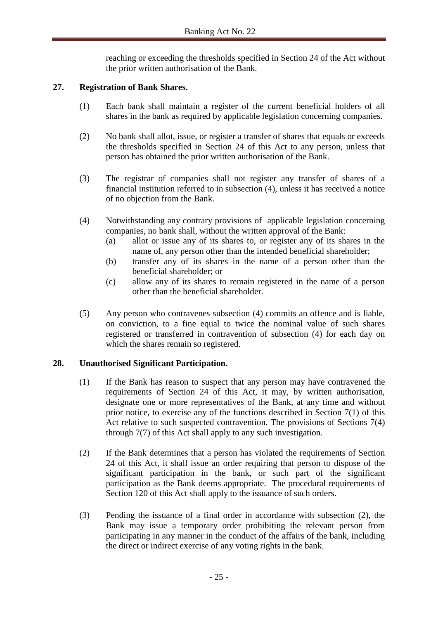reaching or exceeding the thresholds specified in Section 24 of the Act without the prior written authorisation of the Bank.

#### **27. Registration of Bank Shares.**

- (1) Each bank shall maintain a register of the current beneficial holders of all shares in the bank as required by applicable legislation concerning companies.
- (2) No bank shall allot, issue, or register a transfer of shares that equals or exceeds the thresholds specified in Section 24 of this Act to any person, unless that person has obtained the prior written authorisation of the Bank.
- (3) The registrar of companies shall not register any transfer of shares of a financial institution referred to in subsection (4), unless it has received a notice of no objection from the Bank.
- (4) Notwithstanding any contrary provisions of applicable legislation concerning companies, no bank shall, without the written approval of the Bank:
	- (a) allot or issue any of its shares to, or register any of its shares in the name of, any person other than the intended beneficial shareholder;
	- (b) transfer any of its shares in the name of a person other than the beneficial shareholder; or
	- (c) allow any of its shares to remain registered in the name of a person other than the beneficial shareholder.
- (5) Any person who contravenes subsection (4) commits an offence and is liable, on conviction, to a fine equal to twice the nominal value of such shares registered or transferred in contravention of subsection (4) for each day on which the shares remain so registered.

#### **28. Unauthorised Significant Participation.**

- (1) If the Bank has reason to suspect that any person may have contravened the requirements of Section 24 of this Act, it may, by written authorisation, designate one or more representatives of the Bank, at any time and without prior notice, to exercise any of the functions described in Section 7(1) of this Act relative to such suspected contravention. The provisions of Sections 7(4) through 7(7) of this Act shall apply to any such investigation.
- (2) If the Bank determines that a person has violated the requirements of Section 24 of this Act, it shall issue an order requiring that person to dispose of the significant participation in the bank, or such part of the significant participation as the Bank deems appropriate. The procedural requirements of Section 120 of this Act shall apply to the issuance of such orders.
- (3) Pending the issuance of a final order in accordance with subsection (2), the Bank may issue a temporary order prohibiting the relevant person from participating in any manner in the conduct of the affairs of the bank, including the direct or indirect exercise of any voting rights in the bank.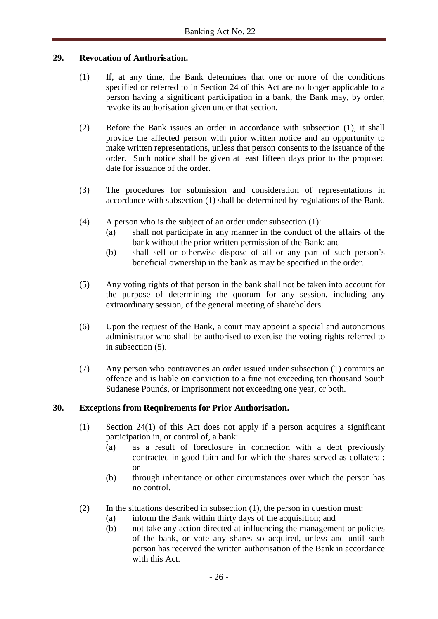#### **29. Revocation of Authorisation.**

- (1) If, at any time, the Bank determines that one or more of the conditions specified or referred to in Section 24 of this Act are no longer applicable to a person having a significant participation in a bank, the Bank may, by order, revoke its authorisation given under that section.
- (2) Before the Bank issues an order in accordance with subsection (1), it shall provide the affected person with prior written notice and an opportunity to make written representations, unless that person consents to the issuance of the order. Such notice shall be given at least fifteen days prior to the proposed date for issuance of the order.
- (3) The procedures for submission and consideration of representations in accordance with subsection (1) shall be determined by regulations of the Bank.
- (4) A person who is the subject of an order under subsection (1):
	- (a) shall not participate in any manner in the conduct of the affairs of the bank without the prior written permission of the Bank; and
	- (b) shall sell or otherwise dispose of all or any part of such person's beneficial ownership in the bank as may be specified in the order.
- (5) Any voting rights of that person in the bank shall not be taken into account for the purpose of determining the quorum for any session, including any extraordinary session, of the general meeting of shareholders.
- (6) Upon the request of the Bank, a court may appoint a special and autonomous administrator who shall be authorised to exercise the voting rights referred to in subsection (5).
- (7) Any person who contravenes an order issued under subsection (1) commits an offence and is liable on conviction to a fine not exceeding ten thousand South Sudanese Pounds, or imprisonment not exceeding one year, or both.

#### **30. Exceptions from Requirements for Prior Authorisation.**

- (1) Section 24(1) of this Act does not apply if a person acquires a significant participation in, or control of, a bank:
	- (a) as a result of foreclosure in connection with a debt previously contracted in good faith and for which the shares served as collateral; or
	- (b) through inheritance or other circumstances over which the person has no control.
- (2) In the situations described in subsection (1), the person in question must:
	- (a) inform the Bank within thirty days of the acquisition; and
	- (b) not take any action directed at influencing the management or policies of the bank, or vote any shares so acquired, unless and until such person has received the written authorisation of the Bank in accordance with this Act.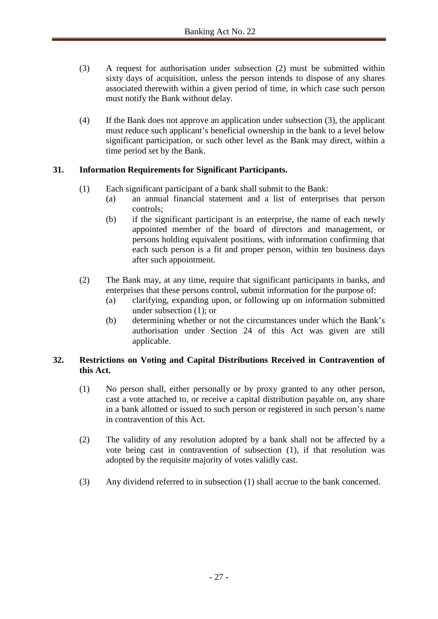- (3) A request for authorisation under subsection (2) must be submitted within sixty days of acquisition, unless the person intends to dispose of any shares associated therewith within a given period of time, in which case such person must notify the Bank without delay.
- (4) If the Bank does not approve an application under subsection (3), the applicant must reduce such applicant's beneficial ownership in the bank to a level below significant participation, or such other level as the Bank may direct, within a time period set by the Bank.

## **31. Information Requirements for Significant Participants.**

- (1) Each significant participant of a bank shall submit to the Bank:
	- (a) an annual financial statement and a list of enterprises that person controls;
	- (b) if the significant participant is an enterprise, the name of each newly appointed member of the board of directors and management, or persons holding equivalent positions, with information confirming that each such person is a fit and proper person, within ten business days after such appointment.
- (2) The Bank may, at any time, require that significant participants in banks, and enterprises that these persons control, submit information for the purpose of:
	- (a) clarifying, expanding upon, or following up on information submitted under subsection (1); or
	- (b) determining whether or not the circumstances under which the Bank's authorisation under Section 24 of this Act was given are still applicable.

## **32. Restrictions on Voting and Capital Distributions Received in Contravention of this Act.**

- (1) No person shall, either personally or by proxy granted to any other person, cast a vote attached to, or receive a capital distribution payable on, any share in a bank allotted or issued to such person or registered in such person's name in contravention of this Act.
- (2) The validity of any resolution adopted by a bank shall not be affected by a vote being cast in contravention of subsection (1), if that resolution was adopted by the requisite majority of votes validly cast.
- (3) Any dividend referred to in subsection (1) shall accrue to the bank concerned.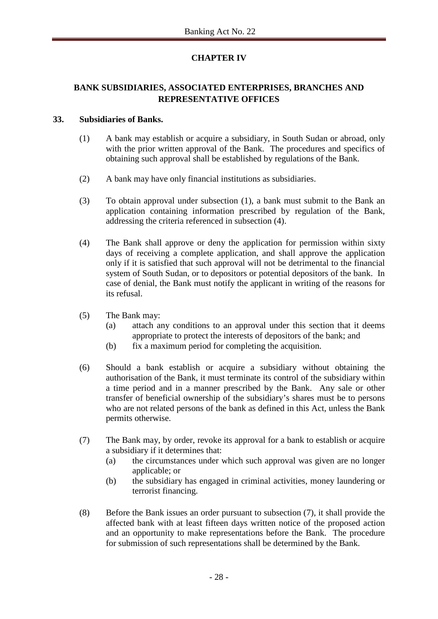# **CHAPTER IV**

# **BANK SUBSIDIARIES, ASSOCIATED ENTERPRISES, BRANCHES AND REPRESENTATIVE OFFICES**

## **33. Subsidiaries of Banks.**

- (1) A bank may establish or acquire a subsidiary, in South Sudan or abroad, only with the prior written approval of the Bank. The procedures and specifics of obtaining such approval shall be established by regulations of the Bank.
- (2) A bank may have only financial institutions as subsidiaries.
- (3) To obtain approval under subsection (1), a bank must submit to the Bank an application containing information prescribed by regulation of the Bank, addressing the criteria referenced in subsection (4).
- (4) The Bank shall approve or deny the application for permission within sixty days of receiving a complete application, and shall approve the application only if it is satisfied that such approval will not be detrimental to the financial system of South Sudan, or to depositors or potential depositors of the bank. In case of denial, the Bank must notify the applicant in writing of the reasons for its refusal.
- (5) The Bank may:
	- (a) attach any conditions to an approval under this section that it deems appropriate to protect the interests of depositors of the bank; and
	- (b) fix a maximum period for completing the acquisition.
- (6) Should a bank establish or acquire a subsidiary without obtaining the authorisation of the Bank, it must terminate its control of the subsidiary within a time period and in a manner prescribed by the Bank. Any sale or other transfer of beneficial ownership of the subsidiary's shares must be to persons who are not related persons of the bank as defined in this Act, unless the Bank permits otherwise.
- (7) The Bank may, by order, revoke its approval for a bank to establish or acquire a subsidiary if it determines that:
	- (a) the circumstances under which such approval was given are no longer applicable; or
	- (b) the subsidiary has engaged in criminal activities, money laundering or terrorist financing.
- (8) Before the Bank issues an order pursuant to subsection (7), it shall provide the affected bank with at least fifteen days written notice of the proposed action and an opportunity to make representations before the Bank. The procedure for submission of such representations shall be determined by the Bank.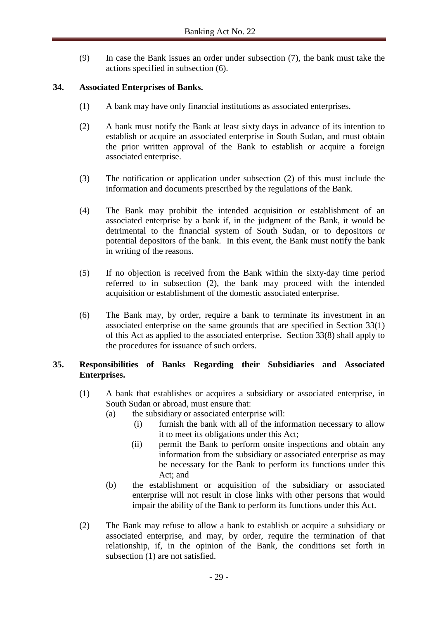(9) In case the Bank issues an order under subsection (7), the bank must take the actions specified in subsection (6).

## **34. Associated Enterprises of Banks.**

- (1) A bank may have only financial institutions as associated enterprises.
- (2) A bank must notify the Bank at least sixty days in advance of its intention to establish or acquire an associated enterprise in South Sudan, and must obtain the prior written approval of the Bank to establish or acquire a foreign associated enterprise.
- (3) The notification or application under subsection (2) of this must include the information and documents prescribed by the regulations of the Bank.
- (4) The Bank may prohibit the intended acquisition or establishment of an associated enterprise by a bank if, in the judgment of the Bank, it would be detrimental to the financial system of South Sudan, or to depositors or potential depositors of the bank. In this event, the Bank must notify the bank in writing of the reasons.
- (5) If no objection is received from the Bank within the sixty-day time period referred to in subsection (2), the bank may proceed with the intended acquisition or establishment of the domestic associated enterprise.
- (6) The Bank may, by order, require a bank to terminate its investment in an associated enterprise on the same grounds that are specified in Section 33(1) of this Act as applied to the associated enterprise. Section 33(8) shall apply to the procedures for issuance of such orders.

## **35. Responsibilities of Banks Regarding their Subsidiaries and Associated Enterprises.**

- (1) A bank that establishes or acquires a subsidiary or associated enterprise, in South Sudan or abroad, must ensure that:
	- (a) the subsidiary or associated enterprise will:
		- (i) furnish the bank with all of the information necessary to allow it to meet its obligations under this Act;
		- (ii) permit the Bank to perform onsite inspections and obtain any information from the subsidiary or associated enterprise as may be necessary for the Bank to perform its functions under this Act; and
	- (b) the establishment or acquisition of the subsidiary or associated enterprise will not result in close links with other persons that would impair the ability of the Bank to perform its functions under this Act.
- (2) The Bank may refuse to allow a bank to establish or acquire a subsidiary or associated enterprise, and may, by order, require the termination of that relationship, if, in the opinion of the Bank, the conditions set forth in subsection (1) are not satisfied.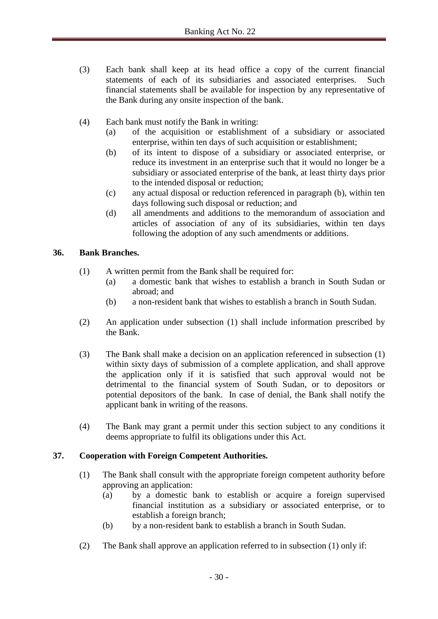- (3) Each bank shall keep at its head office a copy of the current financial statements of each of its subsidiaries and associated enterprises. Such financial statements shall be available for inspection by any representative of the Bank during any onsite inspection of the bank.
- (4) Each bank must notify the Bank in writing:
	- (a) of the acquisition or establishment of a subsidiary or associated enterprise, within ten days of such acquisition or establishment;
	- (b) of its intent to dispose of a subsidiary or associated enterprise, or reduce its investment in an enterprise such that it would no longer be a subsidiary or associated enterprise of the bank, at least thirty days prior to the intended disposal or reduction;
	- (c) any actual disposal or reduction referenced in paragraph (b), within ten days following such disposal or reduction; and
	- (d) all amendments and additions to the memorandum of association and articles of association of any of its subsidiaries, within ten days following the adoption of any such amendments or additions.

#### **36. Bank Branches.**

- (1) A written permit from the Bank shall be required for:
	- (a) a domestic bank that wishes to establish a branch in South Sudan or abroad; and
	- (b) a non-resident bank that wishes to establish a branch in South Sudan.
- (2) An application under subsection (1) shall include information prescribed by the Bank.
- (3) The Bank shall make a decision on an application referenced in subsection (1) within sixty days of submission of a complete application, and shall approve the application only if it is satisfied that such approval would not be detrimental to the financial system of South Sudan, or to depositors or potential depositors of the bank. In case of denial, the Bank shall notify the applicant bank in writing of the reasons.
- (4) The Bank may grant a permit under this section subject to any conditions it deems appropriate to fulfil its obligations under this Act.

## **37. Cooperation with Foreign Competent Authorities.**

- (1) The Bank shall consult with the appropriate foreign competent authority before approving an application:
	- (a) by a domestic bank to establish or acquire a foreign supervised financial institution as a subsidiary or associated enterprise, or to establish a foreign branch;
	- (b) by a non-resident bank to establish a branch in South Sudan.
- (2) The Bank shall approve an application referred to in subsection (1) only if: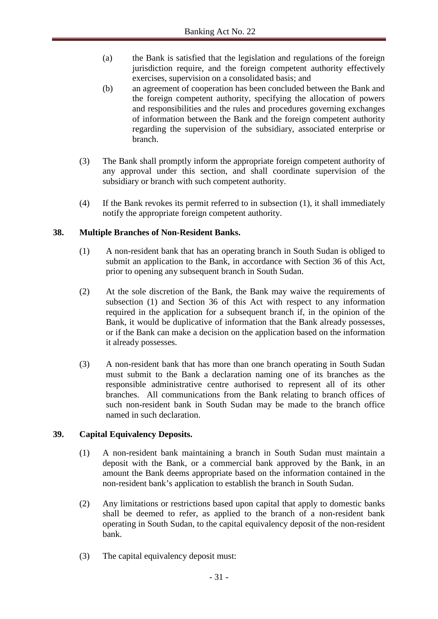- (a) the Bank is satisfied that the legislation and regulations of the foreign jurisdiction require, and the foreign competent authority effectively exercises, supervision on a consolidated basis; and
- (b) an agreement of cooperation has been concluded between the Bank and the foreign competent authority, specifying the allocation of powers and responsibilities and the rules and procedures governing exchanges of information between the Bank and the foreign competent authority regarding the supervision of the subsidiary, associated enterprise or branch.
- (3) The Bank shall promptly inform the appropriate foreign competent authority of any approval under this section, and shall coordinate supervision of the subsidiary or branch with such competent authority.
- (4) If the Bank revokes its permit referred to in subsection (1), it shall immediately notify the appropriate foreign competent authority.

## **38. Multiple Branches of Non-Resident Banks.**

- (1) A non-resident bank that has an operating branch in South Sudan is obliged to submit an application to the Bank, in accordance with Section 36 of this Act, prior to opening any subsequent branch in South Sudan.
- (2) At the sole discretion of the Bank, the Bank may waive the requirements of subsection (1) and Section 36 of this Act with respect to any information required in the application for a subsequent branch if, in the opinion of the Bank, it would be duplicative of information that the Bank already possesses, or if the Bank can make a decision on the application based on the information it already possesses.
- (3) A non-resident bank that has more than one branch operating in South Sudan must submit to the Bank a declaration naming one of its branches as the responsible administrative centre authorised to represent all of its other branches. All communications from the Bank relating to branch offices of such non-resident bank in South Sudan may be made to the branch office named in such declaration.

## **39. Capital Equivalency Deposits.**

- (1) A non-resident bank maintaining a branch in South Sudan must maintain a deposit with the Bank, or a commercial bank approved by the Bank, in an amount the Bank deems appropriate based on the information contained in the non-resident bank's application to establish the branch in South Sudan.
- (2) Any limitations or restrictions based upon capital that apply to domestic banks shall be deemed to refer, as applied to the branch of a non-resident bank operating in South Sudan, to the capital equivalency deposit of the non-resident bank.
- (3) The capital equivalency deposit must: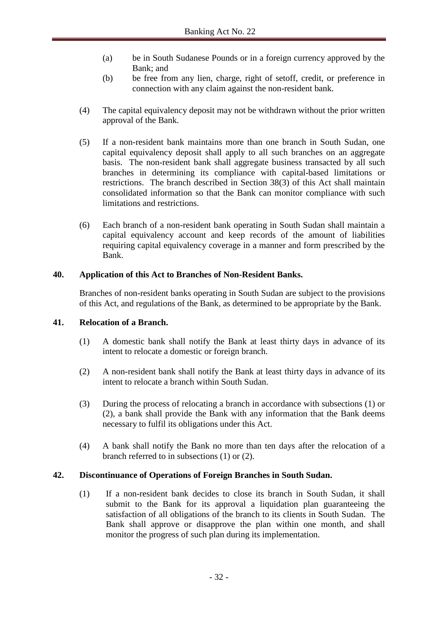- (a) be in South Sudanese Pounds or in a foreign currency approved by the Bank; and
- (b) be free from any lien, charge, right of setoff, credit, or preference in connection with any claim against the non-resident bank.
- (4) The capital equivalency deposit may not be withdrawn without the prior written approval of the Bank.
- (5) If a non-resident bank maintains more than one branch in South Sudan, one capital equivalency deposit shall apply to all such branches on an aggregate basis. The non-resident bank shall aggregate business transacted by all such branches in determining its compliance with capital-based limitations or restrictions. The branch described in Section 38(3) of this Act shall maintain consolidated information so that the Bank can monitor compliance with such limitations and restrictions.
- (6) Each branch of a non-resident bank operating in South Sudan shall maintain a capital equivalency account and keep records of the amount of liabilities requiring capital equivalency coverage in a manner and form prescribed by the Bank.

## **40. Application of this Act to Branches of Non-Resident Banks.**

Branches of non-resident banks operating in South Sudan are subject to the provisions of this Act, and regulations of the Bank, as determined to be appropriate by the Bank.

## **41. Relocation of a Branch.**

- (1) A domestic bank shall notify the Bank at least thirty days in advance of its intent to relocate a domestic or foreign branch.
- (2) A non-resident bank shall notify the Bank at least thirty days in advance of its intent to relocate a branch within South Sudan.
- (3) During the process of relocating a branch in accordance with subsections (1) or (2), a bank shall provide the Bank with any information that the Bank deems necessary to fulfil its obligations under this Act.
- (4) A bank shall notify the Bank no more than ten days after the relocation of a branch referred to in subsections (1) or (2).

## **42. Discontinuance of Operations of Foreign Branches in South Sudan.**

(1) If a non-resident bank decides to close its branch in South Sudan, it shall submit to the Bank for its approval a liquidation plan guaranteeing the satisfaction of all obligations of the branch to its clients in South Sudan. The Bank shall approve or disapprove the plan within one month, and shall monitor the progress of such plan during its implementation.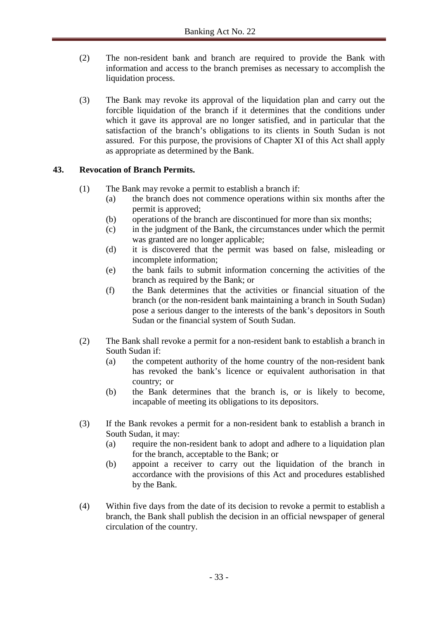- (2) The non-resident bank and branch are required to provide the Bank with information and access to the branch premises as necessary to accomplish the liquidation process.
- (3) The Bank may revoke its approval of the liquidation plan and carry out the forcible liquidation of the branch if it determines that the conditions under which it gave its approval are no longer satisfied, and in particular that the satisfaction of the branch's obligations to its clients in South Sudan is not assured. For this purpose, the provisions of Chapter XI of this Act shall apply as appropriate as determined by the Bank.

## **43. Revocation of Branch Permits.**

- (1) The Bank may revoke a permit to establish a branch if:
	- (a) the branch does not commence operations within six months after the permit is approved;
	- (b) operations of the branch are discontinued for more than six months;
	- (c) in the judgment of the Bank, the circumstances under which the permit was granted are no longer applicable;
	- (d) it is discovered that the permit was based on false, misleading or incomplete information;
	- (e) the bank fails to submit information concerning the activities of the branch as required by the Bank; or
	- (f) the Bank determines that the activities or financial situation of the branch (or the non-resident bank maintaining a branch in South Sudan) pose a serious danger to the interests of the bank's depositors in South Sudan or the financial system of South Sudan.
- (2) The Bank shall revoke a permit for a non-resident bank to establish a branch in South Sudan if:
	- (a) the competent authority of the home country of the non-resident bank has revoked the bank's licence or equivalent authorisation in that country; or
	- (b) the Bank determines that the branch is, or is likely to become, incapable of meeting its obligations to its depositors.
- (3) If the Bank revokes a permit for a non-resident bank to establish a branch in South Sudan, it may:
	- (a) require the non-resident bank to adopt and adhere to a liquidation plan for the branch, acceptable to the Bank; or
	- (b) appoint a receiver to carry out the liquidation of the branch in accordance with the provisions of this Act and procedures established by the Bank.
- (4) Within five days from the date of its decision to revoke a permit to establish a branch, the Bank shall publish the decision in an official newspaper of general circulation of the country.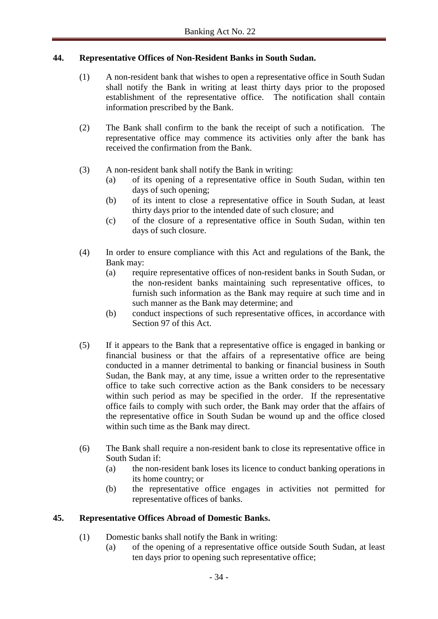#### **44. Representative Offices of Non-Resident Banks in South Sudan.**

- (1) A non-resident bank that wishes to open a representative office in South Sudan shall notify the Bank in writing at least thirty days prior to the proposed establishment of the representative office. The notification shall contain information prescribed by the Bank.
- (2) The Bank shall confirm to the bank the receipt of such a notification. The representative office may commence its activities only after the bank has received the confirmation from the Bank.
- (3) A non-resident bank shall notify the Bank in writing:
	- (a) of its opening of a representative office in South Sudan, within ten days of such opening;
	- (b) of its intent to close a representative office in South Sudan, at least thirty days prior to the intended date of such closure; and
	- (c) of the closure of a representative office in South Sudan, within ten days of such closure.
- (4) In order to ensure compliance with this Act and regulations of the Bank, the Bank may:
	- (a) require representative offices of non-resident banks in South Sudan, or the non-resident banks maintaining such representative offices, to furnish such information as the Bank may require at such time and in such manner as the Bank may determine; and
	- (b) conduct inspections of such representative offices, in accordance with Section 97 of this Act.
- (5) If it appears to the Bank that a representative office is engaged in banking or financial business or that the affairs of a representative office are being conducted in a manner detrimental to banking or financial business in South Sudan, the Bank may, at any time, issue a written order to the representative office to take such corrective action as the Bank considers to be necessary within such period as may be specified in the order. If the representative office fails to comply with such order, the Bank may order that the affairs of the representative office in South Sudan be wound up and the office closed within such time as the Bank may direct.
- (6) The Bank shall require a non-resident bank to close its representative office in South Sudan if:
	- (a) the non-resident bank loses its licence to conduct banking operations in its home country; or
	- (b) the representative office engages in activities not permitted for representative offices of banks.

#### **45. Representative Offices Abroad of Domestic Banks.**

- (1) Domestic banks shall notify the Bank in writing:
	- (a) of the opening of a representative office outside South Sudan, at least ten days prior to opening such representative office;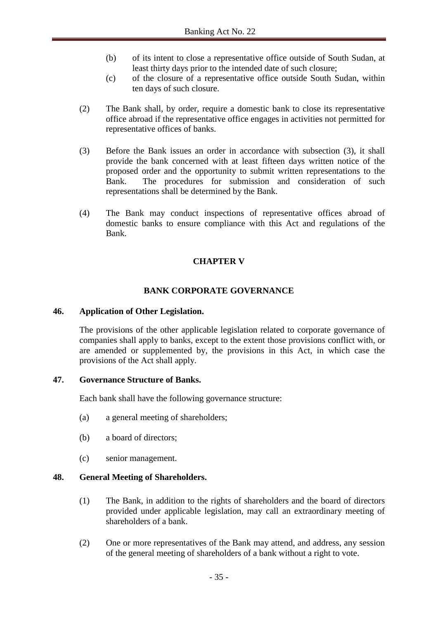- (b) of its intent to close a representative office outside of South Sudan, at least thirty days prior to the intended date of such closure;
- (c) of the closure of a representative office outside South Sudan, within ten days of such closure.
- (2) The Bank shall, by order, require a domestic bank to close its representative office abroad if the representative office engages in activities not permitted for representative offices of banks.
- (3) Before the Bank issues an order in accordance with subsection (3), it shall provide the bank concerned with at least fifteen days written notice of the proposed order and the opportunity to submit written representations to the Bank. The procedures for submission and consideration of such representations shall be determined by the Bank.
- (4) The Bank may conduct inspections of representative offices abroad of domestic banks to ensure compliance with this Act and regulations of the Bank.

# **CHAPTER V**

# **BANK CORPORATE GOVERNANCE**

#### **46. Application of Other Legislation.**

The provisions of the other applicable legislation related to corporate governance of companies shall apply to banks, except to the extent those provisions conflict with, or are amended or supplemented by, the provisions in this Act, in which case the provisions of the Act shall apply.

#### **47. Governance Structure of Banks.**

Each bank shall have the following governance structure:

- (a) a general meeting of shareholders;
- (b) a board of directors;
- (c) senior management.

#### **48. General Meeting of Shareholders.**

- (1) The Bank, in addition to the rights of shareholders and the board of directors provided under applicable legislation, may call an extraordinary meeting of shareholders of a bank.
- (2) One or more representatives of the Bank may attend, and address, any session of the general meeting of shareholders of a bank without a right to vote.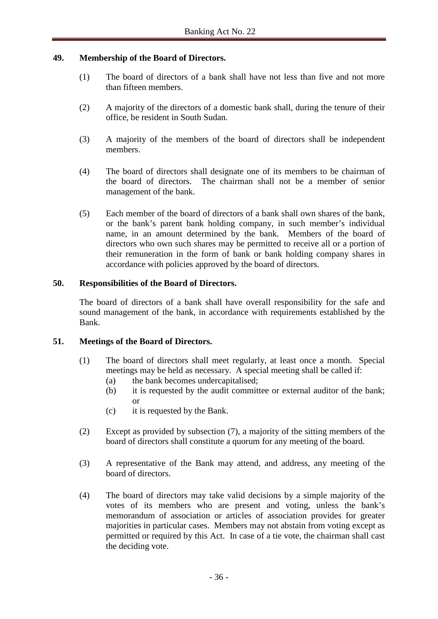### **49. Membership of the Board of Directors.**

- (1) The board of directors of a bank shall have not less than five and not more than fifteen members.
- (2) A majority of the directors of a domestic bank shall, during the tenure of their office, be resident in South Sudan.
- (3) A majority of the members of the board of directors shall be independent members.
- (4) The board of directors shall designate one of its members to be chairman of the board of directors. The chairman shall not be a member of senior management of the bank.
- (5) Each member of the board of directors of a bank shall own shares of the bank, or the bank's parent bank holding company, in such member's individual name, in an amount determined by the bank. Members of the board of directors who own such shares may be permitted to receive all or a portion of their remuneration in the form of bank or bank holding company shares in accordance with policies approved by the board of directors.

## **50. Responsibilities of the Board of Directors.**

The board of directors of a bank shall have overall responsibility for the safe and sound management of the bank, in accordance with requirements established by the Bank.

### **51. Meetings of the Board of Directors.**

- (1) The board of directors shall meet regularly, at least once a month. Special meetings may be held as necessary. A special meeting shall be called if:
	- (a) the bank becomes undercapitalised;
	- (b) it is requested by the audit committee or external auditor of the bank; or
	- (c) it is requested by the Bank.
- (2) Except as provided by subsection (7), a majority of the sitting members of the board of directors shall constitute a quorum for any meeting of the board.
- (3) A representative of the Bank may attend, and address, any meeting of the board of directors.
- (4) The board of directors may take valid decisions by a simple majority of the votes of its members who are present and voting, unless the bank's memorandum of association or articles of association provides for greater majorities in particular cases. Members may not abstain from voting except as permitted or required by this Act. In case of a tie vote, the chairman shall cast the deciding vote.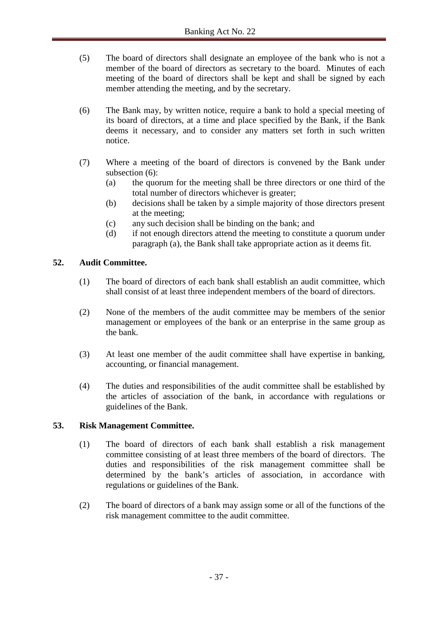- (5) The board of directors shall designate an employee of the bank who is not a member of the board of directors as secretary to the board. Minutes of each meeting of the board of directors shall be kept and shall be signed by each member attending the meeting, and by the secretary.
- (6) The Bank may, by written notice, require a bank to hold a special meeting of its board of directors, at a time and place specified by the Bank, if the Bank deems it necessary, and to consider any matters set forth in such written notice.
- (7) Where a meeting of the board of directors is convened by the Bank under subsection (6):
	- (a) the quorum for the meeting shall be three directors or one third of the total number of directors whichever is greater;
	- (b) decisions shall be taken by a simple majority of those directors present at the meeting;
	- (c) any such decision shall be binding on the bank; and
	- (d) if not enough directors attend the meeting to constitute a quorum under paragraph (a), the Bank shall take appropriate action as it deems fit.

## **52. Audit Committee.**

- (1) The board of directors of each bank shall establish an audit committee, which shall consist of at least three independent members of the board of directors.
- (2) None of the members of the audit committee may be members of the senior management or employees of the bank or an enterprise in the same group as the bank.
- (3) At least one member of the audit committee shall have expertise in banking, accounting, or financial management.
- (4) The duties and responsibilities of the audit committee shall be established by the articles of association of the bank, in accordance with regulations or guidelines of the Bank.

### **53. Risk Management Committee.**

- (1) The board of directors of each bank shall establish a risk management committee consisting of at least three members of the board of directors. The duties and responsibilities of the risk management committee shall be determined by the bank's articles of association, in accordance with regulations or guidelines of the Bank.
- (2) The board of directors of a bank may assign some or all of the functions of the risk management committee to the audit committee.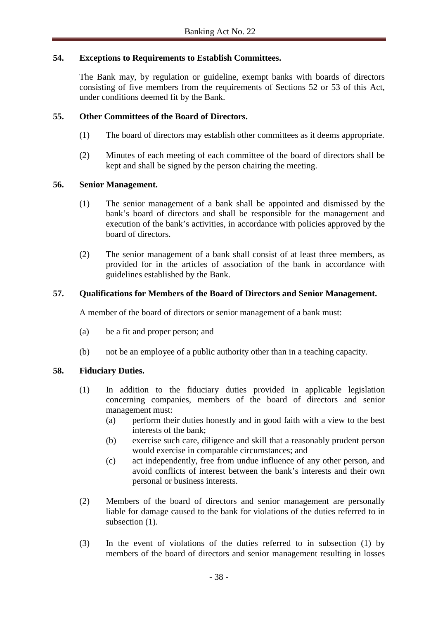## **54. Exceptions to Requirements to Establish Committees.**

The Bank may, by regulation or guideline, exempt banks with boards of directors consisting of five members from the requirements of Sections 52 or 53 of this Act, under conditions deemed fit by the Bank.

## **55. Other Committees of the Board of Directors.**

- (1) The board of directors may establish other committees as it deems appropriate.
- (2) Minutes of each meeting of each committee of the board of directors shall be kept and shall be signed by the person chairing the meeting.

### **56. Senior Management.**

- (1) The senior management of a bank shall be appointed and dismissed by the bank's board of directors and shall be responsible for the management and execution of the bank's activities, in accordance with policies approved by the board of directors.
- (2) The senior management of a bank shall consist of at least three members, as provided for in the articles of association of the bank in accordance with guidelines established by the Bank.

## **57. Qualifications for Members of the Board of Directors and Senior Management.**

A member of the board of directors or senior management of a bank must:

- (a) be a fit and proper person; and
- (b) not be an employee of a public authority other than in a teaching capacity.

# **58. Fiduciary Duties.**

- (1) In addition to the fiduciary duties provided in applicable legislation concerning companies, members of the board of directors and senior management must:
	- (a) perform their duties honestly and in good faith with a view to the best interests of the bank;
	- (b) exercise such care, diligence and skill that a reasonably prudent person would exercise in comparable circumstances; and
	- (c) act independently, free from undue influence of any other person, and avoid conflicts of interest between the bank's interests and their own personal or business interests.
- (2) Members of the board of directors and senior management are personally liable for damage caused to the bank for violations of the duties referred to in subsection  $(1)$ .
- (3) In the event of violations of the duties referred to in subsection (1) by members of the board of directors and senior management resulting in losses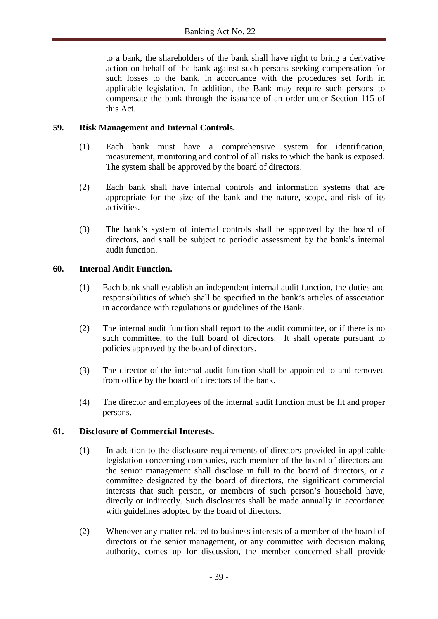to a bank, the shareholders of the bank shall have right to bring a derivative action on behalf of the bank against such persons seeking compensation for such losses to the bank, in accordance with the procedures set forth in applicable legislation. In addition, the Bank may require such persons to compensate the bank through the issuance of an order under Section 115 of this Act.

## **59. Risk Management and Internal Controls.**

- (1) Each bank must have a comprehensive system for identification, measurement, monitoring and control of all risks to which the bank is exposed. The system shall be approved by the board of directors.
- (2) Each bank shall have internal controls and information systems that are appropriate for the size of the bank and the nature, scope, and risk of its activities.
- (3) The bank's system of internal controls shall be approved by the board of directors, and shall be subject to periodic assessment by the bank's internal audit function.

## **60. Internal Audit Function.**

- (1) Each bank shall establish an independent internal audit function, the duties and responsibilities of which shall be specified in the bank's articles of association in accordance with regulations or guidelines of the Bank.
- (2) The internal audit function shall report to the audit committee, or if there is no such committee, to the full board of directors. It shall operate pursuant to policies approved by the board of directors.
- (3) The director of the internal audit function shall be appointed to and removed from office by the board of directors of the bank.
- (4) The director and employees of the internal audit function must be fit and proper persons.

### **61. Disclosure of Commercial Interests.**

- (1) In addition to the disclosure requirements of directors provided in applicable legislation concerning companies, each member of the board of directors and the senior management shall disclose in full to the board of directors, or a committee designated by the board of directors, the significant commercial interests that such person, or members of such person's household have, directly or indirectly. Such disclosures shall be made annually in accordance with guidelines adopted by the board of directors.
- (2) Whenever any matter related to business interests of a member of the board of directors or the senior management, or any committee with decision making authority, comes up for discussion, the member concerned shall provide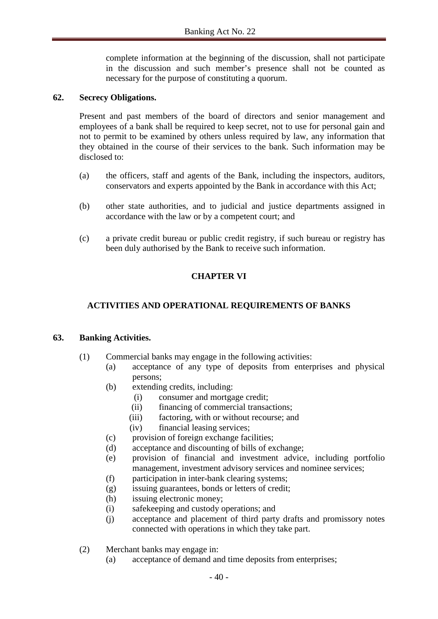complete information at the beginning of the discussion, shall not participate in the discussion and such member's presence shall not be counted as necessary for the purpose of constituting a quorum.

### **62. Secrecy Obligations.**

Present and past members of the board of directors and senior management and employees of a bank shall be required to keep secret, not to use for personal gain and not to permit to be examined by others unless required by law, any information that they obtained in the course of their services to the bank. Such information may be disclosed to:

- (a) the officers, staff and agents of the Bank, including the inspectors, auditors, conservators and experts appointed by the Bank in accordance with this Act;
- (b) other state authorities, and to judicial and justice departments assigned in accordance with the law or by a competent court; and
- (c) a private credit bureau or public credit registry, if such bureau or registry has been duly authorised by the Bank to receive such information.

# **CHAPTER VI**

# **ACTIVITIES AND OPERATIONAL REQUIREMENTS OF BANKS**

### **63. Banking Activities.**

- (1) Commercial banks may engage in the following activities:
	- (a) acceptance of any type of deposits from enterprises and physical persons;
	- (b) extending credits, including:
		- (i) consumer and mortgage credit;
		- (ii) financing of commercial transactions;
		- (iii) factoring, with or without recourse; and
		- (iv) financial leasing services;
	- (c) provision of foreign exchange facilities;
	- (d) acceptance and discounting of bills of exchange;
	- (e) provision of financial and investment advice, including portfolio management, investment advisory services and nominee services;
	- (f) participation in inter-bank clearing systems;
	- (g) issuing guarantees, bonds or letters of credit;
	- (h) issuing electronic money;
	- (i) safekeeping and custody operations; and
	- (j) acceptance and placement of third party drafts and promissory notes connected with operations in which they take part.
- (2) Merchant banks may engage in:
	- (a) acceptance of demand and time deposits from enterprises;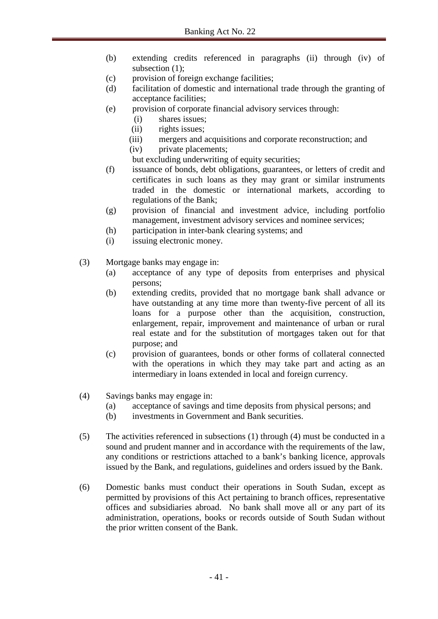- (b) extending credits referenced in paragraphs (ii) through (iv) of subsection (1);
- (c) provision of foreign exchange facilities;
- (d) facilitation of domestic and international trade through the granting of acceptance facilities;
- (e) provision of corporate financial advisory services through:
	- (i) shares issues;
	- (ii) rights issues;
	- (iii) mergers and acquisitions and corporate reconstruction; and
	- (iv) private placements;
	- but excluding underwriting of equity securities;
- (f) issuance of bonds, debt obligations, guarantees, or letters of credit and certificates in such loans as they may grant or similar instruments traded in the domestic or international markets, according to regulations of the Bank;
- (g) provision of financial and investment advice, including portfolio management, investment advisory services and nominee services;
- (h) participation in inter-bank clearing systems; and
- (i) issuing electronic money.
- (3) Mortgage banks may engage in:
	- (a) acceptance of any type of deposits from enterprises and physical persons;
	- (b) extending credits, provided that no mortgage bank shall advance or have outstanding at any time more than twenty-five percent of all its loans for a purpose other than the acquisition, construction, enlargement, repair, improvement and maintenance of urban or rural real estate and for the substitution of mortgages taken out for that purpose; and
	- (c) provision of guarantees, bonds or other forms of collateral connected with the operations in which they may take part and acting as an intermediary in loans extended in local and foreign currency.
- (4) Savings banks may engage in:
	- (a) acceptance of savings and time deposits from physical persons; and
	- (b) investments in Government and Bank securities.
- (5) The activities referenced in subsections (1) through (4) must be conducted in a sound and prudent manner and in accordance with the requirements of the law, any conditions or restrictions attached to a bank's banking licence, approvals issued by the Bank, and regulations, guidelines and orders issued by the Bank.
- (6) Domestic banks must conduct their operations in South Sudan, except as permitted by provisions of this Act pertaining to branch offices, representative offices and subsidiaries abroad. No bank shall move all or any part of its administration, operations, books or records outside of South Sudan without the prior written consent of the Bank.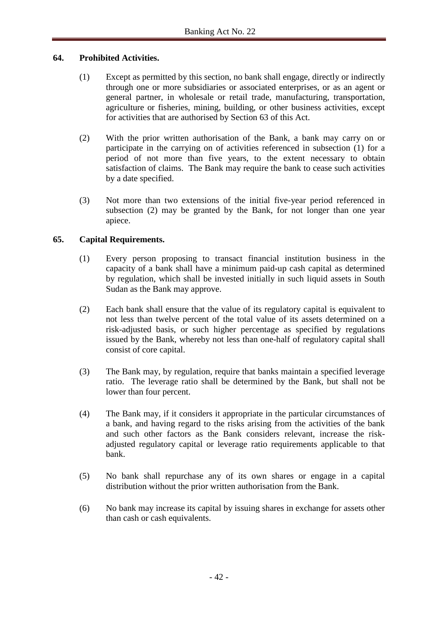## **64. Prohibited Activities.**

- (1) Except as permitted by this section, no bank shall engage, directly or indirectly through one or more subsidiaries or associated enterprises, or as an agent or general partner, in wholesale or retail trade, manufacturing, transportation, agriculture or fisheries, mining, building, or other business activities, except for activities that are authorised by Section 63 of this Act.
- (2) With the prior written authorisation of the Bank, a bank may carry on or participate in the carrying on of activities referenced in subsection (1) for a period of not more than five years, to the extent necessary to obtain satisfaction of claims. The Bank may require the bank to cease such activities by a date specified.
- (3) Not more than two extensions of the initial five-year period referenced in subsection (2) may be granted by the Bank, for not longer than one year apiece.

# **65. Capital Requirements.**

- (1) Every person proposing to transact financial institution business in the capacity of a bank shall have a minimum paid-up cash capital as determined by regulation, which shall be invested initially in such liquid assets in South Sudan as the Bank may approve.
- (2) Each bank shall ensure that the value of its regulatory capital is equivalent to not less than twelve percent of the total value of its assets determined on a risk-adjusted basis, or such higher percentage as specified by regulations issued by the Bank, whereby not less than one-half of regulatory capital shall consist of core capital.
- (3) The Bank may, by regulation, require that banks maintain a specified leverage ratio. The leverage ratio shall be determined by the Bank, but shall not be lower than four percent.
- (4) The Bank may, if it considers it appropriate in the particular circumstances of a bank, and having regard to the risks arising from the activities of the bank and such other factors as the Bank considers relevant, increase the riskadjusted regulatory capital or leverage ratio requirements applicable to that bank.
- (5) No bank shall repurchase any of its own shares or engage in a capital distribution without the prior written authorisation from the Bank.
- (6) No bank may increase its capital by issuing shares in exchange for assets other than cash or cash equivalents.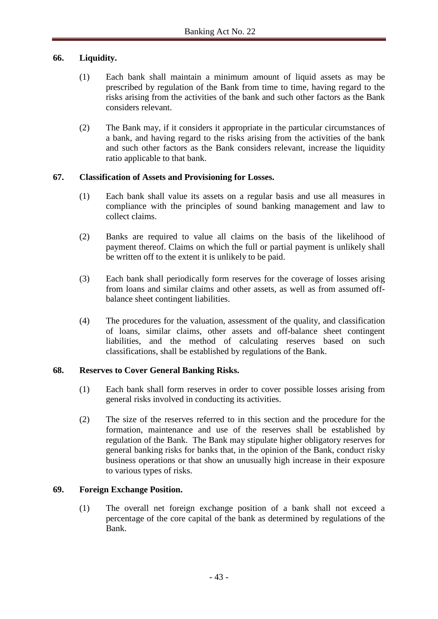## **66. Liquidity.**

- (1) Each bank shall maintain a minimum amount of liquid assets as may be prescribed by regulation of the Bank from time to time, having regard to the risks arising from the activities of the bank and such other factors as the Bank considers relevant.
- (2) The Bank may, if it considers it appropriate in the particular circumstances of a bank, and having regard to the risks arising from the activities of the bank and such other factors as the Bank considers relevant, increase the liquidity ratio applicable to that bank.

## **67. Classification of Assets and Provisioning for Losses.**

- (1) Each bank shall value its assets on a regular basis and use all measures in compliance with the principles of sound banking management and law to collect claims.
- (2) Banks are required to value all claims on the basis of the likelihood of payment thereof. Claims on which the full or partial payment is unlikely shall be written off to the extent it is unlikely to be paid.
- (3) Each bank shall periodically form reserves for the coverage of losses arising from loans and similar claims and other assets, as well as from assumed offbalance sheet contingent liabilities.
- (4) The procedures for the valuation, assessment of the quality, and classification of loans, similar claims, other assets and off-balance sheet contingent liabilities, and the method of calculating reserves based on such classifications, shall be established by regulations of the Bank.

### **68. Reserves to Cover General Banking Risks.**

- (1) Each bank shall form reserves in order to cover possible losses arising from general risks involved in conducting its activities.
- (2) The size of the reserves referred to in this section and the procedure for the formation, maintenance and use of the reserves shall be established by regulation of the Bank. The Bank may stipulate higher obligatory reserves for general banking risks for banks that, in the opinion of the Bank, conduct risky business operations or that show an unusually high increase in their exposure to various types of risks.

### **69. Foreign Exchange Position.**

(1) The overall net foreign exchange position of a bank shall not exceed a percentage of the core capital of the bank as determined by regulations of the Bank.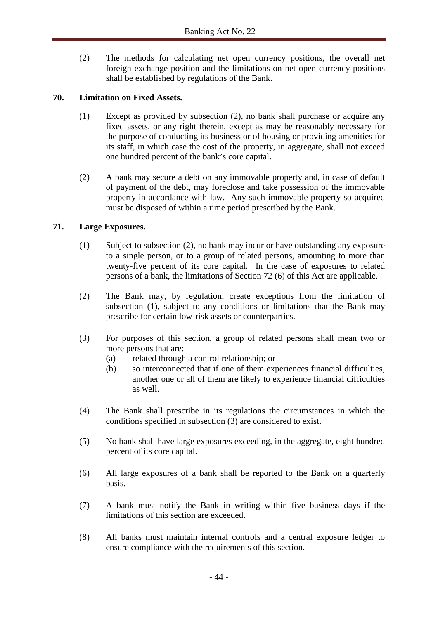(2) The methods for calculating net open currency positions, the overall net foreign exchange position and the limitations on net open currency positions shall be established by regulations of the Bank.

## **70. Limitation on Fixed Assets.**

- (1) Except as provided by subsection (2), no bank shall purchase or acquire any fixed assets, or any right therein, except as may be reasonably necessary for the purpose of conducting its business or of housing or providing amenities for its staff, in which case the cost of the property, in aggregate, shall not exceed one hundred percent of the bank's core capital.
- (2) A bank may secure a debt on any immovable property and, in case of default of payment of the debt, may foreclose and take possession of the immovable property in accordance with law. Any such immovable property so acquired must be disposed of within a time period prescribed by the Bank.

## **71. Large Exposures.**

- (1) Subject to subsection (2), no bank may incur or have outstanding any exposure to a single person, or to a group of related persons, amounting to more than twenty-five percent of its core capital. In the case of exposures to related persons of a bank, the limitations of Section 72 (6) of this Act are applicable.
- (2) The Bank may, by regulation, create exceptions from the limitation of subsection (1), subject to any conditions or limitations that the Bank may prescribe for certain low-risk assets or counterparties.
- (3) For purposes of this section, a group of related persons shall mean two or more persons that are:
	- (a) related through a control relationship; or
	- (b) so interconnected that if one of them experiences financial difficulties, another one or all of them are likely to experience financial difficulties as well.
- (4) The Bank shall prescribe in its regulations the circumstances in which the conditions specified in subsection (3) are considered to exist.
- (5) No bank shall have large exposures exceeding, in the aggregate, eight hundred percent of its core capital.
- (6) All large exposures of a bank shall be reported to the Bank on a quarterly basis.
- (7) A bank must notify the Bank in writing within five business days if the limitations of this section are exceeded.
- (8) All banks must maintain internal controls and a central exposure ledger to ensure compliance with the requirements of this section.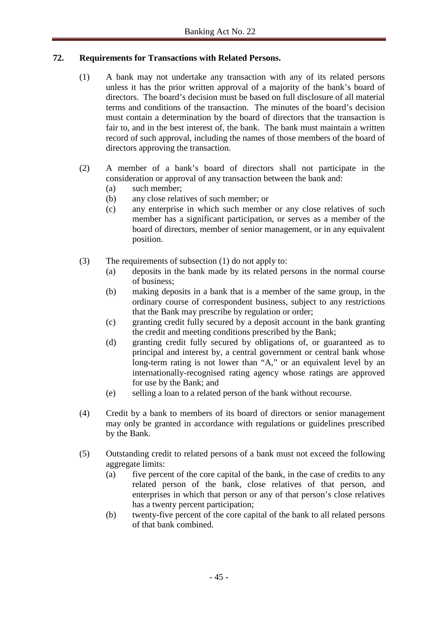# **72. Requirements for Transactions with Related Persons.**

- (1) A bank may not undertake any transaction with any of its related persons unless it has the prior written approval of a majority of the bank's board of directors. The board's decision must be based on full disclosure of all material terms and conditions of the transaction. The minutes of the board's decision must contain a determination by the board of directors that the transaction is fair to, and in the best interest of, the bank. The bank must maintain a written record of such approval, including the names of those members of the board of directors approving the transaction.
- (2) A member of a bank's board of directors shall not participate in the consideration or approval of any transaction between the bank and:
	- (a) such member;
	- (b) any close relatives of such member; or
	- (c) any enterprise in which such member or any close relatives of such member has a significant participation, or serves as a member of the board of directors, member of senior management, or in any equivalent position.
- (3) The requirements of subsection (1) do not apply to:
	- (a) deposits in the bank made by its related persons in the normal course of business;
	- (b) making deposits in a bank that is a member of the same group, in the ordinary course of correspondent business, subject to any restrictions that the Bank may prescribe by regulation or order;
	- (c) granting credit fully secured by a deposit account in the bank granting the credit and meeting conditions prescribed by the Bank;
	- (d) granting credit fully secured by obligations of, or guaranteed as to principal and interest by, a central government or central bank whose long-term rating is not lower than "A," or an equivalent level by an internationally-recognised rating agency whose ratings are approved for use by the Bank; and
	- (e) selling a loan to a related person of the bank without recourse.
- (4) Credit by a bank to members of its board of directors or senior management may only be granted in accordance with regulations or guidelines prescribed by the Bank.
- (5) Outstanding credit to related persons of a bank must not exceed the following aggregate limits:
	- (a) five percent of the core capital of the bank, in the case of credits to any related person of the bank, close relatives of that person, and enterprises in which that person or any of that person's close relatives has a twenty percent participation;
	- (b) twenty-five percent of the core capital of the bank to all related persons of that bank combined.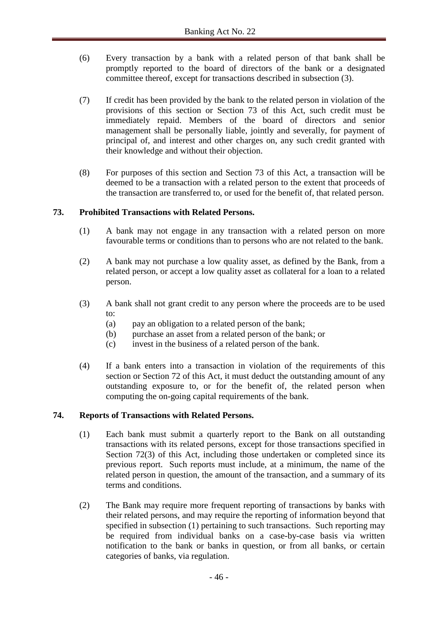- (6) Every transaction by a bank with a related person of that bank shall be promptly reported to the board of directors of the bank or a designated committee thereof, except for transactions described in subsection (3).
- (7) If credit has been provided by the bank to the related person in violation of the provisions of this section or Section 73 of this Act, such credit must be immediately repaid. Members of the board of directors and senior management shall be personally liable, jointly and severally, for payment of principal of, and interest and other charges on, any such credit granted with their knowledge and without their objection.
- (8) For purposes of this section and Section 73 of this Act, a transaction will be deemed to be a transaction with a related person to the extent that proceeds of the transaction are transferred to, or used for the benefit of, that related person.

## **73. Prohibited Transactions with Related Persons.**

- (1) A bank may not engage in any transaction with a related person on more favourable terms or conditions than to persons who are not related to the bank.
- (2) A bank may not purchase a low quality asset, as defined by the Bank, from a related person, or accept a low quality asset as collateral for a loan to a related person.
- (3) A bank shall not grant credit to any person where the proceeds are to be used to:
	- (a) pay an obligation to a related person of the bank;
	- (b) purchase an asset from a related person of the bank; or
	- (c) invest in the business of a related person of the bank.
- (4) If a bank enters into a transaction in violation of the requirements of this section or Section 72 of this Act, it must deduct the outstanding amount of any outstanding exposure to, or for the benefit of, the related person when computing the on-going capital requirements of the bank.

### **74. Reports of Transactions with Related Persons.**

- (1) Each bank must submit a quarterly report to the Bank on all outstanding transactions with its related persons, except for those transactions specified in Section 72(3) of this Act, including those undertaken or completed since its previous report. Such reports must include, at a minimum, the name of the related person in question, the amount of the transaction, and a summary of its terms and conditions.
- (2) The Bank may require more frequent reporting of transactions by banks with their related persons, and may require the reporting of information beyond that specified in subsection (1) pertaining to such transactions. Such reporting may be required from individual banks on a case-by-case basis via written notification to the bank or banks in question, or from all banks, or certain categories of banks, via regulation.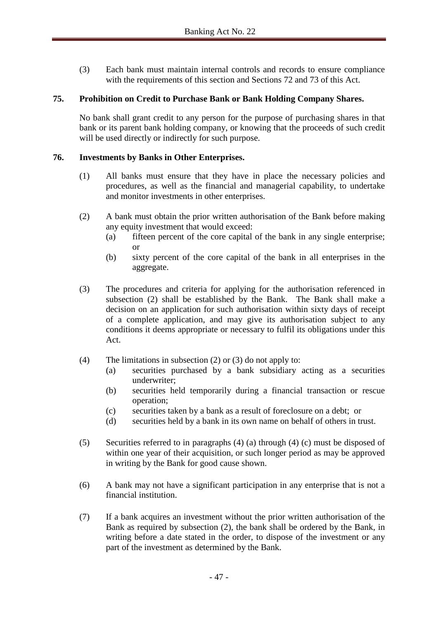(3) Each bank must maintain internal controls and records to ensure compliance with the requirements of this section and Sections 72 and 73 of this Act.

## **75. Prohibition on Credit to Purchase Bank or Bank Holding Company Shares.**

No bank shall grant credit to any person for the purpose of purchasing shares in that bank or its parent bank holding company, or knowing that the proceeds of such credit will be used directly or indirectly for such purpose.

### **76. Investments by Banks in Other Enterprises.**

- (1) All banks must ensure that they have in place the necessary policies and procedures, as well as the financial and managerial capability, to undertake and monitor investments in other enterprises.
- (2) A bank must obtain the prior written authorisation of the Bank before making any equity investment that would exceed:
	- (a) fifteen percent of the core capital of the bank in any single enterprise; or
	- (b) sixty percent of the core capital of the bank in all enterprises in the aggregate.
- (3) The procedures and criteria for applying for the authorisation referenced in subsection (2) shall be established by the Bank. The Bank shall make a decision on an application for such authorisation within sixty days of receipt of a complete application, and may give its authorisation subject to any conditions it deems appropriate or necessary to fulfil its obligations under this Act.
- (4) The limitations in subsection (2) or (3) do not apply to:
	- (a) securities purchased by a bank subsidiary acting as a securities underwriter;
	- (b) securities held temporarily during a financial transaction or rescue operation;
	- (c) securities taken by a bank as a result of foreclosure on a debt; or
	- (d) securities held by a bank in its own name on behalf of others in trust.
- (5) Securities referred to in paragraphs (4) (a) through (4) (c) must be disposed of within one year of their acquisition, or such longer period as may be approved in writing by the Bank for good cause shown.
- (6) A bank may not have a significant participation in any enterprise that is not a financial institution.
- (7) If a bank acquires an investment without the prior written authorisation of the Bank as required by subsection (2), the bank shall be ordered by the Bank, in writing before a date stated in the order, to dispose of the investment or any part of the investment as determined by the Bank.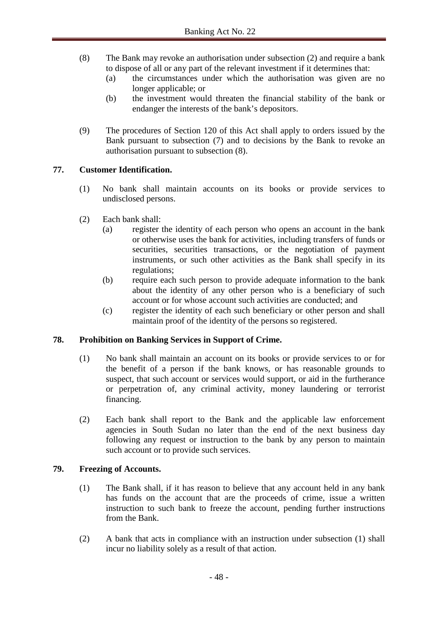- (8) The Bank may revoke an authorisation under subsection (2) and require a bank to dispose of all or any part of the relevant investment if it determines that:
	- (a) the circumstances under which the authorisation was given are no longer applicable; or
	- (b) the investment would threaten the financial stability of the bank or endanger the interests of the bank's depositors.
- (9) The procedures of Section 120 of this Act shall apply to orders issued by the Bank pursuant to subsection (7) and to decisions by the Bank to revoke an authorisation pursuant to subsection (8).

# **77. Customer Identification.**

- (1) No bank shall maintain accounts on its books or provide services to undisclosed persons.
- (2) Each bank shall:
	- (a) register the identity of each person who opens an account in the bank or otherwise uses the bank for activities, including transfers of funds or securities, securities transactions, or the negotiation of payment instruments, or such other activities as the Bank shall specify in its regulations;
	- (b) require each such person to provide adequate information to the bank about the identity of any other person who is a beneficiary of such account or for whose account such activities are conducted; and
	- (c) register the identity of each such beneficiary or other person and shall maintain proof of the identity of the persons so registered.

### **78. Prohibition on Banking Services in Support of Crime.**

- (1) No bank shall maintain an account on its books or provide services to or for the benefit of a person if the bank knows, or has reasonable grounds to suspect, that such account or services would support, or aid in the furtherance or perpetration of, any criminal activity, money laundering or terrorist financing.
- (2) Each bank shall report to the Bank and the applicable law enforcement agencies in South Sudan no later than the end of the next business day following any request or instruction to the bank by any person to maintain such account or to provide such services.

### **79. Freezing of Accounts.**

- (1) The Bank shall, if it has reason to believe that any account held in any bank has funds on the account that are the proceeds of crime, issue a written instruction to such bank to freeze the account, pending further instructions from the Bank.
- (2) A bank that acts in compliance with an instruction under subsection (1) shall incur no liability solely as a result of that action.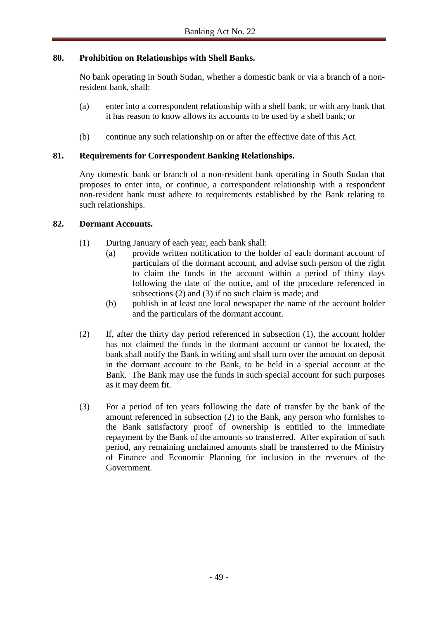## **80. Prohibition on Relationships with Shell Banks.**

No bank operating in South Sudan, whether a domestic bank or via a branch of a nonresident bank, shall:

- (a) enter into a correspondent relationship with a shell bank, or with any bank that it has reason to know allows its accounts to be used by a shell bank; or
- (b) continue any such relationship on or after the effective date of this Act.

## **81. Requirements for Correspondent Banking Relationships.**

Any domestic bank or branch of a non-resident bank operating in South Sudan that proposes to enter into, or continue, a correspondent relationship with a respondent non-resident bank must adhere to requirements established by the Bank relating to such relationships.

### **82. Dormant Accounts.**

- (1) During January of each year, each bank shall:
	- (a) provide written notification to the holder of each dormant account of particulars of the dormant account, and advise such person of the right to claim the funds in the account within a period of thirty days following the date of the notice, and of the procedure referenced in subsections (2) and (3) if no such claim is made; and
	- (b) publish in at least one local newspaper the name of the account holder and the particulars of the dormant account.
- (2) If, after the thirty day period referenced in subsection (1), the account holder has not claimed the funds in the dormant account or cannot be located, the bank shall notify the Bank in writing and shall turn over the amount on deposit in the dormant account to the Bank, to be held in a special account at the Bank. The Bank may use the funds in such special account for such purposes as it may deem fit.
- (3) For a period of ten years following the date of transfer by the bank of the amount referenced in subsection (2) to the Bank, any person who furnishes to the Bank satisfactory proof of ownership is entitled to the immediate repayment by the Bank of the amounts so transferred. After expiration of such period, any remaining unclaimed amounts shall be transferred to the Ministry of Finance and Economic Planning for inclusion in the revenues of the Government.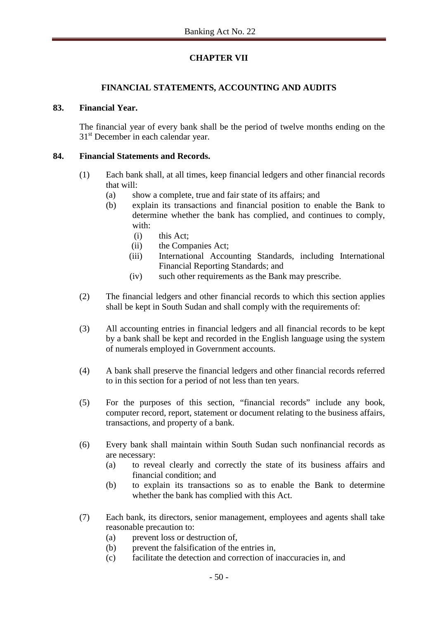# **CHAPTER VII**

## **FINANCIAL STATEMENTS, ACCOUNTING AND AUDITS**

### **83. Financial Year.**

The financial year of every bank shall be the period of twelve months ending on the 31<sup>st</sup> December in each calendar year.

## **84. Financial Statements and Records.**

- (1) Each bank shall, at all times, keep financial ledgers and other financial records that will:
	- (a) show a complete, true and fair state of its affairs; and
	- (b) explain its transactions and financial position to enable the Bank to determine whether the bank has complied, and continues to comply, with:
		- (i) this Act;
		- (ii) the Companies Act;
		- (iii) International Accounting Standards, including International Financial Reporting Standards; and
		- (iv) such other requirements as the Bank may prescribe.
- (2) The financial ledgers and other financial records to which this section applies shall be kept in South Sudan and shall comply with the requirements of:
- (3) All accounting entries in financial ledgers and all financial records to be kept by a bank shall be kept and recorded in the English language using the system of numerals employed in Government accounts.
- (4) A bank shall preserve the financial ledgers and other financial records referred to in this section for a period of not less than ten years.
- (5) For the purposes of this section, "financial records" include any book, computer record, report, statement or document relating to the business affairs, transactions, and property of a bank.
- (6) Every bank shall maintain within South Sudan such nonfinancial records as are necessary:
	- (a) to reveal clearly and correctly the state of its business affairs and financial condition; and
	- (b) to explain its transactions so as to enable the Bank to determine whether the bank has complied with this Act.
- (7) Each bank, its directors, senior management, employees and agents shall take reasonable precaution to:
	- (a) prevent loss or destruction of,
	- (b) prevent the falsification of the entries in,
	- (c) facilitate the detection and correction of inaccuracies in, and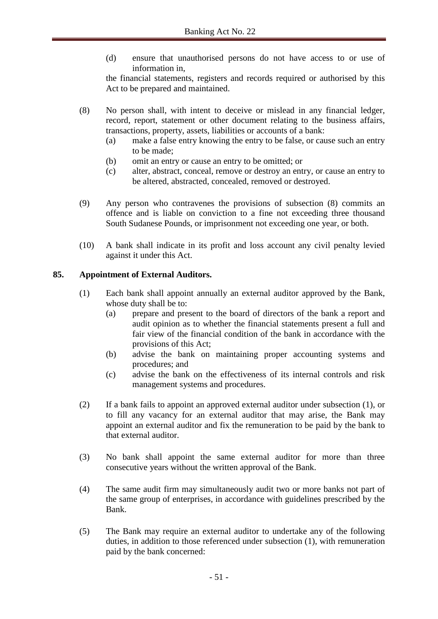(d) ensure that unauthorised persons do not have access to or use of information in,

the financial statements, registers and records required or authorised by this Act to be prepared and maintained.

- (8) No person shall, with intent to deceive or mislead in any financial ledger, record, report, statement or other document relating to the business affairs, transactions, property, assets, liabilities or accounts of a bank:
	- (a) make a false entry knowing the entry to be false, or cause such an entry to be made;
	- (b) omit an entry or cause an entry to be omitted; or
	- (c) alter, abstract, conceal, remove or destroy an entry, or cause an entry to be altered, abstracted, concealed, removed or destroyed.
- (9) Any person who contravenes the provisions of subsection (8) commits an offence and is liable on conviction to a fine not exceeding three thousand South Sudanese Pounds, or imprisonment not exceeding one year, or both.
- (10) A bank shall indicate in its profit and loss account any civil penalty levied against it under this Act.

# **85. Appointment of External Auditors.**

- (1) Each bank shall appoint annually an external auditor approved by the Bank, whose duty shall be to:
	- (a) prepare and present to the board of directors of the bank a report and audit opinion as to whether the financial statements present a full and fair view of the financial condition of the bank in accordance with the provisions of this Act;
	- (b) advise the bank on maintaining proper accounting systems and procedures; and
	- (c) advise the bank on the effectiveness of its internal controls and risk management systems and procedures.
- (2) If a bank fails to appoint an approved external auditor under subsection (1), or to fill any vacancy for an external auditor that may arise, the Bank may appoint an external auditor and fix the remuneration to be paid by the bank to that external auditor.
- (3) No bank shall appoint the same external auditor for more than three consecutive years without the written approval of the Bank.
- (4) The same audit firm may simultaneously audit two or more banks not part of the same group of enterprises, in accordance with guidelines prescribed by the Bank.
- (5) The Bank may require an external auditor to undertake any of the following duties, in addition to those referenced under subsection (1), with remuneration paid by the bank concerned: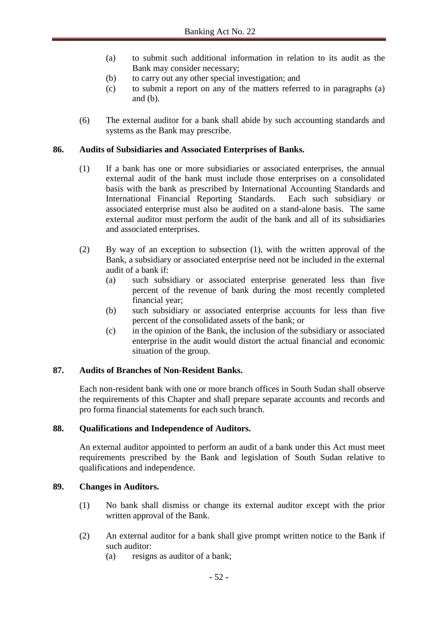- (a) to submit such additional information in relation to its audit as the Bank may consider necessary;
- (b) to carry out any other special investigation; and
- (c) to submit a report on any of the matters referred to in paragraphs (a) and (b).
- (6) The external auditor for a bank shall abide by such accounting standards and systems as the Bank may prescribe.

## **86. Audits of Subsidiaries and Associated Enterprises of Banks.**

- (1) If a bank has one or more subsidiaries or associated enterprises, the annual external audit of the bank must include those enterprises on a consolidated basis with the bank as prescribed by International Accounting Standards and International Financial Reporting Standards. Each such subsidiary or associated enterprise must also be audited on a stand-alone basis. The same external auditor must perform the audit of the bank and all of its subsidiaries and associated enterprises.
- (2) By way of an exception to subsection (1), with the written approval of the Bank, a subsidiary or associated enterprise need not be included in the external audit of a bank if:
	- (a) such subsidiary or associated enterprise generated less than five percent of the revenue of bank during the most recently completed financial year;
	- (b) such subsidiary or associated enterprise accounts for less than five percent of the consolidated assets of the bank; or
	- (c) in the opinion of the Bank, the inclusion of the subsidiary or associated enterprise in the audit would distort the actual financial and economic situation of the group.

# **87. Audits of Branches of Non-Resident Banks.**

Each non-resident bank with one or more branch offices in South Sudan shall observe the requirements of this Chapter and shall prepare separate accounts and records and pro forma financial statements for each such branch.

### **88. Qualifications and Independence of Auditors.**

An external auditor appointed to perform an audit of a bank under this Act must meet requirements prescribed by the Bank and legislation of South Sudan relative to qualifications and independence.

### **89. Changes in Auditors.**

- (1) No bank shall dismiss or change its external auditor except with the prior written approval of the Bank.
- (2) An external auditor for a bank shall give prompt written notice to the Bank if such auditor:
	- (a) resigns as auditor of a bank;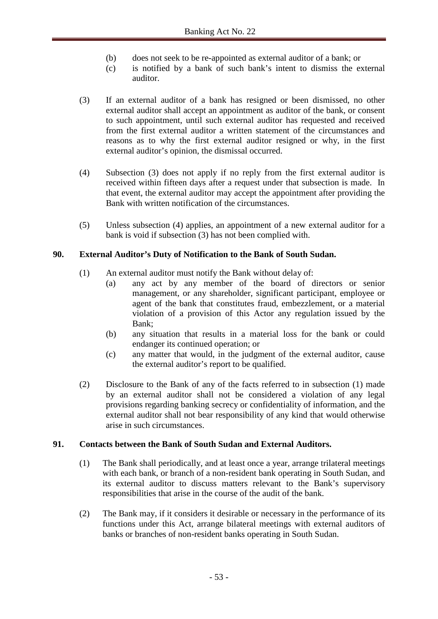- (b) does not seek to be re-appointed as external auditor of a bank; or
- (c) is notified by a bank of such bank's intent to dismiss the external auditor.
- (3) If an external auditor of a bank has resigned or been dismissed, no other external auditor shall accept an appointment as auditor of the bank, or consent to such appointment, until such external auditor has requested and received from the first external auditor a written statement of the circumstances and reasons as to why the first external auditor resigned or why, in the first external auditor's opinion, the dismissal occurred.
- (4) Subsection (3) does not apply if no reply from the first external auditor is received within fifteen days after a request under that subsection is made. In that event, the external auditor may accept the appointment after providing the Bank with written notification of the circumstances.
- (5) Unless subsection (4) applies, an appointment of a new external auditor for a bank is void if subsection (3) has not been complied with.

# **90. External Auditor's Duty of Notification to the Bank of South Sudan.**

- (1) An external auditor must notify the Bank without delay of:
	- (a) any act by any member of the board of directors or senior management, or any shareholder, significant participant, employee or agent of the bank that constitutes fraud, embezzlement, or a material violation of a provision of this Actor any regulation issued by the Bank;
	- (b) any situation that results in a material loss for the bank or could endanger its continued operation; or
	- (c) any matter that would, in the judgment of the external auditor, cause the external auditor's report to be qualified.
- (2) Disclosure to the Bank of any of the facts referred to in subsection (1) made by an external auditor shall not be considered a violation of any legal provisions regarding banking secrecy or confidentiality of information, and the external auditor shall not bear responsibility of any kind that would otherwise arise in such circumstances.

### **91. Contacts between the Bank of South Sudan and External Auditors.**

- (1) The Bank shall periodically, and at least once a year, arrange trilateral meetings with each bank, or branch of a non-resident bank operating in South Sudan, and its external auditor to discuss matters relevant to the Bank's supervisory responsibilities that arise in the course of the audit of the bank.
- (2) The Bank may, if it considers it desirable or necessary in the performance of its functions under this Act, arrange bilateral meetings with external auditors of banks or branches of non-resident banks operating in South Sudan.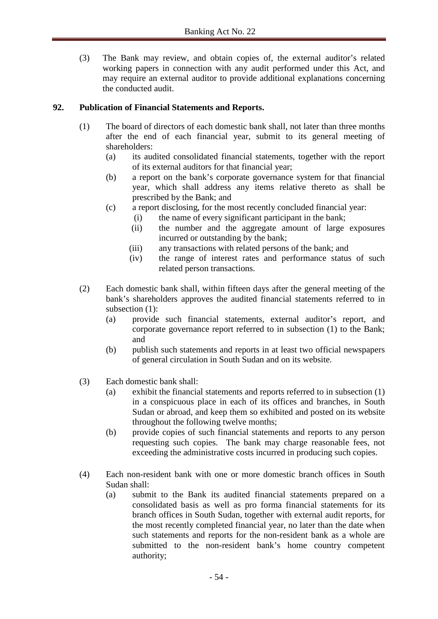(3) The Bank may review, and obtain copies of, the external auditor's related working papers in connection with any audit performed under this Act, and may require an external auditor to provide additional explanations concerning the conducted audit.

# **92. Publication of Financial Statements and Reports.**

- (1) The board of directors of each domestic bank shall, not later than three months after the end of each financial year, submit to its general meeting of shareholders:
	- (a) its audited consolidated financial statements, together with the report of its external auditors for that financial year;
	- (b) a report on the bank's corporate governance system for that financial year, which shall address any items relative thereto as shall be prescribed by the Bank; and
	- (c) a report disclosing, for the most recently concluded financial year:
		- (i) the name of every significant participant in the bank;
		- (ii) the number and the aggregate amount of large exposures incurred or outstanding by the bank;
		- (iii) any transactions with related persons of the bank; and
		- (iv) the range of interest rates and performance status of such related person transactions.
- (2) Each domestic bank shall, within fifteen days after the general meeting of the bank's shareholders approves the audited financial statements referred to in subsection (1):
	- (a) provide such financial statements, external auditor's report, and corporate governance report referred to in subsection (1) to the Bank; and
	- (b) publish such statements and reports in at least two official newspapers of general circulation in South Sudan and on its website.
- (3) Each domestic bank shall:
	- (a) exhibit the financial statements and reports referred to in subsection (1) in a conspicuous place in each of its offices and branches, in South Sudan or abroad, and keep them so exhibited and posted on its website throughout the following twelve months;
	- (b) provide copies of such financial statements and reports to any person requesting such copies. The bank may charge reasonable fees, not exceeding the administrative costs incurred in producing such copies.
- (4) Each non-resident bank with one or more domestic branch offices in South Sudan shall:
	- (a) submit to the Bank its audited financial statements prepared on a consolidated basis as well as pro forma financial statements for its branch offices in South Sudan, together with external audit reports, for the most recently completed financial year, no later than the date when such statements and reports for the non-resident bank as a whole are submitted to the non-resident bank's home country competent authority;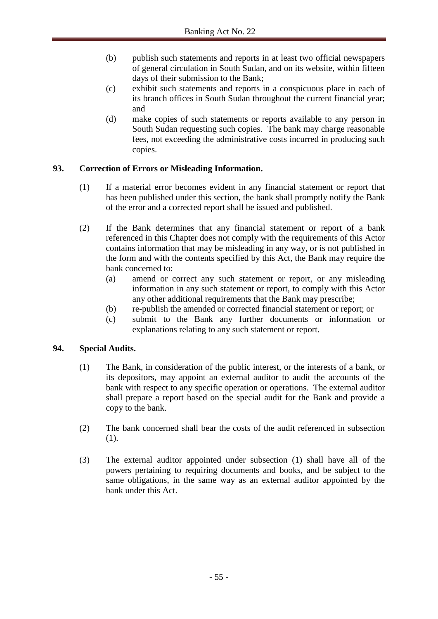- (b) publish such statements and reports in at least two official newspapers of general circulation in South Sudan, and on its website, within fifteen days of their submission to the Bank;
- (c) exhibit such statements and reports in a conspicuous place in each of its branch offices in South Sudan throughout the current financial year; and
- (d) make copies of such statements or reports available to any person in South Sudan requesting such copies. The bank may charge reasonable fees, not exceeding the administrative costs incurred in producing such copies.

# **93. Correction of Errors or Misleading Information.**

- (1) If a material error becomes evident in any financial statement or report that has been published under this section, the bank shall promptly notify the Bank of the error and a corrected report shall be issued and published.
- (2) If the Bank determines that any financial statement or report of a bank referenced in this Chapter does not comply with the requirements of this Actor contains information that may be misleading in any way, or is not published in the form and with the contents specified by this Act, the Bank may require the bank concerned to:
	- (a) amend or correct any such statement or report, or any misleading information in any such statement or report, to comply with this Actor any other additional requirements that the Bank may prescribe;
	- (b) re-publish the amended or corrected financial statement or report; or
	- (c) submit to the Bank any further documents or information or explanations relating to any such statement or report.

# **94. Special Audits.**

- (1) The Bank, in consideration of the public interest, or the interests of a bank, or its depositors, may appoint an external auditor to audit the accounts of the bank with respect to any specific operation or operations. The external auditor shall prepare a report based on the special audit for the Bank and provide a copy to the bank.
- (2) The bank concerned shall bear the costs of the audit referenced in subsection (1).
- (3) The external auditor appointed under subsection (1) shall have all of the powers pertaining to requiring documents and books, and be subject to the same obligations, in the same way as an external auditor appointed by the bank under this Act.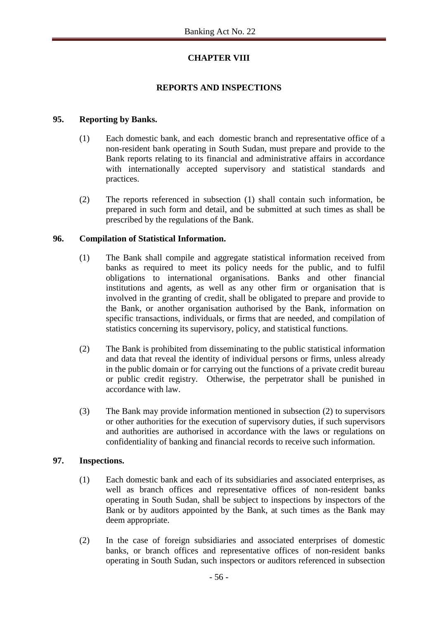# **CHAPTER VIII**

## **REPORTS AND INSPECTIONS**

### **95. Reporting by Banks.**

- (1) Each domestic bank, and each domestic branch and representative office of a non-resident bank operating in South Sudan, must prepare and provide to the Bank reports relating to its financial and administrative affairs in accordance with internationally accepted supervisory and statistical standards and practices.
- (2) The reports referenced in subsection (1) shall contain such information, be prepared in such form and detail, and be submitted at such times as shall be prescribed by the regulations of the Bank.

## **96. Compilation of Statistical Information.**

- (1) The Bank shall compile and aggregate statistical information received from banks as required to meet its policy needs for the public, and to fulfil obligations to international organisations. Banks and other financial institutions and agents, as well as any other firm or organisation that is involved in the granting of credit, shall be obligated to prepare and provide to the Bank, or another organisation authorised by the Bank, information on specific transactions, individuals, or firms that are needed, and compilation of statistics concerning its supervisory, policy, and statistical functions.
- (2) The Bank is prohibited from disseminating to the public statistical information and data that reveal the identity of individual persons or firms, unless already in the public domain or for carrying out the functions of a private credit bureau or public credit registry. Otherwise, the perpetrator shall be punished in accordance with law.
- (3) The Bank may provide information mentioned in subsection (2) to supervisors or other authorities for the execution of supervisory duties, if such supervisors and authorities are authorised in accordance with the laws or regulations on confidentiality of banking and financial records to receive such information.

### **97. Inspections.**

- (1) Each domestic bank and each of its subsidiaries and associated enterprises, as well as branch offices and representative offices of non-resident banks operating in South Sudan, shall be subject to inspections by inspectors of the Bank or by auditors appointed by the Bank, at such times as the Bank may deem appropriate.
- (2) In the case of foreign subsidiaries and associated enterprises of domestic banks, or branch offices and representative offices of non-resident banks operating in South Sudan, such inspectors or auditors referenced in subsection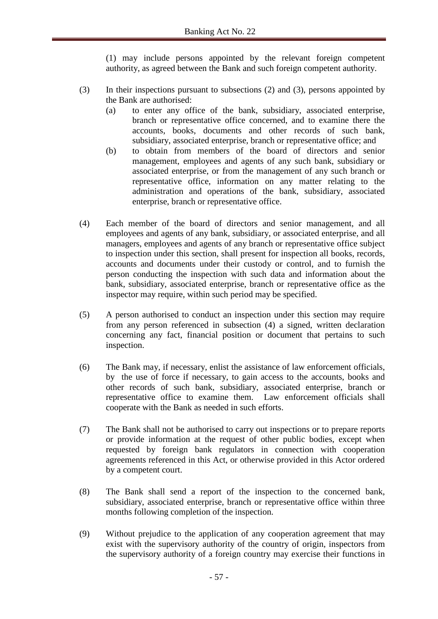(1) may include persons appointed by the relevant foreign competent authority, as agreed between the Bank and such foreign competent authority.

- (3) In their inspections pursuant to subsections (2) and (3), persons appointed by the Bank are authorised:
	- (a) to enter any office of the bank, subsidiary, associated enterprise, branch or representative office concerned, and to examine there the accounts, books, documents and other records of such bank, subsidiary, associated enterprise, branch or representative office; and
	- (b) to obtain from members of the board of directors and senior management, employees and agents of any such bank, subsidiary or associated enterprise, or from the management of any such branch or representative office, information on any matter relating to the administration and operations of the bank, subsidiary, associated enterprise, branch or representative office.
- (4) Each member of the board of directors and senior management, and all employees and agents of any bank, subsidiary, or associated enterprise, and all managers, employees and agents of any branch or representative office subject to inspection under this section, shall present for inspection all books, records, accounts and documents under their custody or control, and to furnish the person conducting the inspection with such data and information about the bank, subsidiary, associated enterprise, branch or representative office as the inspector may require, within such period may be specified.
- (5) A person authorised to conduct an inspection under this section may require from any person referenced in subsection (4) a signed, written declaration concerning any fact, financial position or document that pertains to such inspection.
- (6) The Bank may, if necessary, enlist the assistance of law enforcement officials, by the use of force if necessary, to gain access to the accounts, books and other records of such bank, subsidiary, associated enterprise, branch or representative office to examine them. Law enforcement officials shall cooperate with the Bank as needed in such efforts.
- (7) The Bank shall not be authorised to carry out inspections or to prepare reports or provide information at the request of other public bodies, except when requested by foreign bank regulators in connection with cooperation agreements referenced in this Act, or otherwise provided in this Actor ordered by a competent court.
- (8) The Bank shall send a report of the inspection to the concerned bank, subsidiary, associated enterprise, branch or representative office within three months following completion of the inspection.
- (9) Without prejudice to the application of any cooperation agreement that may exist with the supervisory authority of the country of origin, inspectors from the supervisory authority of a foreign country may exercise their functions in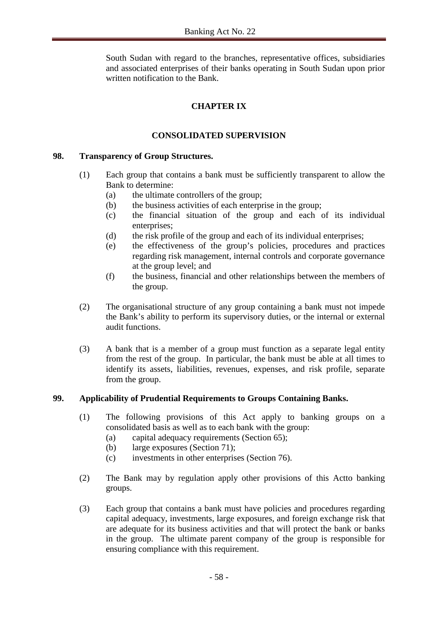South Sudan with regard to the branches, representative offices, subsidiaries and associated enterprises of their banks operating in South Sudan upon prior written notification to the Bank.

# **CHAPTER IX**

# **CONSOLIDATED SUPERVISION**

## **98. Transparency of Group Structures.**

- (1) Each group that contains a bank must be sufficiently transparent to allow the Bank to determine:
	- (a) the ultimate controllers of the group;
	- (b) the business activities of each enterprise in the group;
	- (c) the financial situation of the group and each of its individual enterprises;
	- (d) the risk profile of the group and each of its individual enterprises;
	- (e) the effectiveness of the group's policies, procedures and practices regarding risk management, internal controls and corporate governance at the group level; and
	- (f) the business, financial and other relationships between the members of the group.
- (2) The organisational structure of any group containing a bank must not impede the Bank's ability to perform its supervisory duties, or the internal or external audit functions.
- (3) A bank that is a member of a group must function as a separate legal entity from the rest of the group. In particular, the bank must be able at all times to identify its assets, liabilities, revenues, expenses, and risk profile, separate from the group.

# **99. Applicability of Prudential Requirements to Groups Containing Banks.**

- (1) The following provisions of this Act apply to banking groups on a consolidated basis as well as to each bank with the group:
	- (a) capital adequacy requirements (Section 65);
	- (b) large exposures (Section 71);
	- (c) investments in other enterprises (Section 76).
- (2) The Bank may by regulation apply other provisions of this Actto banking groups.
- (3) Each group that contains a bank must have policies and procedures regarding capital adequacy, investments, large exposures, and foreign exchange risk that are adequate for its business activities and that will protect the bank or banks in the group. The ultimate parent company of the group is responsible for ensuring compliance with this requirement.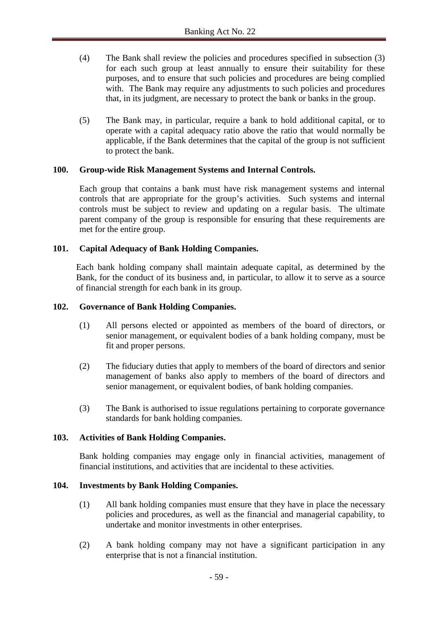- (4) The Bank shall review the policies and procedures specified in subsection (3) for each such group at least annually to ensure their suitability for these purposes, and to ensure that such policies and procedures are being complied with. The Bank may require any adjustments to such policies and procedures that, in its judgment, are necessary to protect the bank or banks in the group.
- (5) The Bank may, in particular, require a bank to hold additional capital, or to operate with a capital adequacy ratio above the ratio that would normally be applicable, if the Bank determines that the capital of the group is not sufficient to protect the bank.

## **100. Group-wide Risk Management Systems and Internal Controls.**

Each group that contains a bank must have risk management systems and internal controls that are appropriate for the group's activities. Such systems and internal controls must be subject to review and updating on a regular basis. The ultimate parent company of the group is responsible for ensuring that these requirements are met for the entire group.

## **101. Capital Adequacy of Bank Holding Companies.**

Each bank holding company shall maintain adequate capital, as determined by the Bank, for the conduct of its business and, in particular, to allow it to serve as a source of financial strength for each bank in its group.

### **102. Governance of Bank Holding Companies.**

- (1) All persons elected or appointed as members of the board of directors, or senior management, or equivalent bodies of a bank holding company, must be fit and proper persons.
- (2) The fiduciary duties that apply to members of the board of directors and senior management of banks also apply to members of the board of directors and senior management, or equivalent bodies, of bank holding companies.
- (3) The Bank is authorised to issue regulations pertaining to corporate governance standards for bank holding companies.

### **103. Activities of Bank Holding Companies.**

Bank holding companies may engage only in financial activities, management of financial institutions, and activities that are incidental to these activities.

### **104. Investments by Bank Holding Companies.**

- (1) All bank holding companies must ensure that they have in place the necessary policies and procedures, as well as the financial and managerial capability, to undertake and monitor investments in other enterprises.
- (2) A bank holding company may not have a significant participation in any enterprise that is not a financial institution.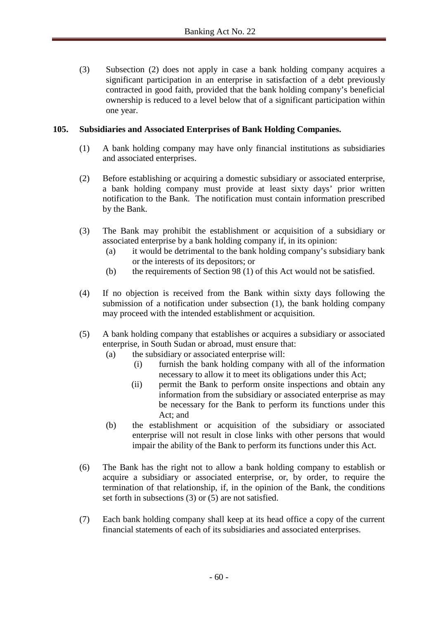(3) Subsection (2) does not apply in case a bank holding company acquires a significant participation in an enterprise in satisfaction of a debt previously contracted in good faith, provided that the bank holding company's beneficial ownership is reduced to a level below that of a significant participation within one year.

## **105. Subsidiaries and Associated Enterprises of Bank Holding Companies.**

- (1) A bank holding company may have only financial institutions as subsidiaries and associated enterprises.
- (2) Before establishing or acquiring a domestic subsidiary or associated enterprise, a bank holding company must provide at least sixty days' prior written notification to the Bank. The notification must contain information prescribed by the Bank.
- (3) The Bank may prohibit the establishment or acquisition of a subsidiary or associated enterprise by a bank holding company if, in its opinion:
	- (a) it would be detrimental to the bank holding company's subsidiary bank or the interests of its depositors; or
	- (b) the requirements of Section 98 (1) of this Act would not be satisfied.
- (4) If no objection is received from the Bank within sixty days following the submission of a notification under subsection (1), the bank holding company may proceed with the intended establishment or acquisition.
- (5) A bank holding company that establishes or acquires a subsidiary or associated enterprise, in South Sudan or abroad, must ensure that:
	- (a) the subsidiary or associated enterprise will:
		- (i) furnish the bank holding company with all of the information necessary to allow it to meet its obligations under this Act;
		- (ii) permit the Bank to perform onsite inspections and obtain any information from the subsidiary or associated enterprise as may be necessary for the Bank to perform its functions under this Act; and
	- (b) the establishment or acquisition of the subsidiary or associated enterprise will not result in close links with other persons that would impair the ability of the Bank to perform its functions under this Act.
- (6) The Bank has the right not to allow a bank holding company to establish or acquire a subsidiary or associated enterprise, or, by order, to require the termination of that relationship, if, in the opinion of the Bank, the conditions set forth in subsections (3) or (5) are not satisfied.
- (7) Each bank holding company shall keep at its head office a copy of the current financial statements of each of its subsidiaries and associated enterprises.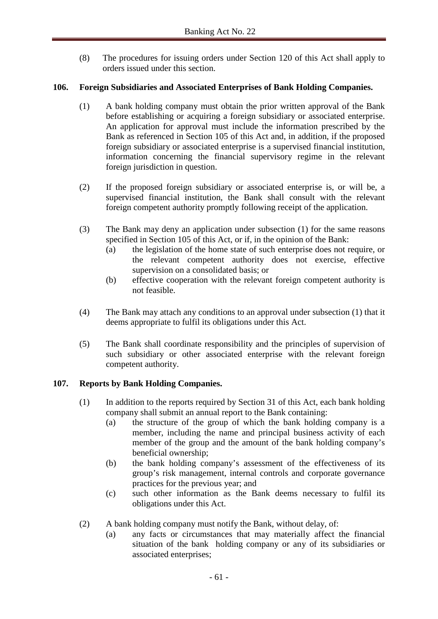(8) The procedures for issuing orders under Section 120 of this Act shall apply to orders issued under this section.

# **106. Foreign Subsidiaries and Associated Enterprises of Bank Holding Companies.**

- (1) A bank holding company must obtain the prior written approval of the Bank before establishing or acquiring a foreign subsidiary or associated enterprise. An application for approval must include the information prescribed by the Bank as referenced in Section 105 of this Act and, in addition, if the proposed foreign subsidiary or associated enterprise is a supervised financial institution, information concerning the financial supervisory regime in the relevant foreign jurisdiction in question.
- (2) If the proposed foreign subsidiary or associated enterprise is, or will be, a supervised financial institution, the Bank shall consult with the relevant foreign competent authority promptly following receipt of the application.
- (3) The Bank may deny an application under subsection (1) for the same reasons specified in Section 105 of this Act, or if, in the opinion of the Bank:
	- (a) the legislation of the home state of such enterprise does not require, or the relevant competent authority does not exercise, effective supervision on a consolidated basis; or
	- (b) effective cooperation with the relevant foreign competent authority is not feasible.
- (4) The Bank may attach any conditions to an approval under subsection (1) that it deems appropriate to fulfil its obligations under this Act.
- (5) The Bank shall coordinate responsibility and the principles of supervision of such subsidiary or other associated enterprise with the relevant foreign competent authority.

# **107. Reports by Bank Holding Companies.**

- (1) In addition to the reports required by Section 31 of this Act, each bank holding company shall submit an annual report to the Bank containing:
	- (a) the structure of the group of which the bank holding company is a member, including the name and principal business activity of each member of the group and the amount of the bank holding company's beneficial ownership;
	- (b) the bank holding company's assessment of the effectiveness of its group's risk management, internal controls and corporate governance practices for the previous year; and
	- (c) such other information as the Bank deems necessary to fulfil its obligations under this Act.
- (2) A bank holding company must notify the Bank, without delay, of:
	- (a) any facts or circumstances that may materially affect the financial situation of the bank holding company or any of its subsidiaries or associated enterprises;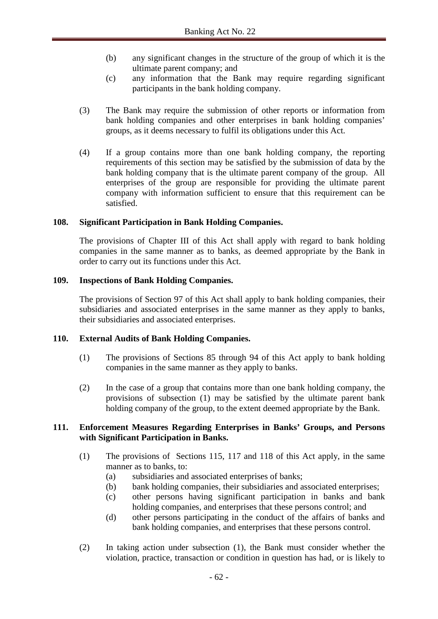- (b) any significant changes in the structure of the group of which it is the ultimate parent company; and
- (c) any information that the Bank may require regarding significant participants in the bank holding company.
- (3) The Bank may require the submission of other reports or information from bank holding companies and other enterprises in bank holding companies' groups, as it deems necessary to fulfil its obligations under this Act.
- (4) If a group contains more than one bank holding company, the reporting requirements of this section may be satisfied by the submission of data by the bank holding company that is the ultimate parent company of the group. All enterprises of the group are responsible for providing the ultimate parent company with information sufficient to ensure that this requirement can be satisfied.

## **108. Significant Participation in Bank Holding Companies.**

The provisions of Chapter III of this Act shall apply with regard to bank holding companies in the same manner as to banks, as deemed appropriate by the Bank in order to carry out its functions under this Act.

### **109. Inspections of Bank Holding Companies.**

The provisions of Section 97 of this Act shall apply to bank holding companies, their subsidiaries and associated enterprises in the same manner as they apply to banks, their subsidiaries and associated enterprises.

### **110. External Audits of Bank Holding Companies.**

- (1) The provisions of Sections 85 through 94 of this Act apply to bank holding companies in the same manner as they apply to banks.
- (2) In the case of a group that contains more than one bank holding company, the provisions of subsection (1) may be satisfied by the ultimate parent bank holding company of the group, to the extent deemed appropriate by the Bank.

## **111. Enforcement Measures Regarding Enterprises in Banks' Groups, and Persons with Significant Participation in Banks.**

- (1) The provisions of Sections 115, 117 and 118 of this Act apply, in the same manner as to banks, to:
	- (a) subsidiaries and associated enterprises of banks;
	- (b) bank holding companies, their subsidiaries and associated enterprises;
	- (c) other persons having significant participation in banks and bank holding companies, and enterprises that these persons control; and
	- (d) other persons participating in the conduct of the affairs of banks and bank holding companies, and enterprises that these persons control.
- (2) In taking action under subsection (1), the Bank must consider whether the violation, practice, transaction or condition in question has had, or is likely to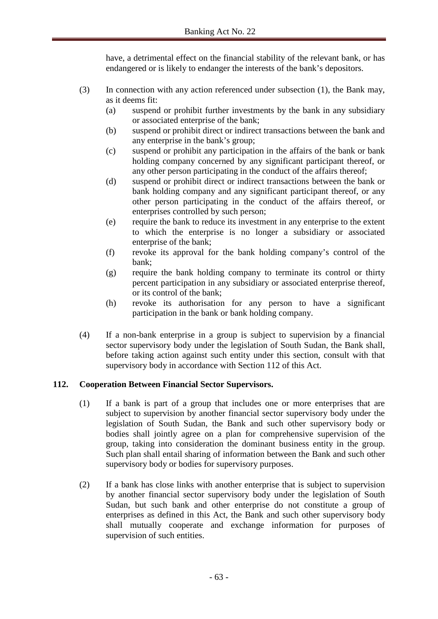have, a detrimental effect on the financial stability of the relevant bank, or has endangered or is likely to endanger the interests of the bank's depositors.

- (3) In connection with any action referenced under subsection (1), the Bank may, as it deems fit:
	- (a) suspend or prohibit further investments by the bank in any subsidiary or associated enterprise of the bank;
	- (b) suspend or prohibit direct or indirect transactions between the bank and any enterprise in the bank's group;
	- (c) suspend or prohibit any participation in the affairs of the bank or bank holding company concerned by any significant participant thereof, or any other person participating in the conduct of the affairs thereof;
	- (d) suspend or prohibit direct or indirect transactions between the bank or bank holding company and any significant participant thereof, or any other person participating in the conduct of the affairs thereof, or enterprises controlled by such person;
	- (e) require the bank to reduce its investment in any enterprise to the extent to which the enterprise is no longer a subsidiary or associated enterprise of the bank;
	- (f) revoke its approval for the bank holding company's control of the bank;
	- (g) require the bank holding company to terminate its control or thirty percent participation in any subsidiary or associated enterprise thereof, or its control of the bank;
	- (h) revoke its authorisation for any person to have a significant participation in the bank or bank holding company.
- (4) If a non-bank enterprise in a group is subject to supervision by a financial sector supervisory body under the legislation of South Sudan, the Bank shall, before taking action against such entity under this section, consult with that supervisory body in accordance with Section 112 of this Act.

# **112. Cooperation Between Financial Sector Supervisors.**

- (1) If a bank is part of a group that includes one or more enterprises that are subject to supervision by another financial sector supervisory body under the legislation of South Sudan, the Bank and such other supervisory body or bodies shall jointly agree on a plan for comprehensive supervision of the group, taking into consideration the dominant business entity in the group. Such plan shall entail sharing of information between the Bank and such other supervisory body or bodies for supervisory purposes.
- (2) If a bank has close links with another enterprise that is subject to supervision by another financial sector supervisory body under the legislation of South Sudan, but such bank and other enterprise do not constitute a group of enterprises as defined in this Act, the Bank and such other supervisory body shall mutually cooperate and exchange information for purposes of supervision of such entities.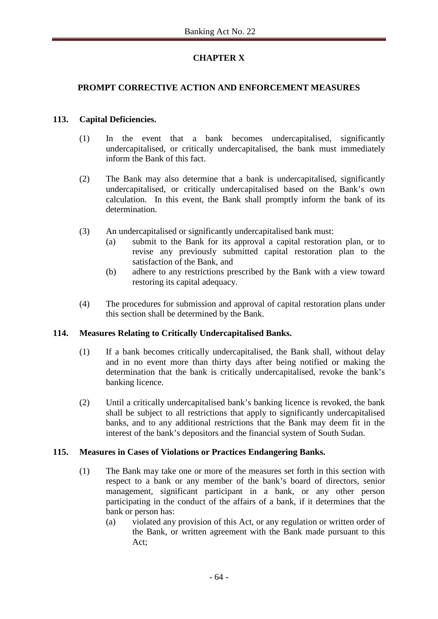# **CHAPTER X**

# **PROMPT CORRECTIVE ACTION AND ENFORCEMENT MEASURES**

## **113. Capital Deficiencies.**

- (1) In the event that a bank becomes undercapitalised, significantly undercapitalised, or critically undercapitalised, the bank must immediately inform the Bank of this fact.
- (2) The Bank may also determine that a bank is undercapitalised, significantly undercapitalised, or critically undercapitalised based on the Bank's own calculation. In this event, the Bank shall promptly inform the bank of its determination.
- (3) An undercapitalised or significantly undercapitalised bank must:
	- (a) submit to the Bank for its approval a capital restoration plan, or to revise any previously submitted capital restoration plan to the satisfaction of the Bank, and
	- (b) adhere to any restrictions prescribed by the Bank with a view toward restoring its capital adequacy.
- (4) The procedures for submission and approval of capital restoration plans under this section shall be determined by the Bank.

### **114. Measures Relating to Critically Undercapitalised Banks.**

- (1) If a bank becomes critically undercapitalised*,* the Bank shall, without delay and in no event more than thirty days after being notified or making the determination that the bank is critically undercapitalised, revoke the bank's banking licence.
- (2) Until a critically undercapitalised bank's banking licence is revoked, the bank shall be subject to all restrictions that apply to significantly undercapitalised banks, and to any additional restrictions that the Bank may deem fit in the interest of the bank's depositors and the financial system of South Sudan.

### **115. Measures in Cases of Violations or Practices Endangering Banks.**

- (1) The Bank may take one or more of the measures set forth in this section with respect to a bank or any member of the bank's board of directors, senior management, significant participant in a bank, or any other person participating in the conduct of the affairs of a bank, if it determines that the bank or person has:
	- (a) violated any provision of this Act, or any regulation or written order of the Bank, or written agreement with the Bank made pursuant to this Act;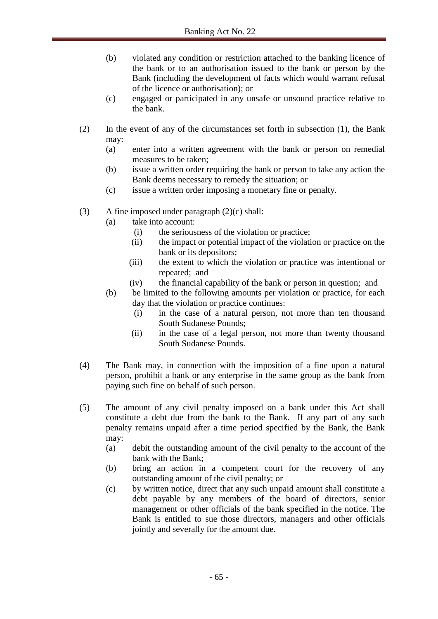- (b) violated any condition or restriction attached to the banking licence of the bank or to an authorisation issued to the bank or person by the Bank (including the development of facts which would warrant refusal of the licence or authorisation); or
- (c) engaged or participated in any unsafe or unsound practice relative to the bank.
- (2) In the event of any of the circumstances set forth in subsection (1), the Bank may:
	- (a) enter into a written agreement with the bank or person on remedial measures to be taken;
	- (b) issue a written order requiring the bank or person to take any action the Bank deems necessary to remedy the situation; or
	- (c) issue a written order imposing a monetary fine or penalty.
- (3) A fine imposed under paragraph (2)(c) shall:
	- (a) take into account:
		- (i) the seriousness of the violation or practice;
		- (ii) the impact or potential impact of the violation or practice on the bank or its depositors;
		- (iii) the extent to which the violation or practice was intentional or repeated; and
		- (iv) the financial capability of the bank or person in question; and
	- (b) be limited to the following amounts per violation or practice, for each day that the violation or practice continues:
		- (i) in the case of a natural person, not more than ten thousand South Sudanese Pounds;
		- (ii) in the case of a legal person, not more than twenty thousand South Sudanese Pounds.
- (4) The Bank may, in connection with the imposition of a fine upon a natural person, prohibit a bank or any enterprise in the same group as the bank from paying such fine on behalf of such person.
- (5) The amount of any civil penalty imposed on a bank under this Act shall constitute a debt due from the bank to the Bank. If any part of any such penalty remains unpaid after a time period specified by the Bank, the Bank may:
	- (a) debit the outstanding amount of the civil penalty to the account of the bank with the Bank;
	- (b) bring an action in a competent court for the recovery of any outstanding amount of the civil penalty; or
	- (c) by written notice, direct that any such unpaid amount shall constitute a debt payable by any members of the board of directors, senior management or other officials of the bank specified in the notice. The Bank is entitled to sue those directors, managers and other officials jointly and severally for the amount due.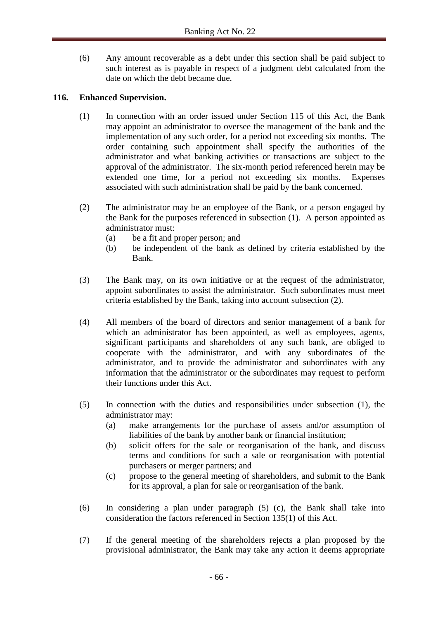(6) Any amount recoverable as a debt under this section shall be paid subject to such interest as is payable in respect of a judgment debt calculated from the date on which the debt became due.

## **116. Enhanced Supervision.**

- (1) In connection with an order issued under Section 115 of this Act, the Bank may appoint an administrator to oversee the management of the bank and the implementation of any such order, for a period not exceeding six months. The order containing such appointment shall specify the authorities of the administrator and what banking activities or transactions are subject to the approval of the administrator. The six-month period referenced herein may be extended one time, for a period not exceeding six months. Expenses associated with such administration shall be paid by the bank concerned.
- (2) The administrator may be an employee of the Bank, or a person engaged by the Bank for the purposes referenced in subsection (1). A person appointed as administrator must:
	- (a) be a fit and proper person; and
	- (b) be independent of the bank as defined by criteria established by the Bank.
- (3) The Bank may, on its own initiative or at the request of the administrator, appoint subordinates to assist the administrator. Such subordinates must meet criteria established by the Bank, taking into account subsection (2).
- (4) All members of the board of directors and senior management of a bank for which an administrator has been appointed, as well as employees, agents, significant participants and shareholders of any such bank, are obliged to cooperate with the administrator, and with any subordinates of the administrator, and to provide the administrator and subordinates with any information that the administrator or the subordinates may request to perform their functions under this Act.
- (5) In connection with the duties and responsibilities under subsection (1), the administrator may:
	- (a) make arrangements for the purchase of assets and/or assumption of liabilities of the bank by another bank or financial institution;
	- (b) solicit offers for the sale or reorganisation of the bank, and discuss terms and conditions for such a sale or reorganisation with potential purchasers or merger partners; and
	- (c) propose to the general meeting of shareholders, and submit to the Bank for its approval, a plan for sale or reorganisation of the bank.
- (6) In considering a plan under paragraph (5) (c), the Bank shall take into consideration the factors referenced in Section 135(1) of this Act.
- (7) If the general meeting of the shareholders rejects a plan proposed by the provisional administrator, the Bank may take any action it deems appropriate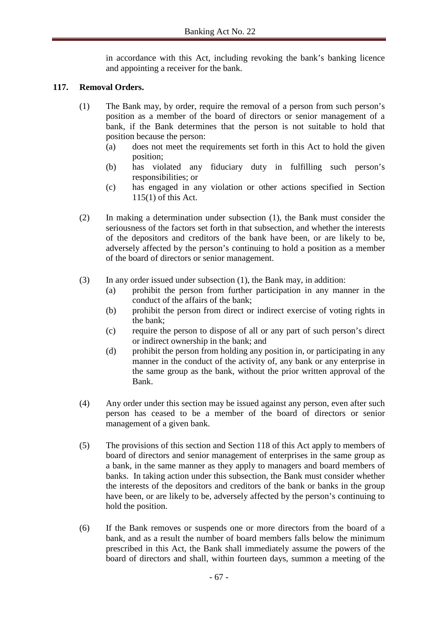in accordance with this Act, including revoking the bank's banking licence and appointing a receiver for the bank.

## **117. Removal Orders.**

- (1) The Bank may, by order, require the removal of a person from such person's position as a member of the board of directors or senior management of a bank, if the Bank determines that the person is not suitable to hold that position because the person:
	- (a) does not meet the requirements set forth in this Act to hold the given position;
	- (b) has violated any fiduciary duty in fulfilling such person's responsibilities; or
	- (c) has engaged in any violation or other actions specified in Section 115(1) of this Act.
- (2) In making a determination under subsection (1), the Bank must consider the seriousness of the factors set forth in that subsection, and whether the interests of the depositors and creditors of the bank have been, or are likely to be, adversely affected by the person's continuing to hold a position as a member of the board of directors or senior management.
- (3) In any order issued under subsection (1), the Bank may, in addition:
	- (a) prohibit the person from further participation in any manner in the conduct of the affairs of the bank;
	- (b) prohibit the person from direct or indirect exercise of voting rights in the bank;
	- (c) require the person to dispose of all or any part of such person's direct or indirect ownership in the bank; and
	- (d) prohibit the person from holding any position in, or participating in any manner in the conduct of the activity of, any bank or any enterprise in the same group as the bank, without the prior written approval of the Bank.
- (4) Any order under this section may be issued against any person, even after such person has ceased to be a member of the board of directors or senior management of a given bank.
- (5) The provisions of this section and Section 118 of this Act apply to members of board of directors and senior management of enterprises in the same group as a bank, in the same manner as they apply to managers and board members of banks. In taking action under this subsection, the Bank must consider whether the interests of the depositors and creditors of the bank or banks in the group have been, or are likely to be, adversely affected by the person's continuing to hold the position.
- (6) If the Bank removes or suspends one or more directors from the board of a bank, and as a result the number of board members falls below the minimum prescribed in this Act, the Bank shall immediately assume the powers of the board of directors and shall, within fourteen days, summon a meeting of the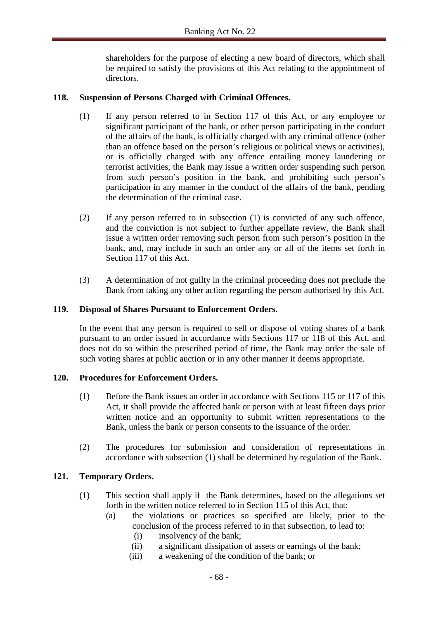shareholders for the purpose of electing a new board of directors, which shall be required to satisfy the provisions of this Act relating to the appointment of directors.

## **118. Suspension of Persons Charged with Criminal Offences.**

- (1) If any person referred to in Section 117 of this Act, or any employee or significant participant of the bank, or other person participating in the conduct of the affairs of the bank, is officially charged with any criminal offence (other than an offence based on the person's religious or political views or activities), or is officially charged with any offence entailing money laundering or terrorist activities, the Bank may issue a written order suspending such person from such person's position in the bank, and prohibiting such person's participation in any manner in the conduct of the affairs of the bank, pending the determination of the criminal case.
- (2) If any person referred to in subsection (1) is convicted of any such offence, and the conviction is not subject to further appellate review, the Bank shall issue a written order removing such person from such person's position in the bank, and, may include in such an order any or all of the items set forth in Section 117 of this Act.
- (3) A determination of not guilty in the criminal proceeding does not preclude the Bank from taking any other action regarding the person authorised by this Act.

### **119. Disposal of Shares Pursuant to Enforcement Orders.**

In the event that any person is required to sell or dispose of voting shares of a bank pursuant to an order issued in accordance with Sections 117 or 118 of this Act, and does not do so within the prescribed period of time, the Bank may order the sale of such voting shares at public auction or in any other manner it deems appropriate.

### **120. Procedures for Enforcement Orders.**

- (1) Before the Bank issues an order in accordance with Sections 115 or 117 of this Act, it shall provide the affected bank or person with at least fifteen days prior written notice and an opportunity to submit written representations to the Bank, unless the bank or person consents to the issuance of the order.
- (2) The procedures for submission and consideration of representations in accordance with subsection (1) shall be determined by regulation of the Bank.

### **121. Temporary Orders.**

- (1) This section shall apply if the Bank determines, based on the allegations set forth in the written notice referred to in Section 115 of this Act, that:
	- (a) the violations or practices so specified are likely, prior to the conclusion of the process referred to in that subsection, to lead to:
		- (i) insolvency of the bank;
		- (ii) a significant dissipation of assets or earnings of the bank;
		- (iii) a weakening of the condition of the bank; or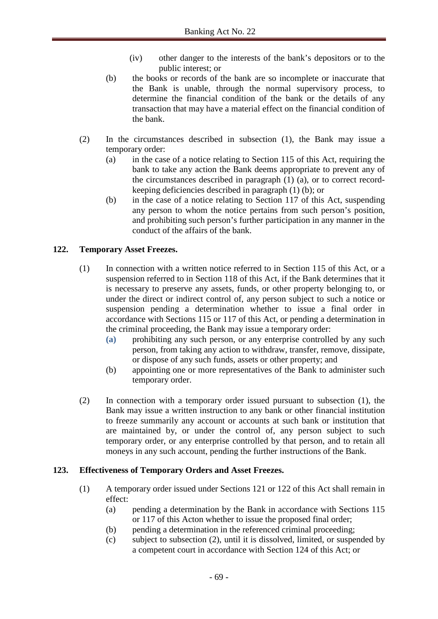- (iv) other danger to the interests of the bank's depositors or to the public interest; or
- (b) the books or records of the bank are so incomplete or inaccurate that the Bank is unable, through the normal supervisory process, to determine the financial condition of the bank or the details of any transaction that may have a material effect on the financial condition of the bank.
- (2) In the circumstances described in subsection (1), the Bank may issue a temporary order:
	- (a) in the case of a notice relating to Section 115 of this Act, requiring the bank to take any action the Bank deems appropriate to prevent any of the circumstances described in paragraph (1) (a), or to correct recordkeeping deficiencies described in paragraph (1) (b); or
	- (b) in the case of a notice relating to Section 117 of this Act, suspending any person to whom the notice pertains from such person's position, and prohibiting such person's further participation in any manner in the conduct of the affairs of the bank.

# **122. Temporary Asset Freezes.**

- (1) In connection with a written notice referred to in Section 115 of this Act, or a suspension referred to in Section 118 of this Act, if the Bank determines that it is necessary to preserve any assets, funds, or other property belonging to, or under the direct or indirect control of, any person subject to such a notice or suspension pending a determination whether to issue a final order in accordance with Sections 115 or 117 of this Act, or pending a determination in the criminal proceeding, the Bank may issue a temporary order:
	- **(a)** prohibiting any such person, or any enterprise controlled by any such person, from taking any action to withdraw, transfer, remove, dissipate, or dispose of any such funds, assets or other property; and
	- (b) appointing one or more representatives of the Bank to administer such temporary order.
- (2) In connection with a temporary order issued pursuant to subsection (1), the Bank may issue a written instruction to any bank or other financial institution to freeze summarily any account or accounts at such bank or institution that are maintained by, or under the control of, any person subject to such temporary order, or any enterprise controlled by that person, and to retain all moneys in any such account, pending the further instructions of the Bank.

# **123. Effectiveness of Temporary Orders and Asset Freezes.**

- (1) A temporary order issued under Sections 121 or 122 of this Act shall remain in effect:
	- (a) pending a determination by the Bank in accordance with Sections 115 or 117 of this Acton whether to issue the proposed final order;
	- (b) pending a determination in the referenced criminal proceeding;
	- (c) subject to subsection (2), until it is dissolved, limited, or suspended by a competent court in accordance with Section 124 of this Act; or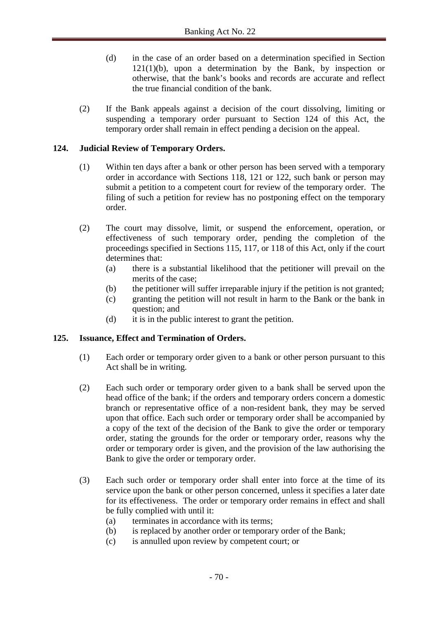- (d) in the case of an order based on a determination specified in Section  $121(1)(b)$ , upon a determination by the Bank, by inspection or otherwise, that the bank's books and records are accurate and reflect the true financial condition of the bank.
- (2) If the Bank appeals against a decision of the court dissolving, limiting or suspending a temporary order pursuant to Section 124 of this Act, the temporary order shall remain in effect pending a decision on the appeal.

## **124. Judicial Review of Temporary Orders.**

- (1) Within ten days after a bank or other person has been served with a temporary order in accordance with Sections 118, 121 or 122, such bank or person may submit a petition to a competent court for review of the temporary order. The filing of such a petition for review has no postponing effect on the temporary order.
- (2) The court may dissolve, limit, or suspend the enforcement, operation, or effectiveness of such temporary order, pending the completion of the proceedings specified in Sections 115, 117, or 118 of this Act, only if the court determines that:
	- (a) there is a substantial likelihood that the petitioner will prevail on the merits of the case;
	- (b) the petitioner will suffer irreparable injury if the petition is not granted;
	- (c) granting the petition will not result in harm to the Bank or the bank in question; and
	- (d) it is in the public interest to grant the petition.

### **125. Issuance, Effect and Termination of Orders.**

- (1) Each order or temporary order given to a bank or other person pursuant to this Act shall be in writing.
- (2) Each such order or temporary order given to a bank shall be served upon the head office of the bank; if the orders and temporary orders concern a domestic branch or representative office of a non-resident bank, they may be served upon that office. Each such order or temporary order shall be accompanied by a copy of the text of the decision of the Bank to give the order or temporary order, stating the grounds for the order or temporary order, reasons why the order or temporary order is given, and the provision of the law authorising the Bank to give the order or temporary order.
- (3) Each such order or temporary order shall enter into force at the time of its service upon the bank or other person concerned, unless it specifies a later date for its effectiveness. The order or temporary order remains in effect and shall be fully complied with until it:
	- (a) terminates in accordance with its terms;
	- (b) is replaced by another order or temporary order of the Bank;
	- (c) is annulled upon review by competent court; or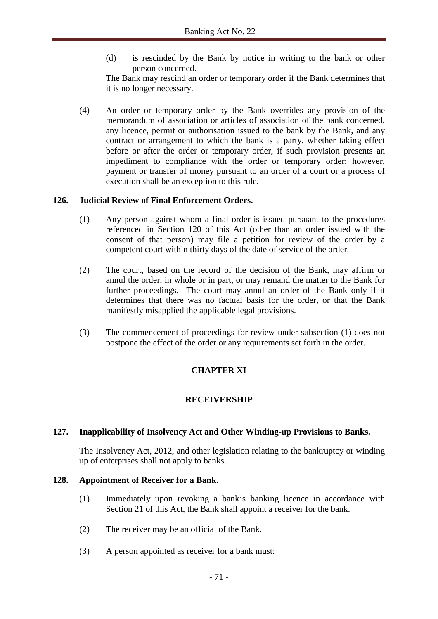(d) is rescinded by the Bank by notice in writing to the bank or other person concerned.

The Bank may rescind an order or temporary order if the Bank determines that it is no longer necessary.

(4) An order or temporary order by the Bank overrides any provision of the memorandum of association or articles of association of the bank concerned, any licence, permit or authorisation issued to the bank by the Bank, and any contract or arrangement to which the bank is a party, whether taking effect before or after the order or temporary order, if such provision presents an impediment to compliance with the order or temporary order; however, payment or transfer of money pursuant to an order of a court or a process of execution shall be an exception to this rule.

## **126. Judicial Review of Final Enforcement Orders.**

- (1) Any person against whom a final order is issued pursuant to the procedures referenced in Section 120 of this Act (other than an order issued with the consent of that person) may file a petition for review of the order by a competent court within thirty days of the date of service of the order.
- (2) The court, based on the record of the decision of the Bank, may affirm or annul the order, in whole or in part, or may remand the matter to the Bank for further proceedings. The court may annul an order of the Bank only if it determines that there was no factual basis for the order, or that the Bank manifestly misapplied the applicable legal provisions.
- (3) The commencement of proceedings for review under subsection (1) does not postpone the effect of the order or any requirements set forth in the order.

# **CHAPTER XI**

# **RECEIVERSHIP**

# **127. Inapplicability of Insolvency Act and Other Winding-up Provisions to Banks.**

The Insolvency Act, 2012, and other legislation relating to the bankruptcy or winding up of enterprises shall not apply to banks.

### **128. Appointment of Receiver for a Bank.**

- (1) Immediately upon revoking a bank's banking licence in accordance with Section 21 of this Act, the Bank shall appoint a receiver for the bank.
- (2) The receiver may be an official of the Bank.
- (3) A person appointed as receiver for a bank must: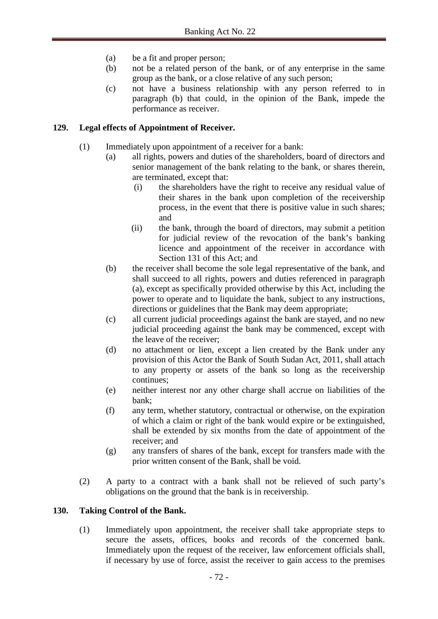- (a) be a fit and proper person;
- (b) not be a related person of the bank, or of any enterprise in the same group as the bank, or a close relative of any such person;
- (c) not have a business relationship with any person referred to in paragraph (b) that could, in the opinion of the Bank, impede the performance as receiver.

### **129. Legal effects of Appointment of Receiver.**

- (1) Immediately upon appointment of a receiver for a bank:
	- (a) all rights, powers and duties of the shareholders, board of directors and senior management of the bank relating to the bank, or shares therein, are terminated, except that:
		- (i) the shareholders have the right to receive any residual value of their shares in the bank upon completion of the receivership process, in the event that there is positive value in such shares; and
		- (ii) the bank, through the board of directors, may submit a petition for judicial review of the revocation of the bank's banking licence and appointment of the receiver in accordance with Section 131 of this Act; and
	- (b) the receiver shall become the sole legal representative of the bank, and shall succeed to all rights, powers and duties referenced in paragraph (a), except as specifically provided otherwise by this Act, including the power to operate and to liquidate the bank, subject to any instructions, directions or guidelines that the Bank may deem appropriate;
	- (c) all current judicial proceedings against the bank are stayed, and no new judicial proceeding against the bank may be commenced, except with the leave of the receiver;
	- (d) no attachment or lien, except a lien created by the Bank under any provision of this Actor the Bank of South Sudan Act, 2011, shall attach to any property or assets of the bank so long as the receivership continues;
	- (e) neither interest nor any other charge shall accrue on liabilities of the bank;
	- (f) any term, whether statutory, contractual or otherwise, on the expiration of which a claim or right of the bank would expire or be extinguished, shall be extended by six months from the date of appointment of the receiver; and
	- (g) any transfers of shares of the bank, except for transfers made with the prior written consent of the Bank, shall be void.
- (2) A party to a contract with a bank shall not be relieved of such party's obligations on the ground that the bank is in receivership.

#### **130. Taking Control of the Bank.**

(1) Immediately upon appointment, the receiver shall take appropriate steps to secure the assets, offices, books and records of the concerned bank. Immediately upon the request of the receiver, law enforcement officials shall, if necessary by use of force, assist the receiver to gain access to the premises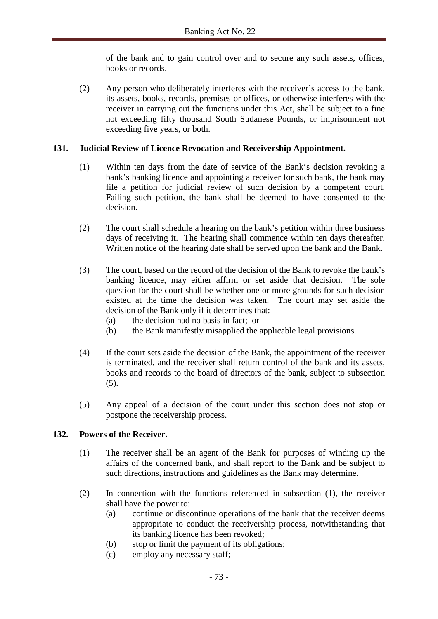of the bank and to gain control over and to secure any such assets, offices, books or records.

(2) Any person who deliberately interferes with the receiver's access to the bank, its assets, books, records, premises or offices, or otherwise interferes with the receiver in carrying out the functions under this Act, shall be subject to a fine not exceeding fifty thousand South Sudanese Pounds, or imprisonment not exceeding five years, or both.

### **131. Judicial Review of Licence Revocation and Receivership Appointment.**

- (1) Within ten days from the date of service of the Bank's decision revoking a bank's banking licence and appointing a receiver for such bank, the bank may file a petition for judicial review of such decision by a competent court. Failing such petition, the bank shall be deemed to have consented to the decision.
- (2) The court shall schedule a hearing on the bank's petition within three business days of receiving it. The hearing shall commence within ten days thereafter. Written notice of the hearing date shall be served upon the bank and the Bank.
- (3) The court, based on the record of the decision of the Bank to revoke the bank's banking licence, may either affirm or set aside that decision. The sole question for the court shall be whether one or more grounds for such decision existed at the time the decision was taken. The court may set aside the decision of the Bank only if it determines that:
	- (a) the decision had no basis in fact; or
	- (b) the Bank manifestly misapplied the applicable legal provisions.
- (4) If the court sets aside the decision of the Bank, the appointment of the receiver is terminated, and the receiver shall return control of the bank and its assets, books and records to the board of directors of the bank, subject to subsection (5).
- (5) Any appeal of a decision of the court under this section does not stop or postpone the receivership process.

#### **132. Powers of the Receiver.**

- (1) The receiver shall be an agent of the Bank for purposes of winding up the affairs of the concerned bank, and shall report to the Bank and be subject to such directions, instructions and guidelines as the Bank may determine.
- (2) In connection with the functions referenced in subsection (1), the receiver shall have the power to:
	- (a) continue or discontinue operations of the bank that the receiver deems appropriate to conduct the receivership process, notwithstanding that its banking licence has been revoked;
	- (b) stop or limit the payment of its obligations;
	- (c) employ any necessary staff;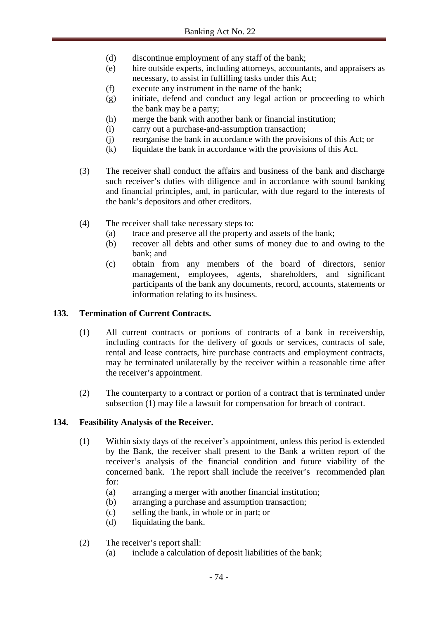- (d) discontinue employment of any staff of the bank;
- (e) hire outside experts, including attorneys, accountants, and appraisers as necessary, to assist in fulfilling tasks under this Act;
- (f) execute any instrument in the name of the bank;
- (g) initiate, defend and conduct any legal action or proceeding to which the bank may be a party;
- (h) merge the bank with another bank or financial institution;
- (i) carry out a purchase-and-assumption transaction;
- (j) reorganise the bank in accordance with the provisions of this Act; or
- (k) liquidate the bank in accordance with the provisions of this Act.
- (3) The receiver shall conduct the affairs and business of the bank and discharge such receiver's duties with diligence and in accordance with sound banking and financial principles, and, in particular, with due regard to the interests of the bank's depositors and other creditors.
- (4) The receiver shall take necessary steps to:
	- (a) trace and preserve all the property and assets of the bank;
	- (b) recover all debts and other sums of money due to and owing to the bank; and
	- (c) obtain from any members of the board of directors, senior management, employees, agents, shareholders, and significant participants of the bank any documents, record, accounts, statements or information relating to its business.

### **133. Termination of Current Contracts.**

- (1) All current contracts or portions of contracts of a bank in receivership, including contracts for the delivery of goods or services, contracts of sale, rental and lease contracts, hire purchase contracts and employment contracts, may be terminated unilaterally by the receiver within a reasonable time after the receiver's appointment.
- (2) The counterparty to a contract or portion of a contract that is terminated under subsection (1) may file a lawsuit for compensation for breach of contract.

# **134. Feasibility Analysis of the Receiver.**

- (1) Within sixty days of the receiver's appointment, unless this period is extended by the Bank, the receiver shall present to the Bank a written report of the receiver's analysis of the financial condition and future viability of the concerned bank. The report shall include the receiver's recommended plan for:
	- (a) arranging a merger with another financial institution;
	- (b) arranging a purchase and assumption transaction;
	- (c) selling the bank, in whole or in part; or
	- (d) liquidating the bank.
- (2) The receiver's report shall:
	- (a) include a calculation of deposit liabilities of the bank;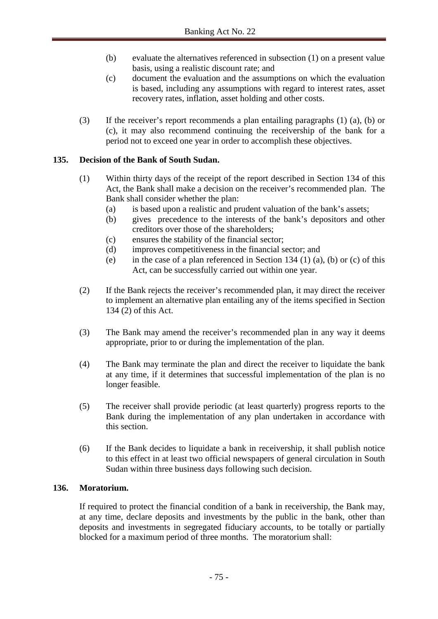- (b) evaluate the alternatives referenced in subsection (1) on a present value basis, using a realistic discount rate; and
- (c) document the evaluation and the assumptions on which the evaluation is based, including any assumptions with regard to interest rates, asset recovery rates, inflation, asset holding and other costs.
- (3) If the receiver's report recommends a plan entailing paragraphs (1) (a), (b) or (c), it may also recommend continuing the receivership of the bank for a period not to exceed one year in order to accomplish these objectives.

# **135. Decision of the Bank of South Sudan.**

- (1) Within thirty days of the receipt of the report described in Section 134 of this Act, the Bank shall make a decision on the receiver's recommended plan. The Bank shall consider whether the plan:
	- (a) is based upon a realistic and prudent valuation of the bank's assets;
	- (b) gives precedence to the interests of the bank's depositors and other creditors over those of the shareholders;
	- (c) ensures the stability of the financial sector;
	- (d) improves competitiveness in the financial sector; and
	- (e) in the case of a plan referenced in Section 134 (1) (a), (b) or (c) of this Act, can be successfully carried out within one year.
- (2) If the Bank rejects the receiver's recommended plan, it may direct the receiver to implement an alternative plan entailing any of the items specified in Section 134 (2) of this Act.
- (3) The Bank may amend the receiver's recommended plan in any way it deems appropriate, prior to or during the implementation of the plan.
- (4) The Bank may terminate the plan and direct the receiver to liquidate the bank at any time, if it determines that successful implementation of the plan is no longer feasible.
- (5) The receiver shall provide periodic (at least quarterly) progress reports to the Bank during the implementation of any plan undertaken in accordance with this section.
- (6) If the Bank decides to liquidate a bank in receivership, it shall publish notice to this effect in at least two official newspapers of general circulation in South Sudan within three business days following such decision.

# **136. Moratorium.**

If required to protect the financial condition of a bank in receivership, the Bank may, at any time, declare deposits and investments by the public in the bank, other than deposits and investments in segregated fiduciary accounts, to be totally or partially blocked for a maximum period of three months. The moratorium shall: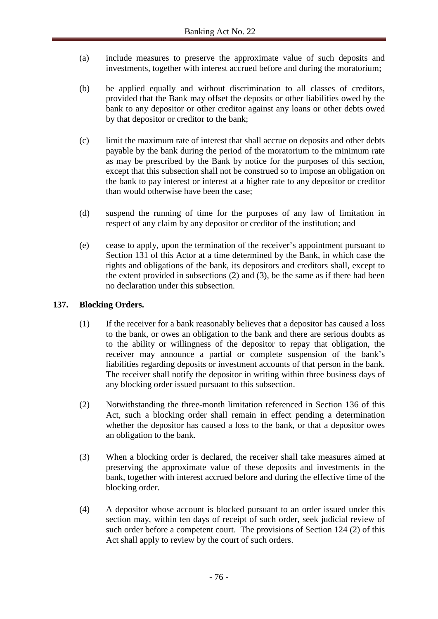- (a) include measures to preserve the approximate value of such deposits and investments, together with interest accrued before and during the moratorium;
- (b) be applied equally and without discrimination to all classes of creditors, provided that the Bank may offset the deposits or other liabilities owed by the bank to any depositor or other creditor against any loans or other debts owed by that depositor or creditor to the bank;
- (c) limit the maximum rate of interest that shall accrue on deposits and other debts payable by the bank during the period of the moratorium to the minimum rate as may be prescribed by the Bank by notice for the purposes of this section, except that this subsection shall not be construed so to impose an obligation on the bank to pay interest or interest at a higher rate to any depositor or creditor than would otherwise have been the case;
- (d) suspend the running of time for the purposes of any law of limitation in respect of any claim by any depositor or creditor of the institution; and
- (e) cease to apply, upon the termination of the receiver's appointment pursuant to Section 131 of this Actor at a time determined by the Bank, in which case the rights and obligations of the bank, its depositors and creditors shall, except to the extent provided in subsections (2) and (3), be the same as if there had been no declaration under this subsection.

### **137. Blocking Orders.**

- (1) If the receiver for a bank reasonably believes that a depositor has caused a loss to the bank, or owes an obligation to the bank and there are serious doubts as to the ability or willingness of the depositor to repay that obligation, the receiver may announce a partial or complete suspension of the bank's liabilities regarding deposits or investment accounts of that person in the bank. The receiver shall notify the depositor in writing within three business days of any blocking order issued pursuant to this subsection.
- (2) Notwithstanding the three-month limitation referenced in Section 136 of this Act, such a blocking order shall remain in effect pending a determination whether the depositor has caused a loss to the bank, or that a depositor owes an obligation to the bank.
- (3) When a blocking order is declared, the receiver shall take measures aimed at preserving the approximate value of these deposits and investments in the bank, together with interest accrued before and during the effective time of the blocking order.
- (4) A depositor whose account is blocked pursuant to an order issued under this section may, within ten days of receipt of such order, seek judicial review of such order before a competent court. The provisions of Section 124 (2) of this Act shall apply to review by the court of such orders.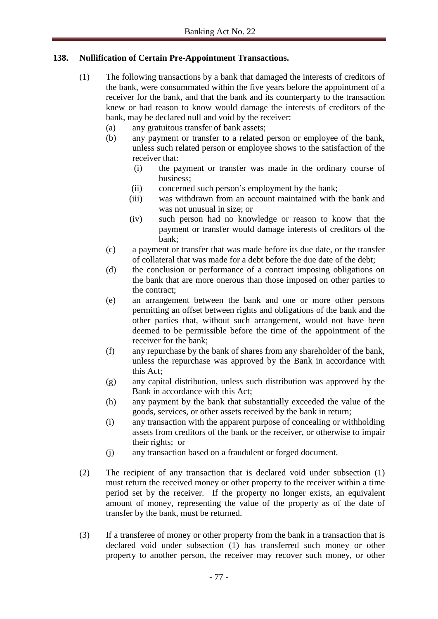# **138. Nullification of Certain Pre-Appointment Transactions.**

- (1) The following transactions by a bank that damaged the interests of creditors of the bank, were consummated within the five years before the appointment of a receiver for the bank, and that the bank and its counterparty to the transaction knew or had reason to know would damage the interests of creditors of the bank, may be declared null and void by the receiver:
	- (a) any gratuitous transfer of bank assets;
	- (b) any payment or transfer to a related person or employee of the bank, unless such related person or employee shows to the satisfaction of the receiver that:
		- (i) the payment or transfer was made in the ordinary course of business;
		- (ii) concerned such person's employment by the bank;
		- (iii) was withdrawn from an account maintained with the bank and was not unusual in size; or
		- (iv) such person had no knowledge or reason to know that the payment or transfer would damage interests of creditors of the bank;
	- (c) a payment or transfer that was made before its due date, or the transfer of collateral that was made for a debt before the due date of the debt;
	- (d) the conclusion or performance of a contract imposing obligations on the bank that are more onerous than those imposed on other parties to the contract;
	- (e) an arrangement between the bank and one or more other persons permitting an offset between rights and obligations of the bank and the other parties that, without such arrangement, would not have been deemed to be permissible before the time of the appointment of the receiver for the bank;
	- (f) any repurchase by the bank of shares from any shareholder of the bank, unless the repurchase was approved by the Bank in accordance with this Act;
	- (g) any capital distribution, unless such distribution was approved by the Bank in accordance with this Act;
	- (h) any payment by the bank that substantially exceeded the value of the goods, services, or other assets received by the bank in return;
	- (i) any transaction with the apparent purpose of concealing or withholding assets from creditors of the bank or the receiver, or otherwise to impair their rights; or
	- (j) any transaction based on a fraudulent or forged document.
- (2) The recipient of any transaction that is declared void under subsection (1) must return the received money or other property to the receiver within a time period set by the receiver. If the property no longer exists, an equivalent amount of money, representing the value of the property as of the date of transfer by the bank, must be returned.
- (3) If a transferee of money or other property from the bank in a transaction that is declared void under subsection (1) has transferred such money or other property to another person, the receiver may recover such money, or other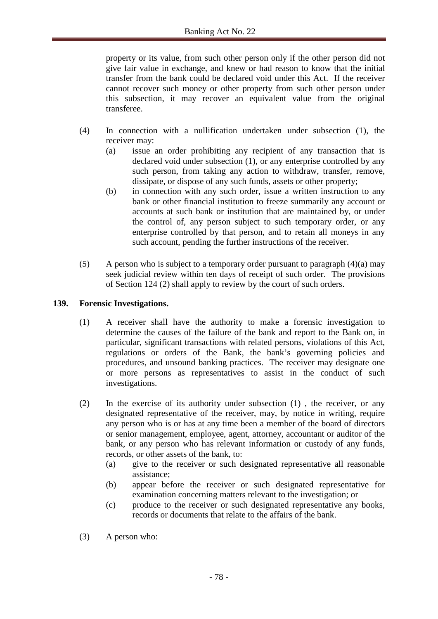property or its value, from such other person only if the other person did not give fair value in exchange, and knew or had reason to know that the initial transfer from the bank could be declared void under this Act. If the receiver cannot recover such money or other property from such other person under this subsection, it may recover an equivalent value from the original transferee.

- (4) In connection with a nullification undertaken under subsection (1), the receiver may:
	- (a) issue an order prohibiting any recipient of any transaction that is declared void under subsection (1), or any enterprise controlled by any such person, from taking any action to withdraw, transfer, remove, dissipate, or dispose of any such funds, assets or other property;
	- (b) in connection with any such order, issue a written instruction to any bank or other financial institution to freeze summarily any account or accounts at such bank or institution that are maintained by, or under the control of, any person subject to such temporary order, or any enterprise controlled by that person, and to retain all moneys in any such account, pending the further instructions of the receiver.
- (5) A person who is subject to a temporary order pursuant to paragraph  $(4)(a)$  may seek judicial review within ten days of receipt of such order. The provisions of Section 124 (2) shall apply to review by the court of such orders.

### **139. Forensic Investigations.**

- (1) A receiver shall have the authority to make a forensic investigation to determine the causes of the failure of the bank and report to the Bank on, in particular, significant transactions with related persons, violations of this Act, regulations or orders of the Bank, the bank's governing policies and procedures, and unsound banking practices. The receiver may designate one or more persons as representatives to assist in the conduct of such investigations.
- (2) In the exercise of its authority under subsection (1) , the receiver, or any designated representative of the receiver, may, by notice in writing, require any person who is or has at any time been a member of the board of directors or senior management, employee, agent, attorney, accountant or auditor of the bank, or any person who has relevant information or custody of any funds, records, or other assets of the bank, to:
	- (a) give to the receiver or such designated representative all reasonable assistance;
	- (b) appear before the receiver or such designated representative for examination concerning matters relevant to the investigation; or
	- (c) produce to the receiver or such designated representative any books, records or documents that relate to the affairs of the bank.
- (3) A person who: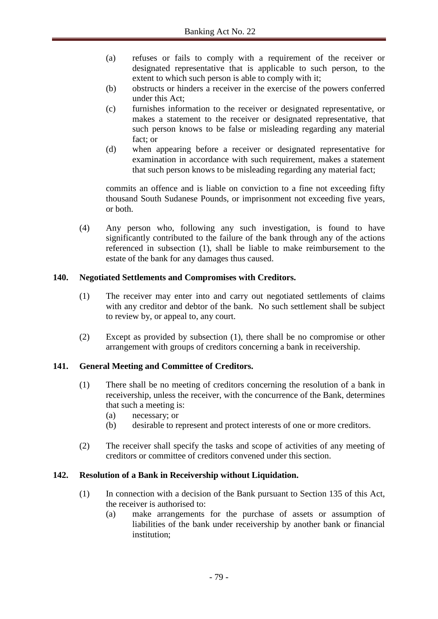- (a) refuses or fails to comply with a requirement of the receiver or designated representative that is applicable to such person, to the extent to which such person is able to comply with it;
- (b) obstructs or hinders a receiver in the exercise of the powers conferred under this Act;
- (c) furnishes information to the receiver or designated representative, or makes a statement to the receiver or designated representative, that such person knows to be false or misleading regarding any material fact; or
- (d) when appearing before a receiver or designated representative for examination in accordance with such requirement, makes a statement that such person knows to be misleading regarding any material fact;

commits an offence and is liable on conviction to a fine not exceeding fifty thousand South Sudanese Pounds, or imprisonment not exceeding five years, or both.

(4) Any person who, following any such investigation, is found to have significantly contributed to the failure of the bank through any of the actions referenced in subsection (1), shall be liable to make reimbursement to the estate of the bank for any damages thus caused.

### **140. Negotiated Settlements and Compromises with Creditors.**

- (1) The receiver may enter into and carry out negotiated settlements of claims with any creditor and debtor of the bank. No such settlement shall be subject to review by, or appeal to, any court.
- (2) Except as provided by subsection (1), there shall be no compromise or other arrangement with groups of creditors concerning a bank in receivership.

# **141. General Meeting and Committee of Creditors.**

- (1) There shall be no meeting of creditors concerning the resolution of a bank in receivership, unless the receiver, with the concurrence of the Bank, determines that such a meeting is:
	- (a) necessary; or
	- (b) desirable to represent and protect interests of one or more creditors.
- (2) The receiver shall specify the tasks and scope of activities of any meeting of creditors or committee of creditors convened under this section.

#### **142. Resolution of a Bank in Receivership without Liquidation.**

- (1) In connection with a decision of the Bank pursuant to Section 135 of this Act, the receiver is authorised to:
	- (a) make arrangements for the purchase of assets or assumption of liabilities of the bank under receivership by another bank or financial institution;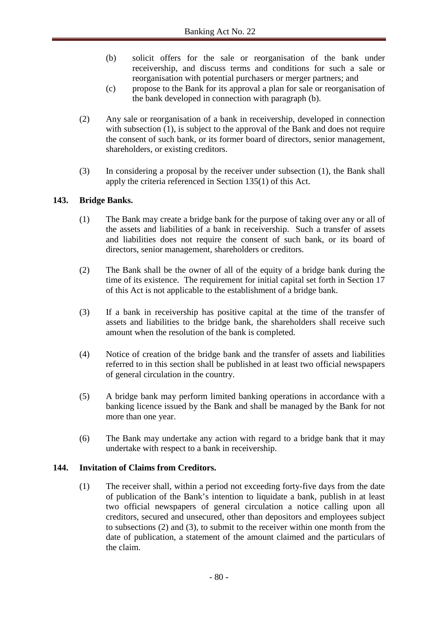- (b) solicit offers for the sale or reorganisation of the bank under receivership, and discuss terms and conditions for such a sale or reorganisation with potential purchasers or merger partners; and
- (c) propose to the Bank for its approval a plan for sale or reorganisation of the bank developed in connection with paragraph (b).
- (2) Any sale or reorganisation of a bank in receivership, developed in connection with subsection (1), is subject to the approval of the Bank and does not require the consent of such bank, or its former board of directors, senior management, shareholders, or existing creditors.
- (3) In considering a proposal by the receiver under subsection (1), the Bank shall apply the criteria referenced in Section 135(1) of this Act.

# **143. Bridge Banks.**

- (1) The Bank may create a bridge bank for the purpose of taking over any or all of the assets and liabilities of a bank in receivership. Such a transfer of assets and liabilities does not require the consent of such bank, or its board of directors, senior management, shareholders or creditors.
- (2) The Bank shall be the owner of all of the equity of a bridge bank during the time of its existence. The requirement for initial capital set forth in Section 17 of this Act is not applicable to the establishment of a bridge bank.
- (3) If a bank in receivership has positive capital at the time of the transfer of assets and liabilities to the bridge bank, the shareholders shall receive such amount when the resolution of the bank is completed.
- (4) Notice of creation of the bridge bank and the transfer of assets and liabilities referred to in this section shall be published in at least two official newspapers of general circulation in the country.
- (5) A bridge bank may perform limited banking operations in accordance with a banking licence issued by the Bank and shall be managed by the Bank for not more than one year.
- (6) The Bank may undertake any action with regard to a bridge bank that it may undertake with respect to a bank in receivership.

#### **144. Invitation of Claims from Creditors.**

(1) The receiver shall, within a period not exceeding forty-five days from the date of publication of the Bank's intention to liquidate a bank, publish in at least two official newspapers of general circulation a notice calling upon all creditors, secured and unsecured, other than depositors and employees subject to subsections (2) and (3), to submit to the receiver within one month from the date of publication, a statement of the amount claimed and the particulars of the claim.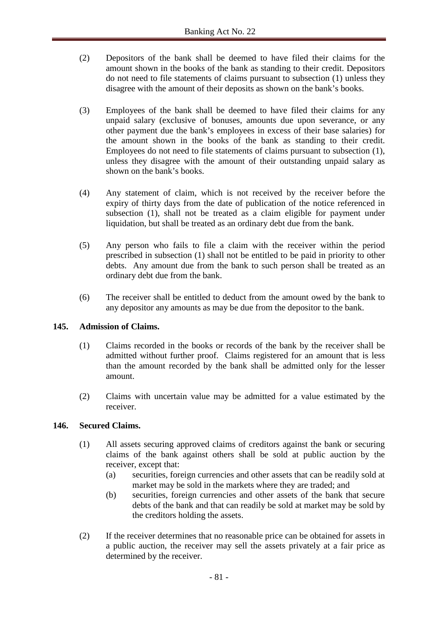- (2) Depositors of the bank shall be deemed to have filed their claims for the amount shown in the books of the bank as standing to their credit. Depositors do not need to file statements of claims pursuant to subsection (1) unless they disagree with the amount of their deposits as shown on the bank's books.
- (3) Employees of the bank shall be deemed to have filed their claims for any unpaid salary (exclusive of bonuses, amounts due upon severance, or any other payment due the bank's employees in excess of their base salaries) for the amount shown in the books of the bank as standing to their credit. Employees do not need to file statements of claims pursuant to subsection (1), unless they disagree with the amount of their outstanding unpaid salary as shown on the bank's books.
- (4) Any statement of claim, which is not received by the receiver before the expiry of thirty days from the date of publication of the notice referenced in subsection (1), shall not be treated as a claim eligible for payment under liquidation, but shall be treated as an ordinary debt due from the bank.
- (5) Any person who fails to file a claim with the receiver within the period prescribed in subsection (1) shall not be entitled to be paid in priority to other debts. Any amount due from the bank to such person shall be treated as an ordinary debt due from the bank.
- (6) The receiver shall be entitled to deduct from the amount owed by the bank to any depositor any amounts as may be due from the depositor to the bank.

# **145. Admission of Claims.**

- (1) Claims recorded in the books or records of the bank by the receiver shall be admitted without further proof. Claims registered for an amount that is less than the amount recorded by the bank shall be admitted only for the lesser amount.
- (2) Claims with uncertain value may be admitted for a value estimated by the receiver.

#### **146. Secured Claims.**

- (1) All assets securing approved claims of creditors against the bank or securing claims of the bank against others shall be sold at public auction by the receiver, except that:
	- (a) securities, foreign currencies and other assets that can be readily sold at market may be sold in the markets where they are traded; and
	- (b) securities, foreign currencies and other assets of the bank that secure debts of the bank and that can readily be sold at market may be sold by the creditors holding the assets.
- (2) If the receiver determines that no reasonable price can be obtained for assets in a public auction, the receiver may sell the assets privately at a fair price as determined by the receiver.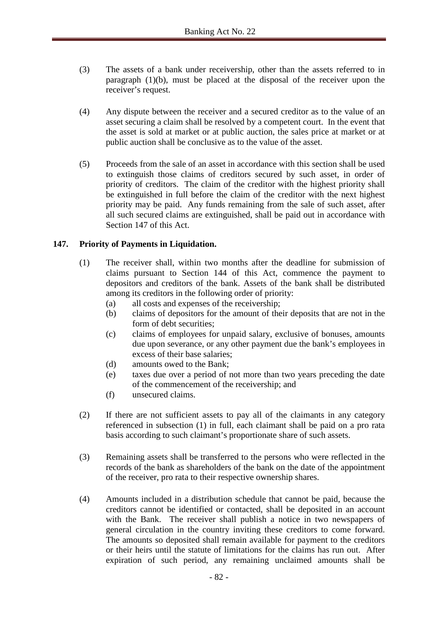- (3) The assets of a bank under receivership, other than the assets referred to in paragraph (1)(b), must be placed at the disposal of the receiver upon the receiver's request.
- (4) Any dispute between the receiver and a secured creditor as to the value of an asset securing a claim shall be resolved by a competent court. In the event that the asset is sold at market or at public auction, the sales price at market or at public auction shall be conclusive as to the value of the asset.
- (5) Proceeds from the sale of an asset in accordance with this section shall be used to extinguish those claims of creditors secured by such asset, in order of priority of creditors. The claim of the creditor with the highest priority shall be extinguished in full before the claim of the creditor with the next highest priority may be paid. Any funds remaining from the sale of such asset, after all such secured claims are extinguished, shall be paid out in accordance with Section 147 of this Act.

### **147. Priority of Payments in Liquidation.**

- (1) The receiver shall, within two months after the deadline for submission of claims pursuant to Section 144 of this Act, commence the payment to depositors and creditors of the bank. Assets of the bank shall be distributed among its creditors in the following order of priority:
	- (a) all costs and expenses of the receivership;
	- (b) claims of depositors for the amount of their deposits that are not in the form of debt securities;
	- (c) claims of employees for unpaid salary, exclusive of bonuses, amounts due upon severance, or any other payment due the bank's employees in excess of their base salaries;
	- (d) amounts owed to the Bank;
	- (e) taxes due over a period of not more than two years preceding the date of the commencement of the receivership; and
	- (f) unsecured claims.
- (2) If there are not sufficient assets to pay all of the claimants in any category referenced in subsection (1) in full, each claimant shall be paid on a pro rata basis according to such claimant's proportionate share of such assets.
- (3) Remaining assets shall be transferred to the persons who were reflected in the records of the bank as shareholders of the bank on the date of the appointment of the receiver, pro rata to their respective ownership shares.
- (4) Amounts included in a distribution schedule that cannot be paid, because the creditors cannot be identified or contacted, shall be deposited in an account with the Bank. The receiver shall publish a notice in two newspapers of general circulation in the country inviting these creditors to come forward. The amounts so deposited shall remain available for payment to the creditors or their heirs until the statute of limitations for the claims has run out. After expiration of such period, any remaining unclaimed amounts shall be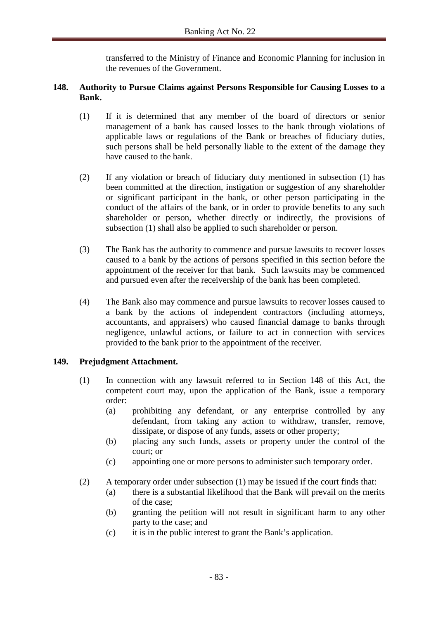transferred to the Ministry of Finance and Economic Planning for inclusion in the revenues of the Government.

### **148. Authority to Pursue Claims against Persons Responsible for Causing Losses to a Bank.**

- (1) If it is determined that any member of the board of directors or senior management of a bank has caused losses to the bank through violations of applicable laws or regulations of the Bank or breaches of fiduciary duties, such persons shall be held personally liable to the extent of the damage they have caused to the bank.
- (2) If any violation or breach of fiduciary duty mentioned in subsection (1) has been committed at the direction, instigation or suggestion of any shareholder or significant participant in the bank, or other person participating in the conduct of the affairs of the bank, or in order to provide benefits to any such shareholder or person, whether directly or indirectly, the provisions of subsection (1) shall also be applied to such shareholder or person.
- (3) The Bank has the authority to commence and pursue lawsuits to recover losses caused to a bank by the actions of persons specified in this section before the appointment of the receiver for that bank. Such lawsuits may be commenced and pursued even after the receivership of the bank has been completed.
- (4) The Bank also may commence and pursue lawsuits to recover losses caused to a bank by the actions of independent contractors (including attorneys, accountants, and appraisers) who caused financial damage to banks through negligence, unlawful actions, or failure to act in connection with services provided to the bank prior to the appointment of the receiver.

# **149. Prejudgment Attachment.**

- (1) In connection with any lawsuit referred to in Section 148 of this Act, the competent court may, upon the application of the Bank, issue a temporary order:
	- (a) prohibiting any defendant, or any enterprise controlled by any defendant, from taking any action to withdraw, transfer, remove, dissipate, or dispose of any funds, assets or other property;
	- (b) placing any such funds, assets or property under the control of the court; or
	- (c) appointing one or more persons to administer such temporary order.
- (2) A temporary order under subsection (1) may be issued if the court finds that:
	- (a) there is a substantial likelihood that the Bank will prevail on the merits of the case;
	- (b) granting the petition will not result in significant harm to any other party to the case; and
	- (c) it is in the public interest to grant the Bank's application.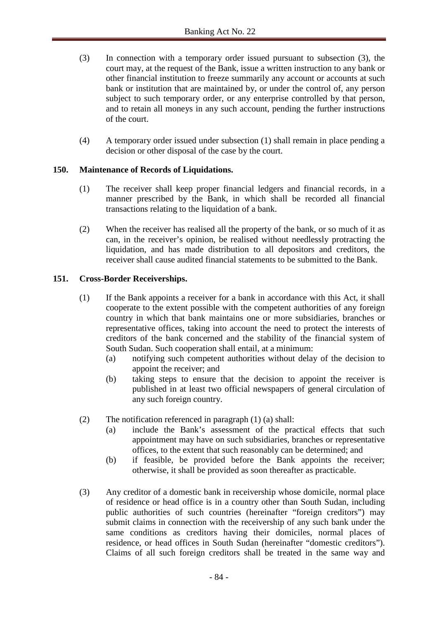- (3) In connection with a temporary order issued pursuant to subsection (3), the court may, at the request of the Bank, issue a written instruction to any bank or other financial institution to freeze summarily any account or accounts at such bank or institution that are maintained by, or under the control of, any person subject to such temporary order, or any enterprise controlled by that person, and to retain all moneys in any such account, pending the further instructions of the court.
- (4) A temporary order issued under subsection (1) shall remain in place pending a decision or other disposal of the case by the court.

# **150. Maintenance of Records of Liquidations.**

- (1) The receiver shall keep proper financial ledgers and financial records, in a manner prescribed by the Bank, in which shall be recorded all financial transactions relating to the liquidation of a bank.
- (2) When the receiver has realised all the property of the bank, or so much of it as can, in the receiver's opinion, be realised without needlessly protracting the liquidation, and has made distribution to all depositors and creditors, the receiver shall cause audited financial statements to be submitted to the Bank.

### **151. Cross-Border Receiverships.**

- (1) If the Bank appoints a receiver for a bank in accordance with this Act, it shall cooperate to the extent possible with the competent authorities of any foreign country in which that bank maintains one or more subsidiaries, branches or representative offices, taking into account the need to protect the interests of creditors of the bank concerned and the stability of the financial system of South Sudan. Such cooperation shall entail, at a minimum:
	- (a) notifying such competent authorities without delay of the decision to appoint the receiver; and
	- (b) taking steps to ensure that the decision to appoint the receiver is published in at least two official newspapers of general circulation of any such foreign country.
- (2) The notification referenced in paragraph (1) (a) shall:
	- (a) include the Bank's assessment of the practical effects that such appointment may have on such subsidiaries, branches or representative offices, to the extent that such reasonably can be determined; and
	- (b) if feasible, be provided before the Bank appoints the receiver; otherwise, it shall be provided as soon thereafter as practicable.
- (3) Any creditor of a domestic bank in receivership whose domicile, normal place of residence or head office is in a country other than South Sudan, including public authorities of such countries (hereinafter "foreign creditors") may submit claims in connection with the receivership of any such bank under the same conditions as creditors having their domiciles, normal places of residence, or head offices in South Sudan (hereinafter "domestic creditors"). Claims of all such foreign creditors shall be treated in the same way and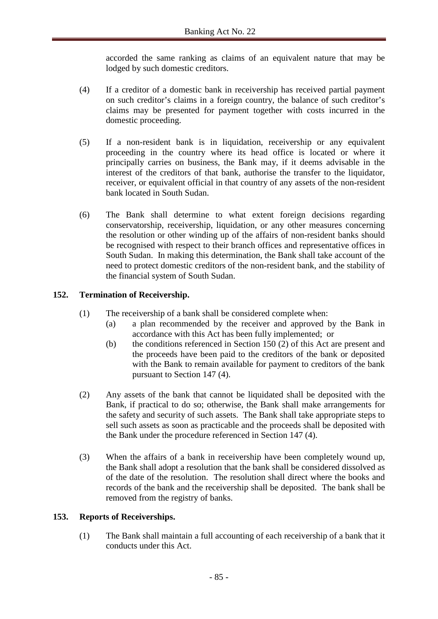accorded the same ranking as claims of an equivalent nature that may be lodged by such domestic creditors.

- (4) If a creditor of a domestic bank in receivership has received partial payment on such creditor's claims in a foreign country, the balance of such creditor's claims may be presented for payment together with costs incurred in the domestic proceeding.
- (5) If a non-resident bank is in liquidation, receivership or any equivalent proceeding in the country where its head office is located or where it principally carries on business, the Bank may, if it deems advisable in the interest of the creditors of that bank, authorise the transfer to the liquidator, receiver, or equivalent official in that country of any assets of the non-resident bank located in South Sudan.
- (6) The Bank shall determine to what extent foreign decisions regarding conservatorship, receivership, liquidation, or any other measures concerning the resolution or other winding up of the affairs of non-resident banks should be recognised with respect to their branch offices and representative offices in South Sudan. In making this determination, the Bank shall take account of the need to protect domestic creditors of the non-resident bank, and the stability of the financial system of South Sudan.

# **152. Termination of Receivership.**

- (1) The receivership of a bank shall be considered complete when:
	- (a) a plan recommended by the receiver and approved by the Bank in accordance with this Act has been fully implemented; or
	- (b) the conditions referenced in Section 150 (2) of this Act are present and the proceeds have been paid to the creditors of the bank or deposited with the Bank to remain available for payment to creditors of the bank pursuant to Section 147 (4).
- (2) Any assets of the bank that cannot be liquidated shall be deposited with the Bank, if practical to do so; otherwise, the Bank shall make arrangements for the safety and security of such assets. The Bank shall take appropriate steps to sell such assets as soon as practicable and the proceeds shall be deposited with the Bank under the procedure referenced in Section 147 (4).
- (3) When the affairs of a bank in receivership have been completely wound up, the Bank shall adopt a resolution that the bank shall be considered dissolved as of the date of the resolution. The resolution shall direct where the books and records of the bank and the receivership shall be deposited. The bank shall be removed from the registry of banks.

#### **153. Reports of Receiverships.**

(1) The Bank shall maintain a full accounting of each receivership of a bank that it conducts under this Act.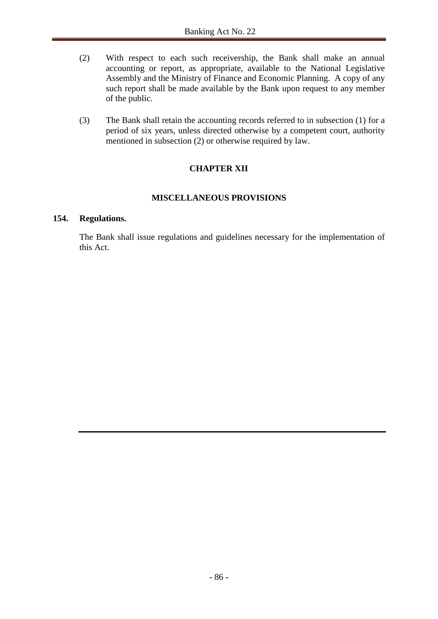- (2) With respect to each such receivership, the Bank shall make an annual accounting or report, as appropriate, available to the National Legislative Assembly and the Ministry of Finance and Economic Planning. A copy of any such report shall be made available by the Bank upon request to any member of the public.
- (3) The Bank shall retain the accounting records referred to in subsection (1) for a period of six years, unless directed otherwise by a competent court, authority mentioned in subsection (2) or otherwise required by law.

# **CHAPTER XII**

# **MISCELLANEOUS PROVISIONS**

#### **154. Regulations.**

The Bank shall issue regulations and guidelines necessary for the implementation of this Act.